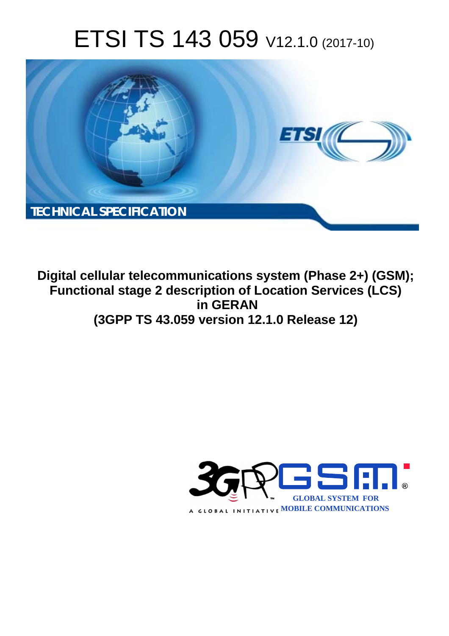# ETSI TS 143 059 V12.1.0 (2017-10)



**Digital cellular telecommunications system (Phase 2+) (GSM); Functional stage 2 description of Location Services (LCS) in GERAN (3GPP TS 43.059 version 12.1.0 Release 12)** 

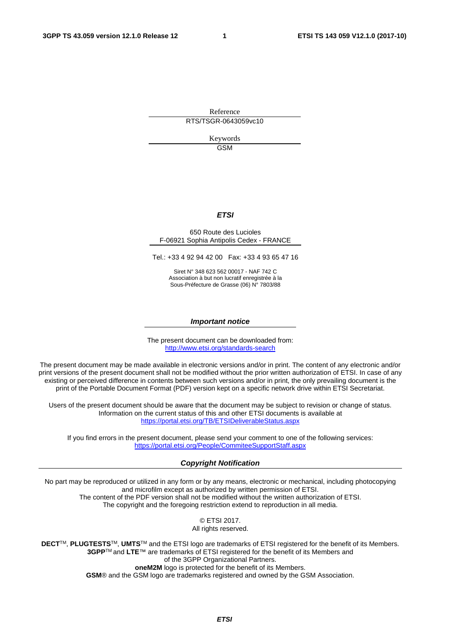Reference RTS/TSGR-0643059vc10

> Keywords GSM

#### *ETSI*

#### 650 Route des Lucioles F-06921 Sophia Antipolis Cedex - FRANCE

Tel.: +33 4 92 94 42 00 Fax: +33 4 93 65 47 16

Siret N° 348 623 562 00017 - NAF 742 C Association à but non lucratif enregistrée à la Sous-Préfecture de Grasse (06) N° 7803/88

#### *Important notice*

The present document can be downloaded from: <http://www.etsi.org/standards-search>

The present document may be made available in electronic versions and/or in print. The content of any electronic and/or print versions of the present document shall not be modified without the prior written authorization of ETSI. In case of any existing or perceived difference in contents between such versions and/or in print, the only prevailing document is the print of the Portable Document Format (PDF) version kept on a specific network drive within ETSI Secretariat.

Users of the present document should be aware that the document may be subject to revision or change of status. Information on the current status of this and other ETSI documents is available at <https://portal.etsi.org/TB/ETSIDeliverableStatus.aspx>

If you find errors in the present document, please send your comment to one of the following services: <https://portal.etsi.org/People/CommiteeSupportStaff.aspx>

#### *Copyright Notification*

No part may be reproduced or utilized in any form or by any means, electronic or mechanical, including photocopying and microfilm except as authorized by written permission of ETSI. The content of the PDF version shall not be modified without the written authorization of ETSI. The copyright and the foregoing restriction extend to reproduction in all media.

> © ETSI 2017. All rights reserved.

**DECT**TM, **PLUGTESTS**TM, **UMTS**TM and the ETSI logo are trademarks of ETSI registered for the benefit of its Members. **3GPP**TM and **LTE**™ are trademarks of ETSI registered for the benefit of its Members and of the 3GPP Organizational Partners. **oneM2M** logo is protected for the benefit of its Members.

**GSM**® and the GSM logo are trademarks registered and owned by the GSM Association.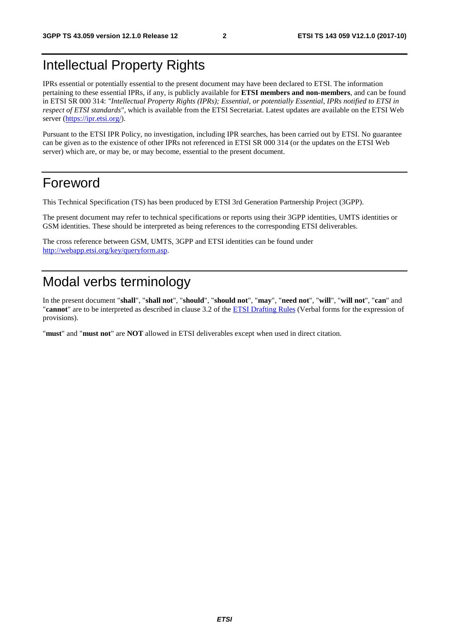# Intellectual Property Rights

IPRs essential or potentially essential to the present document may have been declared to ETSI. The information pertaining to these essential IPRs, if any, is publicly available for **ETSI members and non-members**, and can be found in ETSI SR 000 314: *"Intellectual Property Rights (IPRs); Essential, or potentially Essential, IPRs notified to ETSI in respect of ETSI standards"*, which is available from the ETSI Secretariat. Latest updates are available on the ETSI Web server ([https://ipr.etsi.org/\)](https://ipr.etsi.org/).

Pursuant to the ETSI IPR Policy, no investigation, including IPR searches, has been carried out by ETSI. No guarantee can be given as to the existence of other IPRs not referenced in ETSI SR 000 314 (or the updates on the ETSI Web server) which are, or may be, or may become, essential to the present document.

# Foreword

This Technical Specification (TS) has been produced by ETSI 3rd Generation Partnership Project (3GPP).

The present document may refer to technical specifications or reports using their 3GPP identities, UMTS identities or GSM identities. These should be interpreted as being references to the corresponding ETSI deliverables.

The cross reference between GSM, UMTS, 3GPP and ETSI identities can be found under [http://webapp.etsi.org/key/queryform.asp.](http://webapp.etsi.org/key/queryform.asp)

# Modal verbs terminology

In the present document "**shall**", "**shall not**", "**should**", "**should not**", "**may**", "**need not**", "**will**", "**will not**", "**can**" and "**cannot**" are to be interpreted as described in clause 3.2 of the [ETSI Drafting Rules](https://portal.etsi.org/Services/editHelp!/Howtostart/ETSIDraftingRules.aspx) (Verbal forms for the expression of provisions).

"**must**" and "**must not**" are **NOT** allowed in ETSI deliverables except when used in direct citation.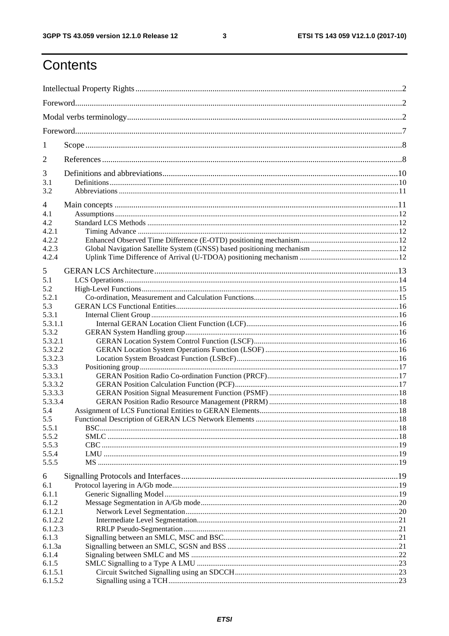ETSI TS 143 059 V12.1.0 (2017-10)

# Contents

| 1                  |  |  |  |
|--------------------|--|--|--|
| 2                  |  |  |  |
| 3                  |  |  |  |
| 3.1                |  |  |  |
| 3.2                |  |  |  |
| 4                  |  |  |  |
| 4.1                |  |  |  |
| 4.2                |  |  |  |
| 4.2.1              |  |  |  |
| 4.2.2              |  |  |  |
| 4.2.3              |  |  |  |
| 4.2.4              |  |  |  |
| 5                  |  |  |  |
| 5.1                |  |  |  |
| 5.2                |  |  |  |
| 5.2.1              |  |  |  |
| 5.3                |  |  |  |
| 5.3.1              |  |  |  |
| 5.3.1.1            |  |  |  |
| 5.3.2              |  |  |  |
| 5.3.2.1            |  |  |  |
| 5.3.2.2            |  |  |  |
| 5.3.2.3            |  |  |  |
| 5.3.3              |  |  |  |
| 5.3.3.1            |  |  |  |
| 5.3.3.2            |  |  |  |
| 5.3.3.3            |  |  |  |
| 5.3.3.4            |  |  |  |
| 5.4                |  |  |  |
| 5.5<br>5.5.1       |  |  |  |
| 5.5.2              |  |  |  |
| 5.5.3              |  |  |  |
| 5.5.4              |  |  |  |
| 5.5.5              |  |  |  |
|                    |  |  |  |
| 6                  |  |  |  |
| 6.1                |  |  |  |
| 6.1.1              |  |  |  |
| 6.1.2              |  |  |  |
| 6.1.2.1<br>6.1.2.2 |  |  |  |
| 6.1.2.3            |  |  |  |
| 6.1.3              |  |  |  |
| 6.1.3a             |  |  |  |
| 6.1.4              |  |  |  |
| 6.1.5              |  |  |  |
| 6.1.5.1            |  |  |  |
| 6.1.5.2            |  |  |  |
|                    |  |  |  |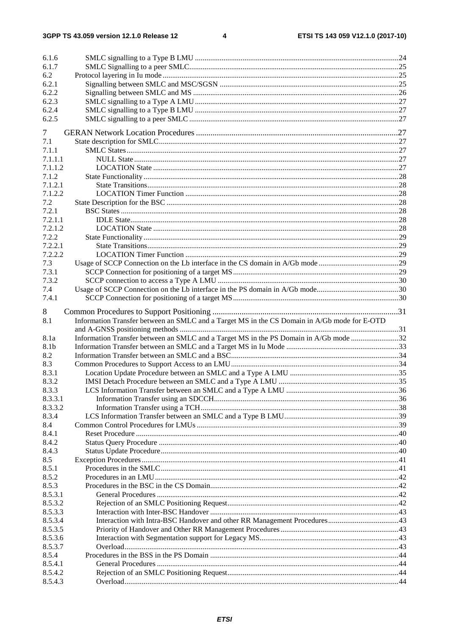| 6.1.6              |                                                                                              |  |
|--------------------|----------------------------------------------------------------------------------------------|--|
| 6.1.7              |                                                                                              |  |
| 6.2                |                                                                                              |  |
| 6.2.1              |                                                                                              |  |
| 6.2.2              |                                                                                              |  |
| 6.2.3              |                                                                                              |  |
| 6.2.4              |                                                                                              |  |
| 6.2.5              |                                                                                              |  |
|                    |                                                                                              |  |
| 7                  |                                                                                              |  |
| 7.1                |                                                                                              |  |
| 7.1.1              |                                                                                              |  |
| 7.1.1.1            |                                                                                              |  |
| 7.1.1.2            |                                                                                              |  |
| 7.1.2              |                                                                                              |  |
| 7.1.2.1            |                                                                                              |  |
| 7.1.2.2            |                                                                                              |  |
| 7.2                |                                                                                              |  |
| 7.2.1              |                                                                                              |  |
| 7.2.1.1            |                                                                                              |  |
| 7.2.1.2            |                                                                                              |  |
| 7.2.2              |                                                                                              |  |
| 7.2.2.1            |                                                                                              |  |
| 7.2.2.2            |                                                                                              |  |
| 7.3                |                                                                                              |  |
| 7.3.1              |                                                                                              |  |
| 7.3.2              |                                                                                              |  |
| 7.4                |                                                                                              |  |
| 7.4.1              |                                                                                              |  |
|                    |                                                                                              |  |
|                    |                                                                                              |  |
| 8                  |                                                                                              |  |
| 8.1                | Information Transfer between an SMLC and a Target MS in the CS Domain in A/Gb mode for E-OTD |  |
|                    |                                                                                              |  |
| 8.1a               | Information Transfer between an SMLC and a Target MS in the PS Domain in A/Gb mode 32        |  |
| 8.1b               |                                                                                              |  |
| 8.2                |                                                                                              |  |
| 8.3                |                                                                                              |  |
| 8.3.1              |                                                                                              |  |
| 8.3.2              |                                                                                              |  |
| 8.3.3              |                                                                                              |  |
| 8.3.3.1            |                                                                                              |  |
| 8.3.3.2            |                                                                                              |  |
| 8.3.4              |                                                                                              |  |
| 8.4                |                                                                                              |  |
| 8.4.1              |                                                                                              |  |
| 8.4.2              |                                                                                              |  |
| 8.4.3              |                                                                                              |  |
| 8.5<br>8.5.1       |                                                                                              |  |
|                    |                                                                                              |  |
| 8.5.2              |                                                                                              |  |
| 8.5.3              |                                                                                              |  |
| 8.5.3.1            |                                                                                              |  |
| 8.5.3.2            |                                                                                              |  |
| 8.5.3.3            |                                                                                              |  |
| 8.5.3.4            |                                                                                              |  |
| 8.5.3.5            |                                                                                              |  |
| 8.5.3.6<br>8.5.3.7 |                                                                                              |  |
| 8.5.4              |                                                                                              |  |
| 8.5.4.1            |                                                                                              |  |
| 8.5.4.2            |                                                                                              |  |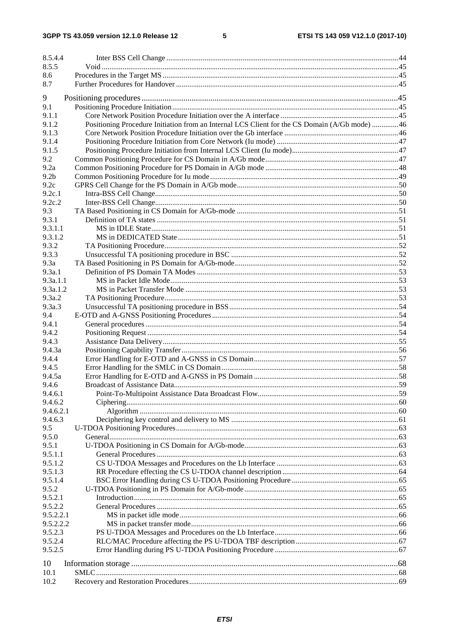$5\phantom{a}$ 

| 8.5.4.4          |                                                                                               |  |
|------------------|-----------------------------------------------------------------------------------------------|--|
| 8.5.5            |                                                                                               |  |
| 8.6              |                                                                                               |  |
| 8.7              |                                                                                               |  |
| 9                |                                                                                               |  |
| 9.1              |                                                                                               |  |
| 9.1.1            |                                                                                               |  |
| 9.1.2            | Positioning Procedure Initiation from an Internal LCS Client for the CS Domain (A/Gb mode) 46 |  |
| 9.1.3            |                                                                                               |  |
| 9.1.4            |                                                                                               |  |
| 9.1.5            |                                                                                               |  |
| 9.2              |                                                                                               |  |
| 9.2a             |                                                                                               |  |
| 9.2 <sub>b</sub> |                                                                                               |  |
| 9.2c             |                                                                                               |  |
| 9.2c.1           |                                                                                               |  |
| 9.2c.2           |                                                                                               |  |
| 9.3              |                                                                                               |  |
| 9.3.1            |                                                                                               |  |
| 9.3.1.1          |                                                                                               |  |
| 9.3.1.2          |                                                                                               |  |
| 9.3.2            |                                                                                               |  |
| 9.3.3            |                                                                                               |  |
| 9.3a             |                                                                                               |  |
| 9.3a.1           |                                                                                               |  |
| 9.3a.1.1         |                                                                                               |  |
| 9.3a.1.2         |                                                                                               |  |
| 9.3a.2           |                                                                                               |  |
| 9.3a.3           |                                                                                               |  |
| 9.4              |                                                                                               |  |
| 9.4.1            |                                                                                               |  |
| 9.4.2            |                                                                                               |  |
| 9.4.3<br>9.4.3a  |                                                                                               |  |
| 9.4.4            |                                                                                               |  |
| 9.4.5            |                                                                                               |  |
| 9.4.5a           |                                                                                               |  |
| 9.4.6            |                                                                                               |  |
| 9.4.6.1          |                                                                                               |  |
| 9.4.6.2          |                                                                                               |  |
| 9.4.6.2.1        |                                                                                               |  |
| 9.4.6.3          |                                                                                               |  |
| 9.5              |                                                                                               |  |
| 9.5.0            |                                                                                               |  |
| 9.5.1            |                                                                                               |  |
| 9.5.1.1          |                                                                                               |  |
| 9.5.1.2          |                                                                                               |  |
| 9.5.1.3          |                                                                                               |  |
| 9.5.1.4          |                                                                                               |  |
| 9.5.2            |                                                                                               |  |
| 9.5.2.1          |                                                                                               |  |
| 9.5.2.2          |                                                                                               |  |
| 9.5.2.2.1        |                                                                                               |  |
| 9.5.2.2.2        |                                                                                               |  |
| 9.5.2.3          |                                                                                               |  |
| 9.5.2.4          |                                                                                               |  |
| 9.5.2.5          |                                                                                               |  |
| 10               |                                                                                               |  |
| 10.1             |                                                                                               |  |
| 10.2             |                                                                                               |  |
|                  |                                                                                               |  |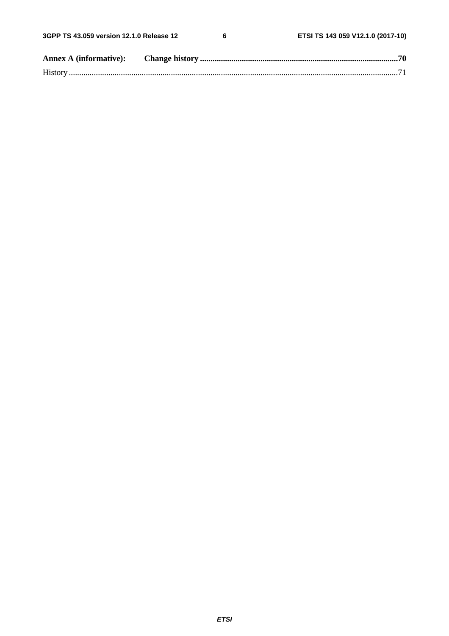$\bf 6$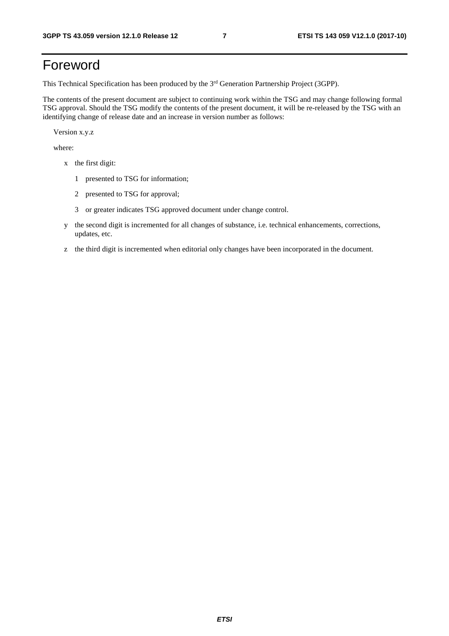# Foreword

This Technical Specification has been produced by the 3rd Generation Partnership Project (3GPP).

The contents of the present document are subject to continuing work within the TSG and may change following formal TSG approval. Should the TSG modify the contents of the present document, it will be re-released by the TSG with an identifying change of release date and an increase in version number as follows:

Version x.y.z

where:

- x the first digit:
	- 1 presented to TSG for information;
	- 2 presented to TSG for approval;
	- 3 or greater indicates TSG approved document under change control.
- y the second digit is incremented for all changes of substance, i.e. technical enhancements, corrections, updates, etc.
- z the third digit is incremented when editorial only changes have been incorporated in the document.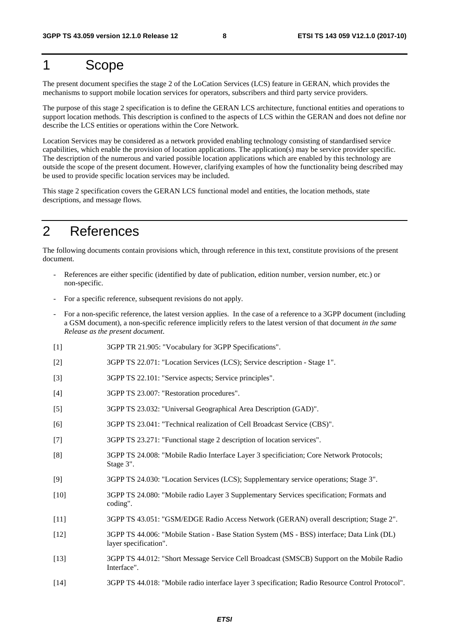# 1 Scope

The present document specifies the stage 2 of the LoCation Services (LCS) feature in GERAN, which provides the mechanisms to support mobile location services for operators, subscribers and third party service providers.

The purpose of this stage 2 specification is to define the GERAN LCS architecture, functional entities and operations to support location methods. This description is confined to the aspects of LCS within the GERAN and does not define nor describe the LCS entities or operations within the Core Network.

Location Services may be considered as a network provided enabling technology consisting of standardised service capabilities, which enable the provision of location applications. The application(s) may be service provider specific. The description of the numerous and varied possible location applications which are enabled by this technology are outside the scope of the present document. However, clarifying examples of how the functionality being described may be used to provide specific location services may be included.

This stage 2 specification covers the GERAN LCS functional model and entities, the location methods, state descriptions, and message flows.

# 2 References

The following documents contain provisions which, through reference in this text, constitute provisions of the present document.

- References are either specific (identified by date of publication, edition number, version number, etc.) or non-specific.
- For a specific reference, subsequent revisions do not apply.
- For a non-specific reference, the latest version applies. In the case of a reference to a 3GPP document (including a GSM document), a non-specific reference implicitly refers to the latest version of that document *in the same Release as the present document*.
- [1] 3GPP TR 21.905: "Vocabulary for 3GPP Specifications".
- [2] 3GPP TS 22.071: "Location Services (LCS); Service description Stage 1".
- [3] 3GPP TS 22.101: "Service aspects; Service principles".
- [4] 3GPP TS 23.007: "Restoration procedures".
- [5] 3GPP TS 23.032: "Universal Geographical Area Description (GAD)".
- [6] 3GPP TS 23.041: "Technical realization of Cell Broadcast Service (CBS)".
- [7] 3GPP TS 23.271: "Functional stage 2 description of location services".
- [8] 3GPP TS 24.008: "Mobile Radio Interface Layer 3 specificiation; Core Network Protocols; Stage 3".
- [9] 3GPP TS 24.030: "Location Services (LCS); Supplementary service operations; Stage 3".
- [10] 3GPP TS 24.080: "Mobile radio Layer 3 Supplementary Services specification; Formats and coding".
- [11] 3GPP TS 43.051: "GSM/EDGE Radio Access Network (GERAN) overall description; Stage 2".
- [12] 3GPP TS 44.006: "Mobile Station Base Station System (MS BSS) interface; Data Link (DL) layer specification".
- [13] 3GPP TS 44.012: "Short Message Service Cell Broadcast (SMSCB) Support on the Mobile Radio Interface".
- [14] 3GPP TS 44.018: "Mobile radio interface layer 3 specification; Radio Resource Control Protocol".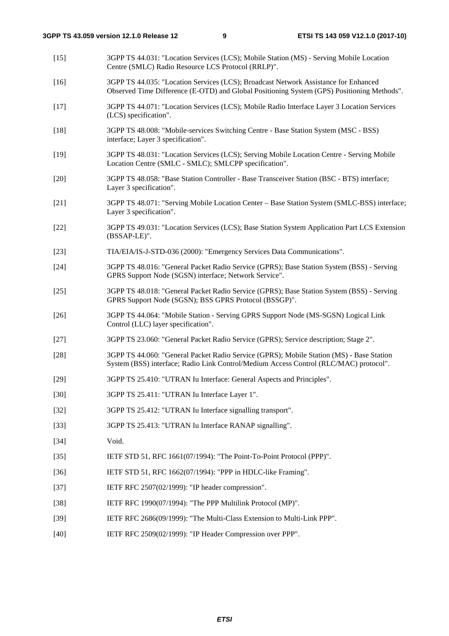- [15] 3GPP TS 44.031: "Location Services (LCS); Mobile Station (MS) Serving Mobile Location Centre (SMLC) Radio Resource LCS Protocol (RRLP)".
- [16] 3GPP TS 44.035: "Location Services (LCS); Broadcast Network Assistance for Enhanced Observed Time Difference (E-OTD) and Global Positioning System (GPS) Positioning Methods".
- [17] 3GPP TS 44.071: "Location Services (LCS); Mobile Radio Interface Layer 3 Location Services (LCS) specification".
- [18] 3GPP TS 48.008: "Mobile-services Switching Centre Base Station System (MSC BSS) interface; Layer 3 specification".
- [19] 3GPP TS 48.031: "Location Services (LCS); Serving Mobile Location Centre Serving Mobile Location Centre (SMLC - SMLC); SMLCPP specification".
- [20] 3GPP TS 48.058: "Base Station Controller Base Transceiver Station (BSC BTS) interface; Layer 3 specification".
- [21] 3GPP TS 48.071: "Serving Mobile Location Center Base Station System (SMLC-BSS) interface; Layer 3 specification".
- [22] 3GPP TS 49.031: "Location Services (LCS); Base Station System Application Part LCS Extension (BSSAP-LE)".
- [23] TIA/EIA/IS-J-STD-036 (2000): "Emergency Services Data Communications".
- [24] 3GPP TS 48.016: "General Packet Radio Service (GPRS); Base Station System (BSS) Serving GPRS Support Node (SGSN) interface; Network Service".
- [25] 3GPP TS 48.018: "General Packet Radio Service (GPRS); Base Station System (BSS) Serving GPRS Support Node (SGSN); BSS GPRS Protocol (BSSGP)".
- [26] 3GPP TS 44.064: "Mobile Station Serving GPRS Support Node (MS-SGSN) Logical Link Control (LLC) layer specification".
- [27] 3GPP TS 23.060: "General Packet Radio Service (GPRS); Service description; Stage 2".
- [28] 3GPP TS 44.060: "General Packet Radio Service (GPRS); Mobile Station (MS) Base Station System (BSS) interface; Radio Link Control/Medium Access Control (RLC/MAC) protocol".
- [29] 3GPP TS 25.410: "UTRAN Iu Interface: General Aspects and Principles".
- [30] 3GPP TS 25.411: "UTRAN Iu Interface Layer 1".
- [32] 3GPP TS 25.412: "UTRAN Iu Interface signalling transport".
- [33] 3GPP TS 25.413: "UTRAN Iu Interface RANAP signalling".
- [34] **Void.**
- [35] IETF STD 51, RFC 1661(07/1994): "The Point-To-Point Protocol (PPP)".
- [36] IETF STD 51, RFC 1662(07/1994): "PPP in HDLC-like Framing".
- [37] **IETF RFC 2507(02/1999): "IP header compression".**
- [38] IETF RFC 1990(07/1994): "The PPP Multilink Protocol (MP)".
- [39] IETF RFC 2686(09/1999): "The Multi-Class Extension to Multi-Link PPP".
- [40] **IETF RFC 2509(02/1999): "IP Header Compression over PPP".**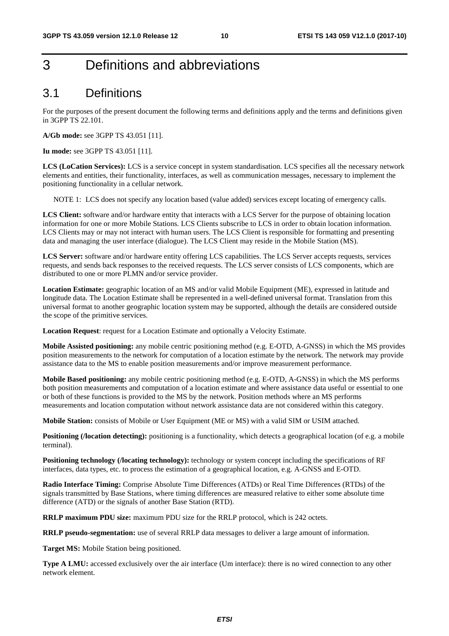# 3 Definitions and abbreviations

# 3.1 Definitions

For the purposes of the present document the following terms and definitions apply and the terms and definitions given in 3GPP TS 22.101.

**A/Gb mode:** see 3GPP TS 43.051 [11].

**Iu mode:** see 3GPP TS 43.051 [11].

**LCS (LoCation Services):** LCS is a service concept in system standardisation. LCS specifies all the necessary network elements and entities, their functionality, interfaces, as well as communication messages, necessary to implement the positioning functionality in a cellular network.

NOTE 1: LCS does not specify any location based (value added) services except locating of emergency calls.

**LCS Client:** software and/or hardware entity that interacts with a LCS Server for the purpose of obtaining location information for one or more Mobile Stations. LCS Clients subscribe to LCS in order to obtain location information. LCS Clients may or may not interact with human users. The LCS Client is responsible for formatting and presenting data and managing the user interface (dialogue). The LCS Client may reside in the Mobile Station (MS).

**LCS Server:** software and/or hardware entity offering LCS capabilities. The LCS Server accepts requests, services requests, and sends back responses to the received requests. The LCS server consists of LCS components, which are distributed to one or more PLMN and/or service provider.

**Location Estimate:** geographic location of an MS and/or valid Mobile Equipment (ME), expressed in latitude and longitude data. The Location Estimate shall be represented in a well-defined universal format. Translation from this universal format to another geographic location system may be supported, although the details are considered outside the scope of the primitive services.

**Location Request**: request for a Location Estimate and optionally a Velocity Estimate.

**Mobile Assisted positioning:** any mobile centric positioning method (e.g. E-OTD, A-GNSS) in which the MS provides position measurements to the network for computation of a location estimate by the network. The network may provide assistance data to the MS to enable position measurements and/or improve measurement performance.

**Mobile Based positioning:** any mobile centric positioning method (e.g. E-OTD, A-GNSS) in which the MS performs both position measurements and computation of a location estimate and where assistance data useful or essential to one or both of these functions is provided to the MS by the network. Position methods where an MS performs measurements and location computation without network assistance data are not considered within this category.

**Mobile Station:** consists of Mobile or User Equipment (ME or MS) with a valid SIM or USIM attached.

**Positioning (/location detecting):** positioning is a functionality, which detects a geographical location (of e.g. a mobile terminal).

**Positioning technology (/locating technology):** technology or system concept including the specifications of RF interfaces, data types, etc. to process the estimation of a geographical location, e.g. A-GNSS and E-OTD.

**Radio Interface Timing:** Comprise Absolute Time Differences (ATDs) or Real Time Differences (RTDs) of the signals transmitted by Base Stations, where timing differences are measured relative to either some absolute time difference (ATD) or the signals of another Base Station (RTD).

**RRLP maximum PDU size:** maximum PDU size for the RRLP protocol, which is 242 octets.

**RRLP pseudo-segmentation:** use of several RRLP data messages to deliver a large amount of information.

**Target MS:** Mobile Station being positioned.

**Type A LMU:** accessed exclusively over the air interface (Um interface): there is no wired connection to any other network element.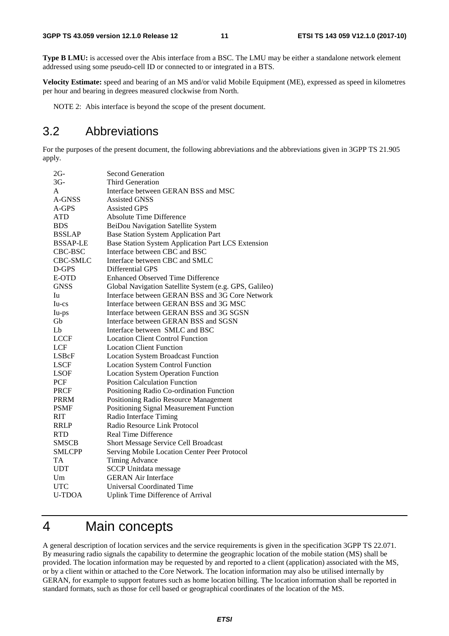**Type B LMU:** is accessed over the Abis interface from a BSC. The LMU may be either a standalone network element addressed using some pseudo-cell ID or connected to or integrated in a BTS.

**Velocity Estimate:** speed and bearing of an MS and/or valid Mobile Equipment (ME), expressed as speed in kilometres per hour and bearing in degrees measured clockwise from North.

NOTE 2: Abis interface is beyond the scope of the present document.

# 3.2 Abbreviations

For the purposes of the present document, the following abbreviations and the abbreviations given in 3GPP TS 21.905 apply.

| $2G-$           | <b>Second Generation</b>                               |
|-----------------|--------------------------------------------------------|
| $3G-$           | <b>Third Generation</b>                                |
| A               | Interface between GERAN BSS and MSC                    |
| A-GNSS          | <b>Assisted GNSS</b>                                   |
| $A-GPS$         | <b>Assisted GPS</b>                                    |
| <b>ATD</b>      | <b>Absolute Time Difference</b>                        |
| <b>BDS</b>      | BeiDou Navigation Satellite System                     |
| <b>BSSLAP</b>   | <b>Base Station System Application Part</b>            |
| <b>BSSAP-LE</b> | Base Station System Application Part LCS Extension     |
| CBC-BSC         | Interface between CBC and BSC                          |
| <b>CBC-SMLC</b> | Interface between CBC and SMLC                         |
| D-GPS           | Differential GPS                                       |
| E-OTD           | <b>Enhanced Observed Time Difference</b>               |
| <b>GNSS</b>     | Global Navigation Satellite System (e.g. GPS, Galileo) |
| Iu              | Interface between GERAN BSS and 3G Core Network        |
| Iu-cs           | Interface between GERAN BSS and 3G MSC                 |
| Iu-ps           | Interface between GERAN BSS and 3G SGSN                |
| Gb              | Interface between GERAN BSS and SGSN                   |
| Lb              | Interface between SMLC and BSC                         |
| <b>LCCF</b>     | <b>Location Client Control Function</b>                |
| <b>LCF</b>      | <b>Location Client Function</b>                        |
| LSBcF           | <b>Location System Broadcast Function</b>              |
| <b>LSCF</b>     | <b>Location System Control Function</b>                |
| LSOF            | <b>Location System Operation Function</b>              |
| PCF             | <b>Position Calculation Function</b>                   |
| <b>PRCF</b>     | Positioning Radio Co-ordination Function               |
| <b>PRRM</b>     | Positioning Radio Resource Management                  |
| <b>PSMF</b>     | Positioning Signal Measurement Function                |
| RIT             | Radio Interface Timing                                 |
| <b>RRLP</b>     | Radio Resource Link Protocol                           |
| <b>RTD</b>      | <b>Real Time Difference</b>                            |
| <b>SMSCB</b>    | <b>Short Message Service Cell Broadcast</b>            |
| <b>SMLCPP</b>   | Serving Mobile Location Center Peer Protocol           |
| <b>TA</b>       | <b>Timing Advance</b>                                  |
| <b>UDT</b>      | <b>SCCP</b> Unitdata message                           |
| Um              | <b>GERAN Air Interface</b>                             |
| <b>UTC</b>      | <b>Universal Coordinated Time</b>                      |
| <b>U-TDOA</b>   | <b>Uplink Time Difference of Arrival</b>               |

# 4 Main concepts

A general description of location services and the service requirements is given in the specification 3GPP TS 22.071. By measuring radio signals the capability to determine the geographic location of the mobile station (MS) shall be provided. The location information may be requested by and reported to a client (application) associated with the MS, or by a client within or attached to the Core Network. The location information may also be utilised internally by GERAN, for example to support features such as home location billing. The location information shall be reported in standard formats, such as those for cell based or geographical coordinates of the location of the MS.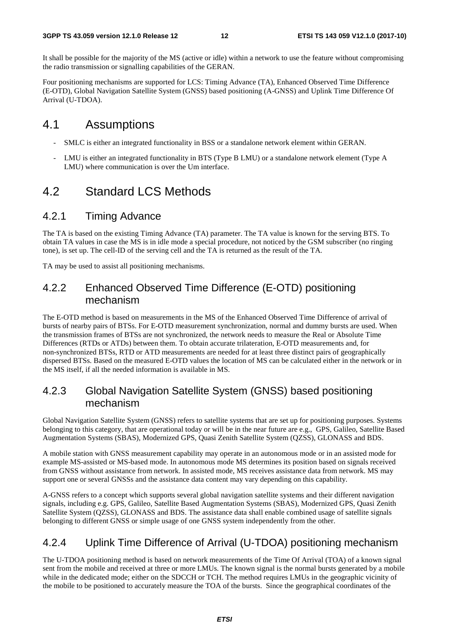It shall be possible for the majority of the MS (active or idle) within a network to use the feature without compromising the radio transmission or signalling capabilities of the GERAN.

Four positioning mechanisms are supported for LCS: Timing Advance (TA), Enhanced Observed Time Difference (E-OTD), Global Navigation Satellite System (GNSS) based positioning (A-GNSS) and Uplink Time Difference Of Arrival (U-TDOA).

# 4.1 Assumptions

- SMLC is either an integrated functionality in BSS or a standalone network element within GERAN.
- LMU is either an integrated functionality in BTS (Type B LMU) or a standalone network element (Type A LMU) where communication is over the Um interface.

# 4.2 Standard LCS Methods

### 4.2.1 Timing Advance

The TA is based on the existing Timing Advance (TA) parameter. The TA value is known for the serving BTS. To obtain TA values in case the MS is in idle mode a special procedure, not noticed by the GSM subscriber (no ringing tone), is set up. The cell-ID of the serving cell and the TA is returned as the result of the TA.

TA may be used to assist all positioning mechanisms.

### 4.2.2 Enhanced Observed Time Difference (E-OTD) positioning mechanism

The E-OTD method is based on measurements in the MS of the Enhanced Observed Time Difference of arrival of bursts of nearby pairs of BTSs. For E-OTD measurement synchronization, normal and dummy bursts are used. When the transmission frames of BTSs are not synchronized, the network needs to measure the Real or Absolute Time Differences (RTDs or ATDs) between them. To obtain accurate trilateration, E-OTD measurements and, for non-synchronized BTSs, RTD or ATD measurements are needed for at least three distinct pairs of geographically dispersed BTSs. Based on the measured E-OTD values the location of MS can be calculated either in the network or in the MS itself, if all the needed information is available in MS.

### 4.2.3 Global Navigation Satellite System (GNSS) based positioning mechanism

Global Navigation Satellite System (GNSS) refers to satellite systems that are set up for positioning purposes. Systems belonging to this category, that are operational today or will be in the near future are e.g., GPS, Galileo, Satellite Based Augmentation Systems (SBAS), Modernized GPS, Quasi Zenith Satellite System (QZSS), GLONASS and BDS.

A mobile station with GNSS measurement capability may operate in an autonomous mode or in an assisted mode for example MS-assisted or MS-based mode. In autonomous mode MS determines its position based on signals received from GNSS without assistance from network. In assisted mode, MS receives assistance data from network. MS may support one or several GNSSs and the assistance data content may vary depending on this capability.

A-GNSS refers to a concept which supports several global navigation satellite systems and their different navigation signals, including e.g. GPS, Galileo, Satellite Based Augmentation Systems (SBAS), Modernized GPS, Quasi Zenith Satellite System (QZSS), GLONASS and BDS. The assistance data shall enable combined usage of satellite signals belonging to different GNSS or simple usage of one GNSS system independently from the other.

### 4.2.4 Uplink Time Difference of Arrival (U-TDOA) positioning mechanism

The U-TDOA positioning method is based on network measurements of the Time Of Arrival (TOA) of a known signal sent from the mobile and received at three or more LMUs. The known signal is the normal bursts generated by a mobile while in the dedicated mode; either on the SDCCH or TCH. The method requires LMUs in the geographic vicinity of the mobile to be positioned to accurately measure the TOA of the bursts. Since the geographical coordinates of the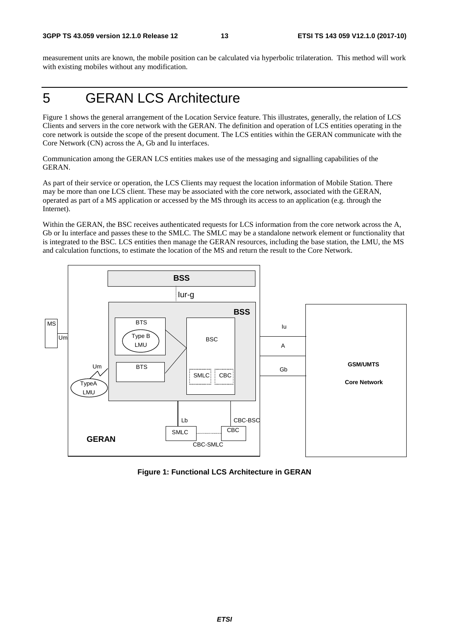measurement units are known, the mobile position can be calculated via hyperbolic trilateration. This method will work with existing mobiles without any modification.

# 5 GERAN LCS Architecture

Figure 1 shows the general arrangement of the Location Service feature. This illustrates, generally, the relation of LCS Clients and servers in the core network with the GERAN. The definition and operation of LCS entities operating in the core network is outside the scope of the present document. The LCS entities within the GERAN communicate with the Core Network (CN) across the A, Gb and Iu interfaces.

Communication among the GERAN LCS entities makes use of the messaging and signalling capabilities of the GERAN.

As part of their service or operation, the LCS Clients may request the location information of Mobile Station. There may be more than one LCS client. These may be associated with the core network, associated with the GERAN, operated as part of a MS application or accessed by the MS through its access to an application (e.g. through the Internet).

Within the GERAN, the BSC receives authenticated requests for LCS information from the core network across the A, Gb or Iu interface and passes these to the SMLC. The SMLC may be a standalone network element or functionality that is integrated to the BSC. LCS entities then manage the GERAN resources, including the base station, the LMU, the MS and calculation functions, to estimate the location of the MS and return the result to the Core Network.



**Figure 1: Functional LCS Architecture in GERAN**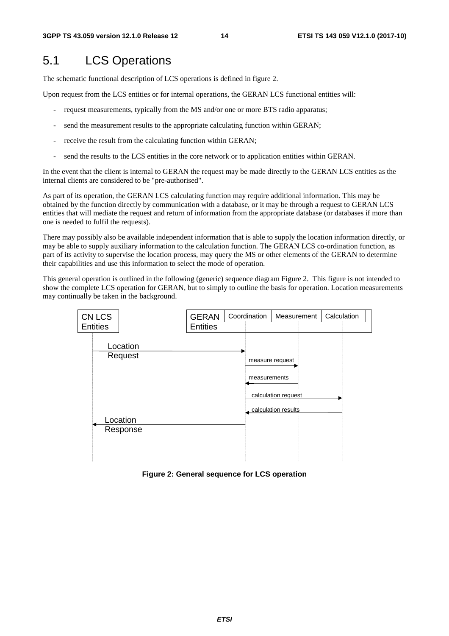# 5.1 LCS Operations

The schematic functional description of LCS operations is defined in figure 2.

Upon request from the LCS entities or for internal operations, the GERAN LCS functional entities will:

- request measurements, typically from the MS and/or one or more BTS radio apparatus;
- send the measurement results to the appropriate calculating function within GERAN;
- receive the result from the calculating function within GERAN;
- send the results to the LCS entities in the core network or to application entities within GERAN.

In the event that the client is internal to GERAN the request may be made directly to the GERAN LCS entities as the internal clients are considered to be "pre-authorised".

As part of its operation, the GERAN LCS calculating function may require additional information. This may be obtained by the function directly by communication with a database, or it may be through a request to GERAN LCS entities that will mediate the request and return of information from the appropriate database (or databases if more than one is needed to fulfil the requests).

There may possibly also be available independent information that is able to supply the location information directly, or may be able to supply auxiliary information to the calculation function. The GERAN LCS co-ordination function, as part of its activity to supervise the location process, may query the MS or other elements of the GERAN to determine their capabilities and use this information to select the mode of operation.

This general operation is outlined in the following (generic) sequence diagram Figure 2. This figure is not intended to show the complete LCS operation for GERAN, but to simply to outline the basis for operation. Location measurements may continually be taken in the background.



**Figure 2: General sequence for LCS operation**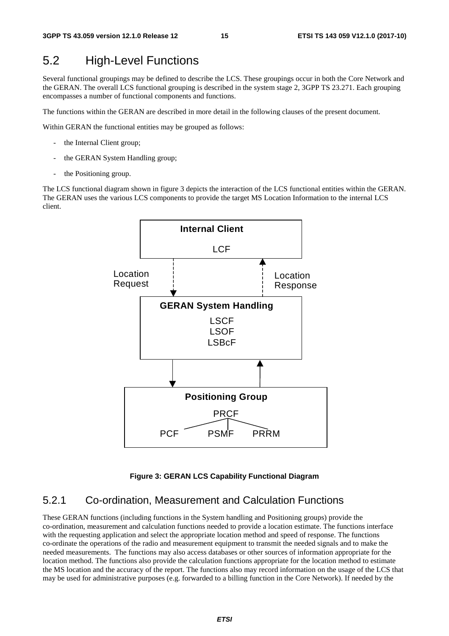# 5.2 High-Level Functions

Several functional groupings may be defined to describe the LCS. These groupings occur in both the Core Network and the GERAN. The overall LCS functional grouping is described in the system stage 2, 3GPP TS 23.271. Each grouping encompasses a number of functional components and functions.

The functions within the GERAN are described in more detail in the following clauses of the present document.

Within GERAN the functional entities may be grouped as follows:

- the Internal Client group;
- the GERAN System Handling group;
- the Positioning group.

The LCS functional diagram shown in figure 3 depicts the interaction of the LCS functional entities within the GERAN. The GERAN uses the various LCS components to provide the target MS Location Information to the internal LCS client.



#### **Figure 3: GERAN LCS Capability Functional Diagram**

### 5.2.1 Co-ordination, Measurement and Calculation Functions

These GERAN functions (including functions in the System handling and Positioning groups) provide the co-ordination, measurement and calculation functions needed to provide a location estimate. The functions interface with the requesting application and select the appropriate location method and speed of response. The functions co-ordinate the operations of the radio and measurement equipment to transmit the needed signals and to make the needed measurements. The functions may also access databases or other sources of information appropriate for the location method. The functions also provide the calculation functions appropriate for the location method to estimate the MS location and the accuracy of the report. The functions also may record information on the usage of the LCS that may be used for administrative purposes (e.g. forwarded to a billing function in the Core Network). If needed by the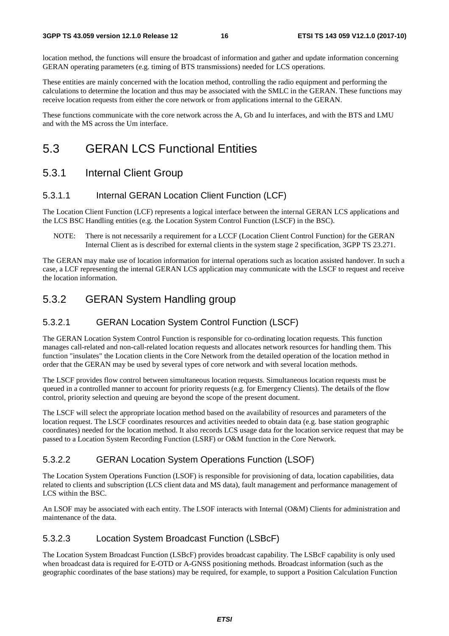location method, the functions will ensure the broadcast of information and gather and update information concerning GERAN operating parameters (e.g. timing of BTS transmissions) needed for LCS operations.

These entities are mainly concerned with the location method, controlling the radio equipment and performing the calculations to determine the location and thus may be associated with the SMLC in the GERAN. These functions may receive location requests from either the core network or from applications internal to the GERAN.

These functions communicate with the core network across the A, Gb and Iu interfaces, and with the BTS and LMU and with the MS across the Um interface.

# 5.3 GERAN LCS Functional Entities

### 5.3.1 Internal Client Group

#### 5.3.1.1 Internal GERAN Location Client Function (LCF)

The Location Client Function (LCF) represents a logical interface between the internal GERAN LCS applications and the LCS BSC Handling entities (e.g. the Location System Control Function (LSCF) in the BSC).

NOTE: There is not necessarily a requirement for a LCCF (Location Client Control Function) for the GERAN Internal Client as is described for external clients in the system stage 2 specification, 3GPP TS 23.271.

The GERAN may make use of location information for internal operations such as location assisted handover. In such a case, a LCF representing the internal GERAN LCS application may communicate with the LSCF to request and receive the location information.

### 5.3.2 GERAN System Handling group

#### 5.3.2.1 GERAN Location System Control Function (LSCF)

The GERAN Location System Control Function is responsible for co-ordinating location requests. This function manages call-related and non-call-related location requests and allocates network resources for handling them. This function "insulates" the Location clients in the Core Network from the detailed operation of the location method in order that the GERAN may be used by several types of core network and with several location methods.

The LSCF provides flow control between simultaneous location requests. Simultaneous location requests must be queued in a controlled manner to account for priority requests (e.g. for Emergency Clients). The details of the flow control, priority selection and queuing are beyond the scope of the present document.

The LSCF will select the appropriate location method based on the availability of resources and parameters of the location request. The LSCF coordinates resources and activities needed to obtain data (e.g. base station geographic coordinates) needed for the location method. It also records LCS usage data for the location service request that may be passed to a Location System Recording Function (LSRF) or O&M function in the Core Network.

#### 5.3.2.2 GERAN Location System Operations Function (LSOF)

The Location System Operations Function (LSOF) is responsible for provisioning of data, location capabilities, data related to clients and subscription (LCS client data and MS data), fault management and performance management of LCS within the BSC.

An LSOF may be associated with each entity. The LSOF interacts with Internal (O&M) Clients for administration and maintenance of the data.

#### 5.3.2.3 Location System Broadcast Function (LSBcF)

The Location System Broadcast Function (LSBcF) provides broadcast capability. The LSBcF capability is only used when broadcast data is required for E-OTD or A-GNSS positioning methods. Broadcast information (such as the geographic coordinates of the base stations) may be required, for example, to support a Position Calculation Function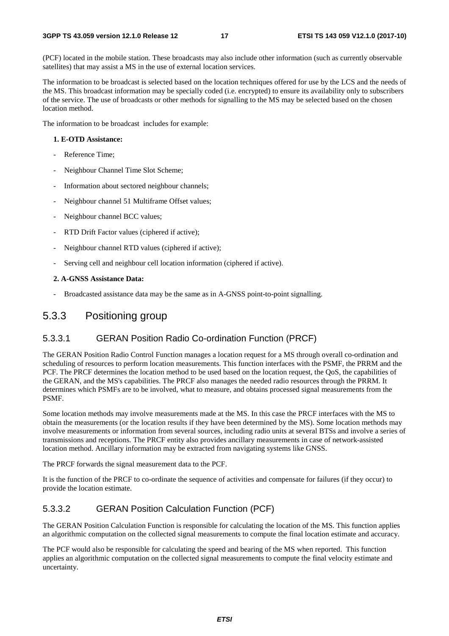(PCF) located in the mobile station. These broadcasts may also include other information (such as currently observable satellites) that may assist a MS in the use of external location services.

The information to be broadcast is selected based on the location techniques offered for use by the LCS and the needs of the MS. This broadcast information may be specially coded (i.e. encrypted) to ensure its availability only to subscribers of the service. The use of broadcasts or other methods for signalling to the MS may be selected based on the chosen location method.

The information to be broadcast includes for example:

#### **1. E-OTD Assistance:**

- Reference Time:
- Neighbour Channel Time Slot Scheme;
- Information about sectored neighbour channels;
- Neighbour channel 51 Multiframe Offset values;
- Neighbour channel BCC values;
- RTD Drift Factor values (ciphered if active);
- Neighbour channel RTD values (ciphered if active);
- Serving cell and neighbour cell location information (ciphered if active).

#### **2. A-GNSS Assistance Data:**

- Broadcasted assistance data may be the same as in A-GNSS point-to-point signalling.

#### 5.3.3 Positioning group

#### 5.3.3.1 GERAN Position Radio Co-ordination Function (PRCF)

The GERAN Position Radio Control Function manages a location request for a MS through overall co-ordination and scheduling of resources to perform location measurements. This function interfaces with the PSMF, the PRRM and the PCF. The PRCF determines the location method to be used based on the location request, the QoS, the capabilities of the GERAN, and the MS's capabilities. The PRCF also manages the needed radio resources through the PRRM. It determines which PSMFs are to be involved, what to measure, and obtains processed signal measurements from the PSMF.

Some location methods may involve measurements made at the MS. In this case the PRCF interfaces with the MS to obtain the measurements (or the location results if they have been determined by the MS). Some location methods may involve measurements or information from several sources, including radio units at several BTSs and involve a series of transmissions and receptions. The PRCF entity also provides ancillary measurements in case of network-assisted location method. Ancillary information may be extracted from navigating systems like GNSS.

The PRCF forwards the signal measurement data to the PCF.

It is the function of the PRCF to co-ordinate the sequence of activities and compensate for failures (if they occur) to provide the location estimate.

#### 5.3.3.2 GERAN Position Calculation Function (PCF)

The GERAN Position Calculation Function is responsible for calculating the location of the MS. This function applies an algorithmic computation on the collected signal measurements to compute the final location estimate and accuracy.

The PCF would also be responsible for calculating the speed and bearing of the MS when reported. This function applies an algorithmic computation on the collected signal measurements to compute the final velocity estimate and uncertainty.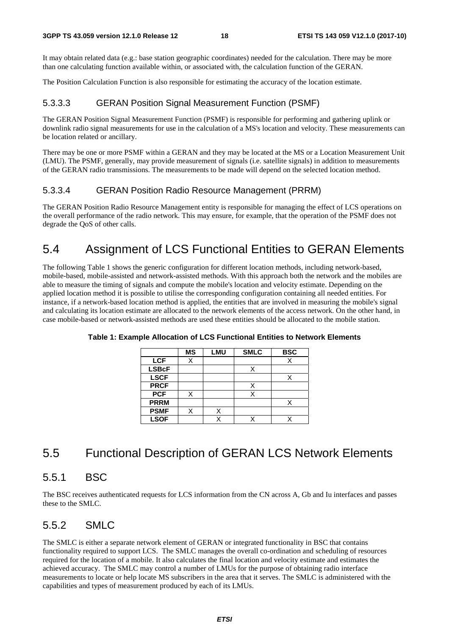It may obtain related data (e.g.: base station geographic coordinates) needed for the calculation. There may be more than one calculating function available within, or associated with, the calculation function of the GERAN.

The Position Calculation Function is also responsible for estimating the accuracy of the location estimate.

### 5.3.3.3 GERAN Position Signal Measurement Function (PSMF)

The GERAN Position Signal Measurement Function (PSMF) is responsible for performing and gathering uplink or downlink radio signal measurements for use in the calculation of a MS's location and velocity. These measurements can be location related or ancillary.

There may be one or more PSMF within a GERAN and they may be located at the MS or a Location Measurement Unit (LMU). The PSMF, generally, may provide measurement of signals (i.e. satellite signals) in addition to measurements of the GERAN radio transmissions. The measurements to be made will depend on the selected location method.

### 5.3.3.4 GERAN Position Radio Resource Management (PRRM)

The GERAN Position Radio Resource Management entity is responsible for managing the effect of LCS operations on the overall performance of the radio network. This may ensure, for example, that the operation of the PSMF does not degrade the QoS of other calls.

# 5.4 Assignment of LCS Functional Entities to GERAN Elements

The following Table 1 shows the generic configuration for different location methods, including network-based, mobile-based, mobile-assisted and network-assisted methods. With this approach both the network and the mobiles are able to measure the timing of signals and compute the mobile's location and velocity estimate. Depending on the applied location method it is possible to utilise the corresponding configuration containing all needed entities. For instance, if a network-based location method is applied, the entities that are involved in measuring the mobile's signal and calculating its location estimate are allocated to the network elements of the access network. On the other hand, in case mobile-based or network-assisted methods are used these entities should be allocated to the mobile station.

|              | <b>MS</b> | <b>LMU</b> | <b>SMLC</b> | <b>BSC</b> |
|--------------|-----------|------------|-------------|------------|
| <b>LCF</b>   | Χ         |            |             |            |
| <b>LSBcF</b> |           |            |             |            |
| <b>LSCF</b>  |           |            |             |            |
| <b>PRCF</b>  |           |            | X           |            |
| <b>PCF</b>   |           |            |             |            |
| <b>PRRM</b>  |           |            |             |            |
| <b>PSMF</b>  |           |            |             |            |
| <b>LSOF</b>  |           |            |             |            |

**Table 1: Example Allocation of LCS Functional Entities to Network Elements** 

# 5.5 Functional Description of GERAN LCS Network Elements

# 5.5.1 BSC

The BSC receives authenticated requests for LCS information from the CN across A, Gb and Iu interfaces and passes these to the SMLC.

# 5.5.2 SMLC

The SMLC is either a separate network element of GERAN or integrated functionality in BSC that contains functionality required to support LCS. The SMLC manages the overall co-ordination and scheduling of resources required for the location of a mobile. It also calculates the final location and velocity estimate and estimates the achieved accuracy. The SMLC may control a number of LMUs for the purpose of obtaining radio interface measurements to locate or help locate MS subscribers in the area that it serves. The SMLC is administered with the capabilities and types of measurement produced by each of its LMUs.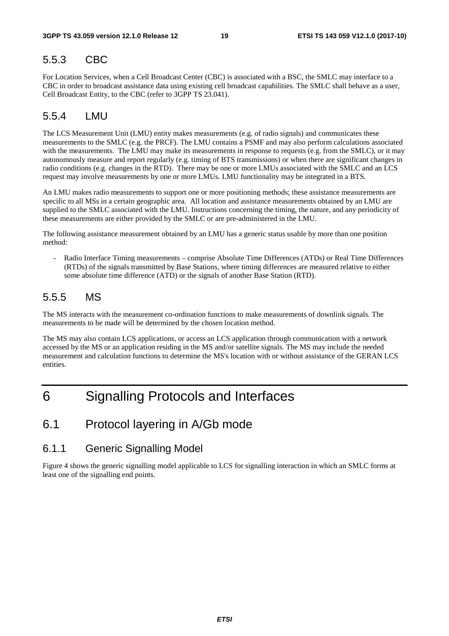# 5.5.3 CBC

For Location Services, when a Cell Broadcast Center (CBC) is associated with a BSC, the SMLC may interface to a CBC in order to broadcast assistance data using existing cell broadcast capabilities. The SMLC shall behave as a user, Cell Broadcast Entity, to the CBC (refer to 3GPP TS 23.041).

### 5.5.4 LMU

The LCS Measurement Unit (LMU) entity makes measurements (e.g. of radio signals) and communicates these measurements to the SMLC (e.g. the PRCF). The LMU contains a PSMF and may also perform calculations associated with the measurements. The LMU may make its measurements in response to requests (e.g. from the SMLC), or it may autonomously measure and report regularly (e.g. timing of BTS transmissions) or when there are significant changes in radio conditions (e.g. changes in the RTD). There may be one or more LMUs associated with the SMLC and an LCS request may involve measurements by one or more LMUs. LMU functionality may be integrated in a BTS.

An LMU makes radio measurements to support one or more positioning methods; these assistance measurements are specific to all MSs in a certain geographic area. All location and assistance measurements obtained by an LMU are supplied to the SMLC associated with the LMU. Instructions concerning the timing, the nature, and any periodicity of these measurements are either provided by the SMLC or are pre-administered in the LMU.

The following assistance measurement obtained by an LMU has a generic status usable by more than one position method:

- Radio Interface Timing measurements – comprise Absolute Time Differences (ATDs) or Real Time Differences (RTDs) of the signals transmitted by Base Stations, where timing differences are measured relative to either some absolute time difference (ATD) or the signals of another Base Station (RTD).

# 5.5.5 MS

The MS interacts with the measurement co-ordination functions to make measurements of downlink signals. The measurements to be made will be determined by the chosen location method.

The MS may also contain LCS applications, or access an LCS application through communication with a network accessed by the MS or an application residing in the MS and/or satellite signals. The MS may include the needed measurement and calculation functions to determine the MS's location with or without assistance of the GERAN LCS entities.

# 6 Signalling Protocols and Interfaces

# 6.1 Protocol layering in A/Gb mode

### 6.1.1 Generic Signalling Model

Figure 4 shows the generic signalling model applicable to LCS for signalling interaction in which an SMLC forms at least one of the signalling end points.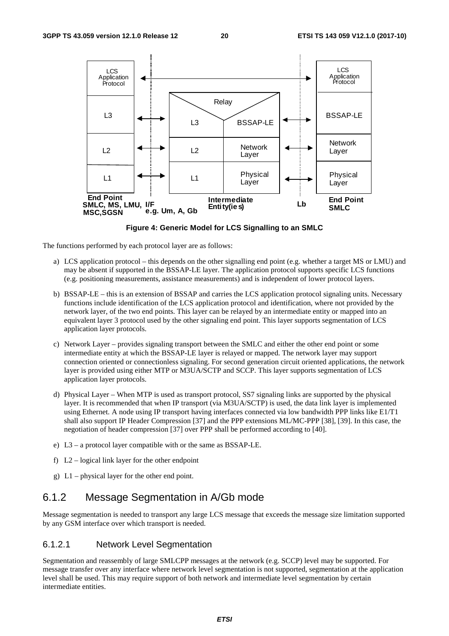

**Figure 4: Generic Model for LCS Signalling to an SMLC** 

The functions performed by each protocol layer are as follows:

- a) LCS application protocol this depends on the other signalling end point (e.g. whether a target MS or LMU) and may be absent if supported in the BSSAP-LE layer. The application protocol supports specific LCS functions (e.g. positioning measurements, assistance measurements) and is independent of lower protocol layers.
- b) BSSAP-LE this is an extension of BSSAP and carries the LCS application protocol signaling units. Necessary functions include identification of the LCS application protocol and identification, where not provided by the network layer, of the two end points. This layer can be relayed by an intermediate entity or mapped into an equivalent layer 3 protocol used by the other signaling end point. This layer supports segmentation of LCS application layer protocols.
- c) Network Layer provides signaling transport between the SMLC and either the other end point or some intermediate entity at which the BSSAP-LE layer is relayed or mapped. The network layer may support connection oriented or connectionless signaling. For second generation circuit oriented applications, the network layer is provided using either MTP or M3UA/SCTP and SCCP. This layer supports segmentation of LCS application layer protocols.
- d) Physical Layer When MTP is used as transport protocol, SS7 signaling links are supported by the physical layer. It is recommended that when IP transport (via M3UA/SCTP) is used, the data link layer is implemented using Ethernet. A node using IP transport having interfaces connected via low bandwidth PPP links like E1/T1 shall also support IP Header Compression [37] and the PPP extensions ML/MC-PPP [38], [39]. In this case, the negotiation of header compression [37] over PPP shall be performed according to [40].
- e) L3 a protocol layer compatible with or the same as BSSAP-LE.
- f) L2 logical link layer for the other endpoint
- g) L1 physical layer for the other end point.

### 6.1.2 Message Segmentation in A/Gb mode

Message segmentation is needed to transport any large LCS message that exceeds the message size limitation supported by any GSM interface over which transport is needed.

#### 6.1.2.1 Network Level Segmentation

Segmentation and reassembly of large SMLCPP messages at the network (e.g. SCCP) level may be supported. For message transfer over any interface where network level segmentation is not supported, segmentation at the application level shall be used. This may require support of both network and intermediate level segmentation by certain intermediate entities.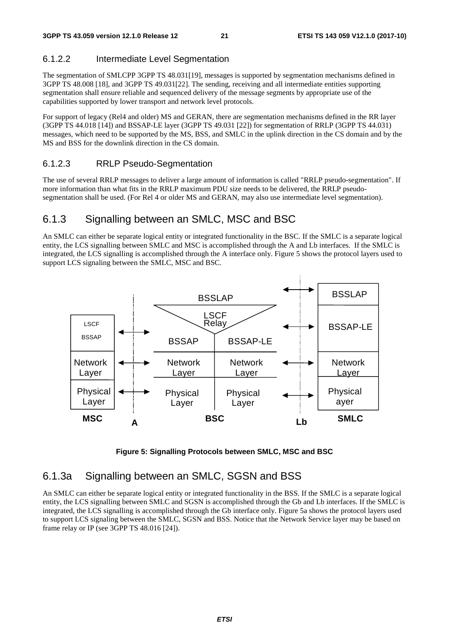### 6.1.2.2 Intermediate Level Segmentation

The segmentation of SMLCPP 3GPP TS 48.031[19], messages is supported by segmentation mechanisms defined in 3GPP TS 48.008 [18], and 3GPP TS 49.031[22]. The sending, receiving and all intermediate entities supporting segmentation shall ensure reliable and sequenced delivery of the message segments by appropriate use of the capabilities supported by lower transport and network level protocols.

For support of legacy (Rel4 and older) MS and GERAN, there are segmentation mechanisms defined in the RR layer (3GPP TS 44.018 [14]) and BSSAP-LE layer (3GPP TS 49.031 [22]) for segmentation of RRLP (3GPP TS 44.031) messages, which need to be supported by the MS, BSS, and SMLC in the uplink direction in the CS domain and by the MS and BSS for the downlink direction in the CS domain.

#### 6.1.2.3 RRLP Pseudo-Segmentation

The use of several RRLP messages to deliver a large amount of information is called "RRLP pseudo-segmentation". If more information than what fits in the RRLP maximum PDU size needs to be delivered, the RRLP pseudosegmentation shall be used. (For Rel 4 or older MS and GERAN, may also use intermediate level segmentation).

### 6.1.3 Signalling between an SMLC, MSC and BSC

An SMLC can either be separate logical entity or integrated functionality in the BSC. If the SMLC is a separate logical entity, the LCS signalling between SMLC and MSC is accomplished through the A and Lb interfaces. If the SMLC is integrated, the LCS signalling is accomplished through the A interface only. Figure 5 shows the protocol layers used to support LCS signaling between the SMLC, MSC and BSC.





### 6.1.3a Signalling between an SMLC, SGSN and BSS

An SMLC can either be separate logical entity or integrated functionality in the BSS. If the SMLC is a separate logical entity, the LCS signalling between SMLC and SGSN is accomplished through the Gb and Lb interfaces. If the SMLC is integrated, the LCS signalling is accomplished through the Gb interface only. Figure 5a shows the protocol layers used to support LCS signaling between the SMLC, SGSN and BSS. Notice that the Network Service layer may be based on frame relay or IP (see 3GPP TS 48.016 [24]).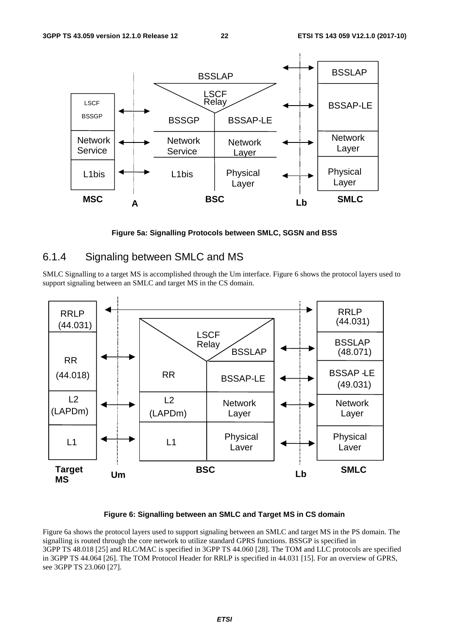

**Figure 5a: Signalling Protocols between SMLC, SGSN and BSS** 

### 6.1.4 Signaling between SMLC and MS

SMLC Signalling to a target MS is accomplished through the Um interface. Figure 6 shows the protocol layers used to support signaling between an SMLC and target MS in the CS domain.



#### **Figure 6: Signalling between an SMLC and Target MS in CS domain**

Figure 6a shows the protocol layers used to support signaling between an SMLC and target MS in the PS domain. The signalling is routed through the core network to utilize standard GPRS functions. BSSGP is specified in 3GPP TS 48.018 [25] and RLC/MAC is specified in 3GPP TS 44.060 [28]. The TOM and LLC protocols are specified in 3GPP TS 44.064 [26]. The TOM Protocol Header for RRLP is specified in 44.031 [15]. For an overview of GPRS, see 3GPP TS 23.060 [27].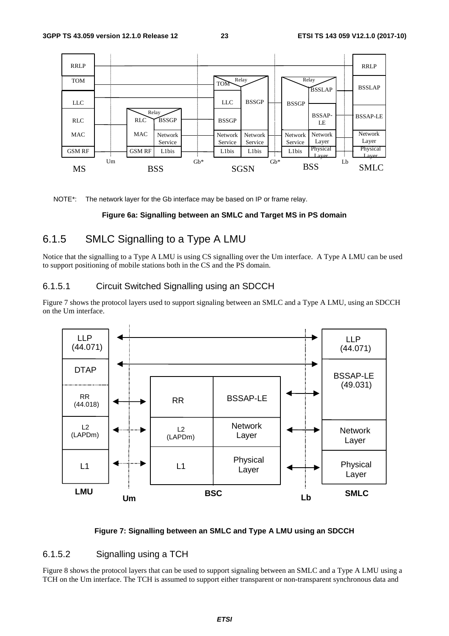![](_page_23_Figure_3.jpeg)

NOTE\*: The network layer for the Gb interface may be based on IP or frame relay.

#### **Figure 6a: Signalling between an SMLC and Target MS in PS domain**

### 6.1.5 SMLC Signalling to a Type A LMU

Notice that the signalling to a Type A LMU is using CS signalling over the Um interface. A Type A LMU can be used to support positioning of mobile stations both in the CS and the PS domain.

#### 6.1.5.1 Circuit Switched Signalling using an SDCCH

Figure 7 shows the protocol layers used to support signaling between an SMLC and a Type A LMU, using an SDCCH on the Um interface.

![](_page_23_Figure_10.jpeg)

#### **Figure 7: Signalling between an SMLC and Type A LMU using an SDCCH**

#### 6.1.5.2 Signalling using a TCH

Figure 8 shows the protocol layers that can be used to support signaling between an SMLC and a Type A LMU using a TCH on the Um interface. The TCH is assumed to support either transparent or non-transparent synchronous data and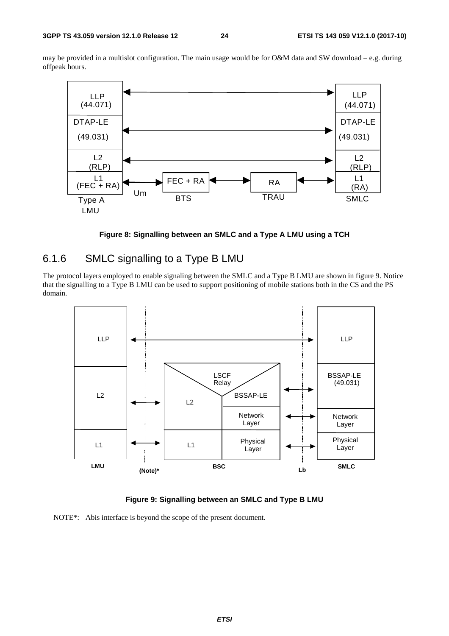may be provided in a multislot configuration. The main usage would be for O&M data and SW download – e.g. during offpeak hours.

![](_page_24_Figure_4.jpeg)

**Figure 8: Signalling between an SMLC and a Type A LMU using a TCH** 

### 6.1.6 SMLC signalling to a Type B LMU

The protocol layers employed to enable signaling between the SMLC and a Type B LMU are shown in figure 9. Notice that the signalling to a Type B LMU can be used to support positioning of mobile stations both in the CS and the PS domain.

![](_page_24_Figure_8.jpeg)

**Figure 9: Signalling between an SMLC and Type B LMU** 

NOTE\*: Abis interface is beyond the scope of the present document.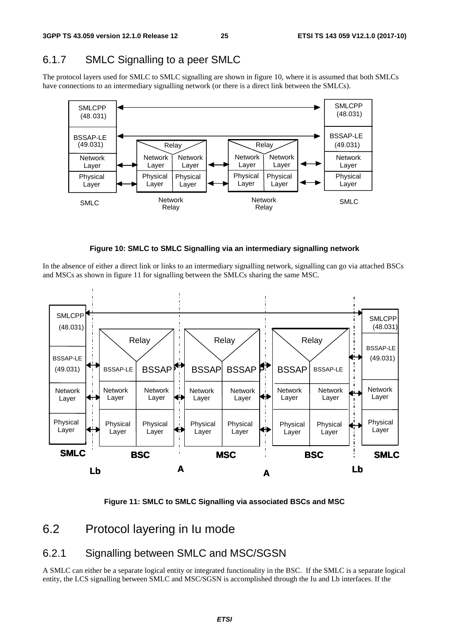# 6.1.7 SMLC Signalling to a peer SMLC

The protocol layers used for SMLC to SMLC signalling are shown in figure 10, where it is assumed that both SMLCs have connections to an intermediary signalling network (or there is a direct link between the SMLCs).

![](_page_25_Figure_5.jpeg)

![](_page_25_Figure_6.jpeg)

In the absence of either a direct link or links to an intermediary signalling network, signalling can go via attached BSCs and MSCs as shown in figure 11 for signalling between the SMLCs sharing the same MSC.

![](_page_25_Figure_8.jpeg)

**Figure 11: SMLC to SMLC Signalling via associated BSCs and MSC** 

# 6.2 Protocol layering in Iu mode

# 6.2.1 Signalling between SMLC and MSC/SGSN

A SMLC can either be a separate logical entity or integrated functionality in the BSC. If the SMLC is a separate logical entity, the LCS signalling between SMLC and MSC/SGSN is accomplished through the Iu and Lb interfaces. If the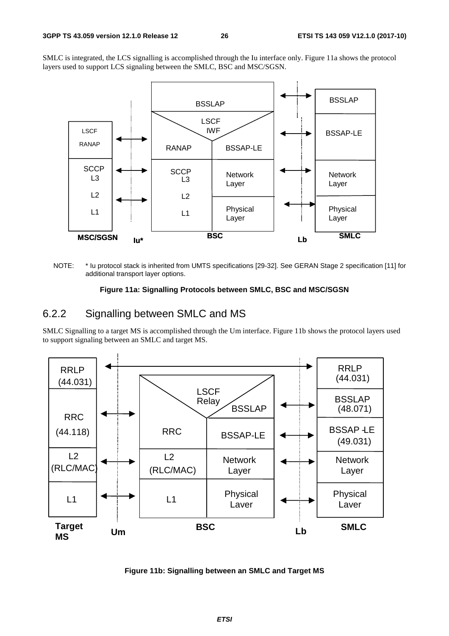SMLC is integrated, the LCS signalling is accomplished through the Iu interface only. Figure 11a shows the protocol layers used to support LCS signaling between the SMLC, BSC and MSC/SGSN.

![](_page_26_Figure_4.jpeg)

NOTE: \* Iu protocol stack is inherited from UMTS specifications [29-32]. See GERAN Stage 2 specification [11] for additional transport layer options.

#### **Figure 11a: Signalling Protocols between SMLC, BSC and MSC/SGSN**

### 6.2.2 Signalling between SMLC and MS

SMLC Signalling to a target MS is accomplished through the Um interface. Figure 11b shows the protocol layers used to support signaling between an SMLC and target MS.

![](_page_26_Figure_9.jpeg)

**Figure 11b: Signalling between an SMLC and Target MS**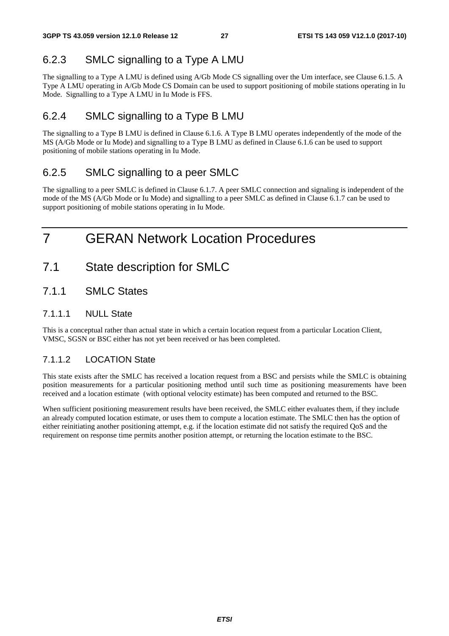# 6.2.3 SMLC signalling to a Type A LMU

The signalling to a Type A LMU is defined using A/Gb Mode CS signalling over the Um interface, see Clause 6.1.5. A Type A LMU operating in A/Gb Mode CS Domain can be used to support positioning of mobile stations operating in Iu Mode. Signalling to a Type A LMU in Iu Mode is FFS.

# 6.2.4 SMLC signalling to a Type B LMU

The signalling to a Type B LMU is defined in Clause 6.1.6. A Type B LMU operates independently of the mode of the MS (A/Gb Mode or Iu Mode) and signalling to a Type B LMU as defined in Clause 6.1.6 can be used to support positioning of mobile stations operating in Iu Mode.

# 6.2.5 SMLC signalling to a peer SMLC

The signalling to a peer SMLC is defined in Clause 6.1.7. A peer SMLC connection and signaling is independent of the mode of the MS (A/Gb Mode or Iu Mode) and signalling to a peer SMLC as defined in Clause 6.1.7 can be used to support positioning of mobile stations operating in Iu Mode.

# 7 GERAN Network Location Procedures

- 7.1 State description for SMLC
- 7.1.1 SMLC States

### 7.1.1.1 NULL State

This is a conceptual rather than actual state in which a certain location request from a particular Location Client, VMSC, SGSN or BSC either has not yet been received or has been completed.

### 7.1.1.2 LOCATION State

This state exists after the SMLC has received a location request from a BSC and persists while the SMLC is obtaining position measurements for a particular positioning method until such time as positioning measurements have been received and a location estimate (with optional velocity estimate) has been computed and returned to the BSC.

When sufficient positioning measurement results have been received, the SMLC either evaluates them, if they include an already computed location estimate, or uses them to compute a location estimate. The SMLC then has the option of either reinitiating another positioning attempt, e.g. if the location estimate did not satisfy the required QoS and the requirement on response time permits another position attempt, or returning the location estimate to the BSC.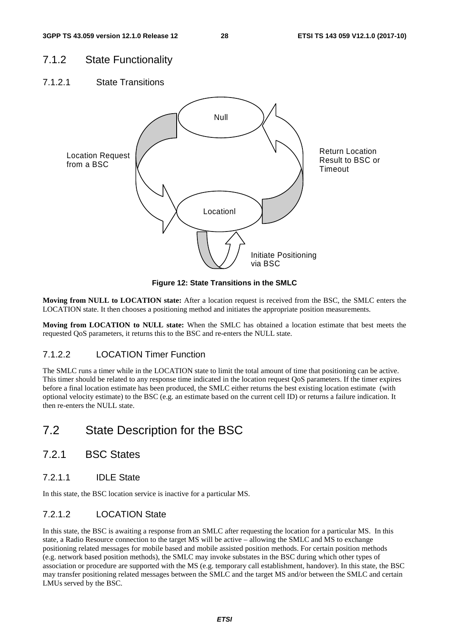### 7.1.2 State Functionality

7.1.2.1 State Transitions

![](_page_28_Figure_5.jpeg)

**Figure 12: State Transitions in the SMLC** 

**Moving from NULL to LOCATION state:** After a location request is received from the BSC, the SMLC enters the LOCATION state. It then chooses a positioning method and initiates the appropriate position measurements.

**Moving from LOCATION to NULL state:** When the SMLC has obtained a location estimate that best meets the requested QoS parameters, it returns this to the BSC and re-enters the NULL state.

### 7.1.2.2 LOCATION Timer Function

The SMLC runs a timer while in the LOCATION state to limit the total amount of time that positioning can be active. This timer should be related to any response time indicated in the location request QoS parameters. If the timer expires before a final location estimate has been produced, the SMLC either returns the best existing location estimate (with optional velocity estimate) to the BSC (e.g. an estimate based on the current cell ID) or returns a failure indication. It then re-enters the NULL state.

# 7.2 State Description for the BSC

- 7.2.1 BSC States
- 7.2.1.1 IDLE State

In this state, the BSC location service is inactive for a particular MS.

### 7.2.1.2 LOCATION State

In this state, the BSC is awaiting a response from an SMLC after requesting the location for a particular MS. In this state, a Radio Resource connection to the target MS will be active – allowing the SMLC and MS to exchange positioning related messages for mobile based and mobile assisted position methods. For certain position methods (e.g. network based position methods), the SMLC may invoke substates in the BSC during which other types of association or procedure are supported with the MS (e.g. temporary call establishment, handover). In this state, the BSC may transfer positioning related messages between the SMLC and the target MS and/or between the SMLC and certain LMUs served by the BSC.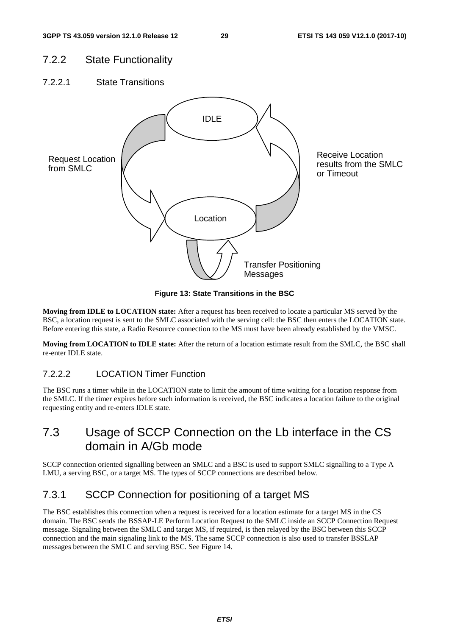### 7.2.2 State Functionality

7.2.2.1 State Transitions

![](_page_29_Figure_5.jpeg)

**Figure 13: State Transitions in the BSC** 

**Moving from IDLE to LOCATION state:** After a request has been received to locate a particular MS served by the BSC, a location request is sent to the SMLC associated with the serving cell: the BSC then enters the LOCATION state. Before entering this state, a Radio Resource connection to the MS must have been already established by the VMSC.

**Moving from LOCATION to IDLE state:** After the return of a location estimate result from the SMLC, the BSC shall re-enter IDLE state.

### 7.2.2.2 LOCATION Timer Function

The BSC runs a timer while in the LOCATION state to limit the amount of time waiting for a location response from the SMLC. If the timer expires before such information is received, the BSC indicates a location failure to the original requesting entity and re-enters IDLE state.

# 7.3 Usage of SCCP Connection on the Lb interface in the CS domain in A/Gb mode

SCCP connection oriented signalling between an SMLC and a BSC is used to support SMLC signalling to a Type A LMU, a serving BSC, or a target MS. The types of SCCP connections are described below.

# 7.3.1 SCCP Connection for positioning of a target MS

The BSC establishes this connection when a request is received for a location estimate for a target MS in the CS domain. The BSC sends the BSSAP-LE Perform Location Request to the SMLC inside an SCCP Connection Request message. Signaling between the SMLC and target MS, if required, is then relayed by the BSC between this SCCP connection and the main signaling link to the MS. The same SCCP connection is also used to transfer BSSLAP messages between the SMLC and serving BSC. See Figure 14.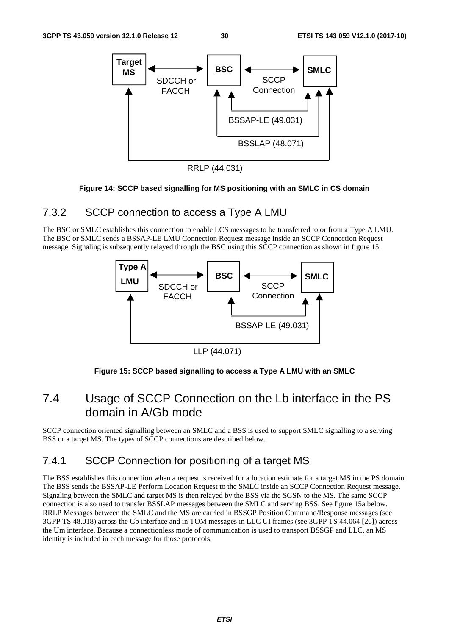![](_page_30_Figure_3.jpeg)

RRLP (44.031)

#### **Figure 14: SCCP based signalling for MS positioning with an SMLC in CS domain**

### 7.3.2 SCCP connection to access a Type A LMU

The BSC or SMLC establishes this connection to enable LCS messages to be transferred to or from a Type A LMU. The BSC or SMLC sends a BSSAP-LE LMU Connection Request message inside an SCCP Connection Request message. Signaling is subsequently relayed through the BSC using this SCCP connection as shown in figure 15.

![](_page_30_Figure_8.jpeg)

LLP (44.071)

#### **Figure 15: SCCP based signalling to access a Type A LMU with an SMLC**

# 7.4 Usage of SCCP Connection on the Lb interface in the PS domain in A/Gb mode

SCCP connection oriented signalling between an SMLC and a BSS is used to support SMLC signalling to a serving BSS or a target MS. The types of SCCP connections are described below.

### 7.4.1 SCCP Connection for positioning of a target MS

The BSS establishes this connection when a request is received for a location estimate for a target MS in the PS domain. The BSS sends the BSSAP-LE Perform Location Request to the SMLC inside an SCCP Connection Request message. Signaling between the SMLC and target MS is then relayed by the BSS via the SGSN to the MS. The same SCCP connection is also used to transfer BSSLAP messages between the SMLC and serving BSS. See figure 15a below. RRLP Messages between the SMLC and the MS are carried in BSSGP Position Command/Response messages (see 3GPP TS 48.018) across the Gb interface and in TOM messages in LLC UI frames (see 3GPP TS 44.064 [26]) across the Um interface. Because a connectionless mode of communication is used to transport BSSGP and LLC, an MS identity is included in each message for those protocols.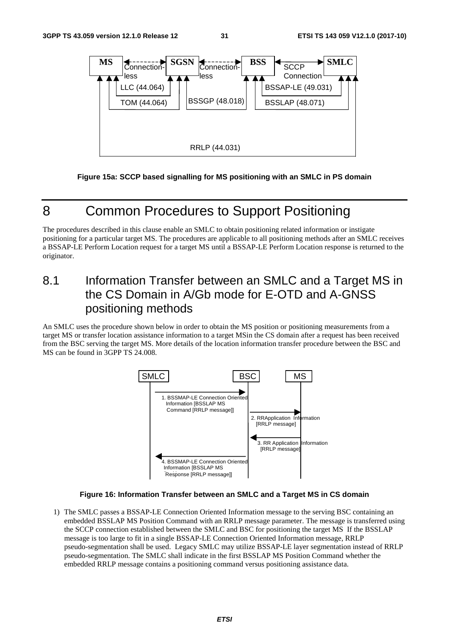![](_page_31_Figure_3.jpeg)

**Figure 15a: SCCP based signalling for MS positioning with an SMLC in PS domain** 

# 8 Common Procedures to Support Positioning

The procedures described in this clause enable an SMLC to obtain positioning related information or instigate positioning for a particular target MS. The procedures are applicable to all positioning methods after an SMLC receives a BSSAP-LE Perform Location request for a target MS until a BSSAP-LE Perform Location response is returned to the originator.

# 8.1 Information Transfer between an SMLC and a Target MS in the CS Domain in A/Gb mode for E-OTD and A-GNSS positioning methods

An SMLC uses the procedure shown below in order to obtain the MS position or positioning measurements from a target MS or transfer location assistance information to a target MSin the CS domain after a request has been received from the BSC serving the target MS. More details of the location information transfer procedure between the BSC and MS can be found in 3GPP TS 24.008.

![](_page_31_Figure_9.jpeg)

#### **Figure 16: Information Transfer between an SMLC and a Target MS in CS domain**

1) The SMLC passes a BSSAP-LE Connection Oriented Information message to the serving BSC containing an embedded BSSLAP MS Position Command with an RRLP message parameter. The message is transferred using the SCCP connection established between the SMLC and BSC for positioning the target MS If the BSSLAP message is too large to fit in a single BSSAP-LE Connection Oriented Information message, RRLP pseudo-segmentation shall be used. Legacy SMLC may utilize BSSAP-LE layer segmentation instead of RRLP pseudo-segmentation. The SMLC shall indicate in the first BSSLAP MS Position Command whether the embedded RRLP message contains a positioning command versus positioning assistance data.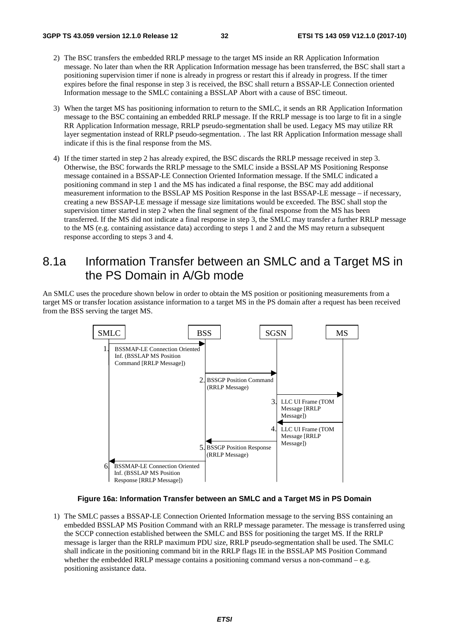- 2) The BSC transfers the embedded RRLP message to the target MS inside an RR Application Information message. No later than when the RR Application Information message has been transferred, the BSC shall start a positioning supervision timer if none is already in progress or restart this if already in progress. If the timer expires before the final response in step 3 is received, the BSC shall return a BSSAP-LE Connection oriented Information message to the SMLC containing a BSSLAP Abort with a cause of BSC timeout.
- 3) When the target MS has positioning information to return to the SMLC, it sends an RR Application Information message to the BSC containing an embedded RRLP message. If the RRLP message is too large to fit in a single RR Application Information message, RRLP pseudo-segmentation shall be used. Legacy MS may utilize RR layer segmentation instead of RRLP pseudo-segmentation. . The last RR Application Information message shall indicate if this is the final response from the MS.
- 4) If the timer started in step 2 has already expired, the BSC discards the RRLP message received in step 3. Otherwise, the BSC forwards the RRLP message to the SMLC inside a BSSLAP MS Positioning Response message contained in a BSSAP-LE Connection Oriented Information message. If the SMLC indicated a positioning command in step 1 and the MS has indicated a final response, the BSC may add additional measurement information to the BSSLAP MS Position Response in the last BSSAP-LE message – if necessary, creating a new BSSAP-LE message if message size limitations would be exceeded. The BSC shall stop the supervision timer started in step 2 when the final segment of the final response from the MS has been transferred. If the MS did not indicate a final response in step 3, the SMLC may transfer a further RRLP message to the MS (e.g. containing assistance data) according to steps 1 and 2 and the MS may return a subsequent response according to steps 3 and 4.

# 8.1a Information Transfer between an SMLC and a Target MS in the PS Domain in A/Gb mode

An SMLC uses the procedure shown below in order to obtain the MS position or positioning measurements from a target MS or transfer location assistance information to a target MS in the PS domain after a request has been received from the BSS serving the target MS.

![](_page_32_Figure_8.jpeg)

#### **Figure 16a: Information Transfer between an SMLC and a Target MS in PS Domain**

1) The SMLC passes a BSSAP-LE Connection Oriented Information message to the serving BSS containing an embedded BSSLAP MS Position Command with an RRLP message parameter. The message is transferred using the SCCP connection established between the SMLC and BSS for positioning the target MS. If the RRLP message is larger than the RRLP maximum PDU size, RRLP pseudo-segmentation shall be used. The SMLC shall indicate in the positioning command bit in the RRLP flags IE in the BSSLAP MS Position Command whether the embedded RRLP message contains a positioning command versus a non-command  $-e.g.$ positioning assistance data.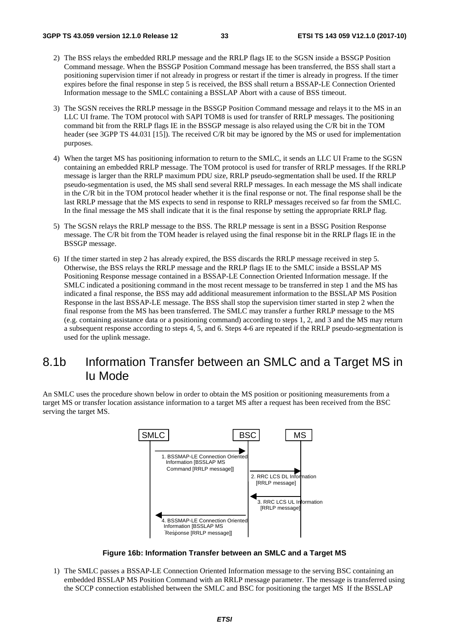- 2) The BSS relays the embedded RRLP message and the RRLP flags IE to the SGSN inside a BSSGP Position Command message. When the BSSGP Position Command message has been transferred, the BSS shall start a positioning supervision timer if not already in progress or restart if the timer is already in progress. If the timer expires before the final response in step 5 is received, the BSS shall return a BSSAP-LE Connection Oriented Information message to the SMLC containing a BSSLAP Abort with a cause of BSS timeout.
- 3) The SGSN receives the RRLP message in the BSSGP Position Command message and relays it to the MS in an LLC UI frame. The TOM protocol with SAPI TOM8 is used for transfer of RRLP messages. The positioning command bit from the RRLP flags IE in the BSSGP message is also relayed using the C/R bit in the TOM header (see 3GPP TS 44.031 [15]). The received C/R bit may be ignored by the MS or used for implementation purposes.
- 4) When the target MS has positioning information to return to the SMLC, it sends an LLC UI Frame to the SGSN containing an embedded RRLP message. The TOM protocol is used for transfer of RRLP messages. If the RRLP message is larger than the RRLP maximum PDU size, RRLP pseudo-segmentation shall be used. If the RRLP pseudo-segmentation is used, the MS shall send several RRLP messages. In each message the MS shall indicate in the C/R bit in the TOM protocol header whether it is the final response or not. The final response shall be the last RRLP message that the MS expects to send in response to RRLP messages received so far from the SMLC. In the final message the MS shall indicate that it is the final response by setting the appropriate RRLP flag.
- 5) The SGSN relays the RRLP message to the BSS. The RRLP message is sent in a BSSG Position Response message. The C/R bit from the TOM header is relayed using the final response bit in the RRLP flags IE in the BSSGP message.
- 6) If the timer started in step 2 has already expired, the BSS discards the RRLP message received in step 5. Otherwise, the BSS relays the RRLP message and the RRLP flags IE to the SMLC inside a BSSLAP MS Positioning Response message contained in a BSSAP-LE Connection Oriented Information message. If the SMLC indicated a positioning command in the most recent message to be transferred in step 1 and the MS has indicated a final response, the BSS may add additional measurement information to the BSSLAP MS Position Response in the last BSSAP-LE message. The BSS shall stop the supervision timer started in step 2 when the final response from the MS has been transferred. The SMLC may transfer a further RRLP message to the MS (e.g. containing assistance data or a positioning command) according to steps 1, 2, and 3 and the MS may return a subsequent response according to steps 4, 5, and 6. Steps 4-6 are repeated if the RRLP pseudo-segmentation is used for the uplink message.

# 8.1b Information Transfer between an SMLC and a Target MS in Iu Mode

An SMLC uses the procedure shown below in order to obtain the MS position or positioning measurements from a target MS or transfer location assistance information to a target MS after a request has been received from the BSC serving the target MS.

![](_page_33_Figure_10.jpeg)

**Figure 16b: Information Transfer between an SMLC and a Target MS** 

1) The SMLC passes a BSSAP-LE Connection Oriented Information message to the serving BSC containing an embedded BSSLAP MS Position Command with an RRLP message parameter. The message is transferred using the SCCP connection established between the SMLC and BSC for positioning the target MS If the BSSLAP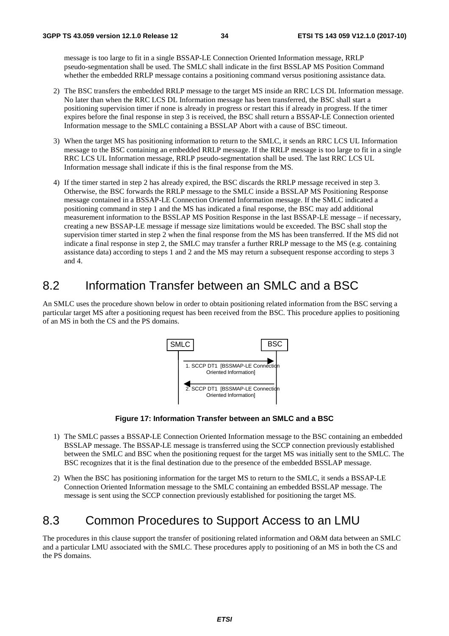message is too large to fit in a single BSSAP-LE Connection Oriented Information message, RRLP pseudo-segmentation shall be used. The SMLC shall indicate in the first BSSLAP MS Position Command whether the embedded RRLP message contains a positioning command versus positioning assistance data.

- 2) The BSC transfers the embedded RRLP message to the target MS inside an RRC LCS DL Information message. No later than when the RRC LCS DL Information message has been transferred, the BSC shall start a positioning supervision timer if none is already in progress or restart this if already in progress. If the timer expires before the final response in step 3 is received, the BSC shall return a BSSAP-LE Connection oriented Information message to the SMLC containing a BSSLAP Abort with a cause of BSC timeout.
- 3) When the target MS has positioning information to return to the SMLC, it sends an RRC LCS UL Information message to the BSC containing an embedded RRLP message. If the RRLP message is too large to fit in a single RRC LCS UL Information message, RRLP pseudo-segmentation shall be used. The last RRC LCS UL Information message shall indicate if this is the final response from the MS.
- 4) If the timer started in step 2 has already expired, the BSC discards the RRLP message received in step 3. Otherwise, the BSC forwards the RRLP message to the SMLC inside a BSSLAP MS Positioning Response message contained in a BSSAP-LE Connection Oriented Information message. If the SMLC indicated a positioning command in step 1 and the MS has indicated a final response, the BSC may add additional measurement information to the BSSLAP MS Position Response in the last BSSAP-LE message – if necessary, creating a new BSSAP-LE message if message size limitations would be exceeded. The BSC shall stop the supervision timer started in step 2 when the final response from the MS has been transferred. If the MS did not indicate a final response in step 2, the SMLC may transfer a further RRLP message to the MS (e.g. containing assistance data) according to steps 1 and 2 and the MS may return a subsequent response according to steps 3 and 4.

# 8.2 Information Transfer between an SMLC and a BSC

An SMLC uses the procedure shown below in order to obtain positioning related information from the BSC serving a particular target MS after a positioning request has been received from the BSC. This procedure applies to positioning of an MS in both the CS and the PS domains.

![](_page_34_Figure_9.jpeg)

**Figure 17: Information Transfer between an SMLC and a BSC** 

- 1) The SMLC passes a BSSAP-LE Connection Oriented Information message to the BSC containing an embedded BSSLAP message. The BSSAP-LE message is transferred using the SCCP connection previously established between the SMLC and BSC when the positioning request for the target MS was initially sent to the SMLC. The BSC recognizes that it is the final destination due to the presence of the embedded BSSLAP message.
- 2) When the BSC has positioning information for the target MS to return to the SMLC, it sends a BSSAP-LE Connection Oriented Information message to the SMLC containing an embedded BSSLAP message. The message is sent using the SCCP connection previously established for positioning the target MS.

# 8.3 Common Procedures to Support Access to an LMU

The procedures in this clause support the transfer of positioning related information and O&M data between an SMLC and a particular LMU associated with the SMLC. These procedures apply to positioning of an MS in both the CS and the PS domains.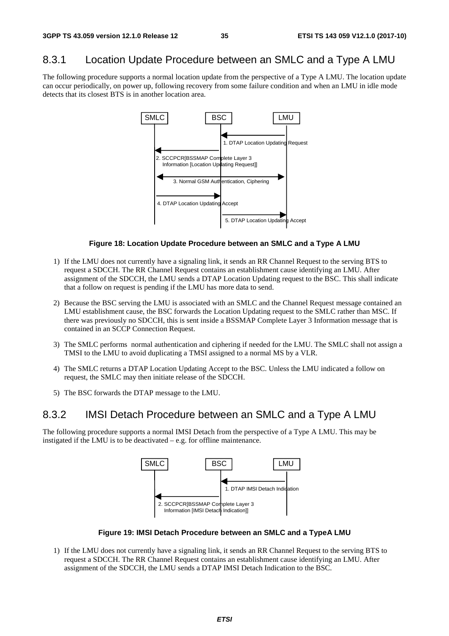### 8.3.1 Location Update Procedure between an SMLC and a Type A LMU

The following procedure supports a normal location update from the perspective of a Type A LMU. The location update can occur periodically, on power up, following recovery from some failure condition and when an LMU in idle mode detects that its closest BTS is in another location area.

![](_page_35_Figure_5.jpeg)

#### **Figure 18: Location Update Procedure between an SMLC and a Type A LMU**

- 1) If the LMU does not currently have a signaling link, it sends an RR Channel Request to the serving BTS to request a SDCCH. The RR Channel Request contains an establishment cause identifying an LMU. After assignment of the SDCCH, the LMU sends a DTAP Location Updating request to the BSC. This shall indicate that a follow on request is pending if the LMU has more data to send.
- 2) Because the BSC serving the LMU is associated with an SMLC and the Channel Request message contained an LMU establishment cause, the BSC forwards the Location Updating request to the SMLC rather than MSC. If there was previously no SDCCH, this is sent inside a BSSMAP Complete Layer 3 Information message that is contained in an SCCP Connection Request.
- 3) The SMLC performs normal authentication and ciphering if needed for the LMU. The SMLC shall not assign a TMSI to the LMU to avoid duplicating a TMSI assigned to a normal MS by a VLR.
- 4) The SMLC returns a DTAP Location Updating Accept to the BSC. Unless the LMU indicated a follow on request, the SMLC may then initiate release of the SDCCH.
- 5) The BSC forwards the DTAP message to the LMU.

### 8.3.2 IMSI Detach Procedure between an SMLC and a Type A LMU

The following procedure supports a normal IMSI Detach from the perspective of a Type A LMU. This may be instigated if the LMU is to be deactivated – e.g. for offline maintenance.

![](_page_35_Figure_14.jpeg)

**Figure 19: IMSI Detach Procedure between an SMLC and a TypeA LMU** 

1) If the LMU does not currently have a signaling link, it sends an RR Channel Request to the serving BTS to request a SDCCH. The RR Channel Request contains an establishment cause identifying an LMU. After assignment of the SDCCH, the LMU sends a DTAP IMSI Detach Indication to the BSC.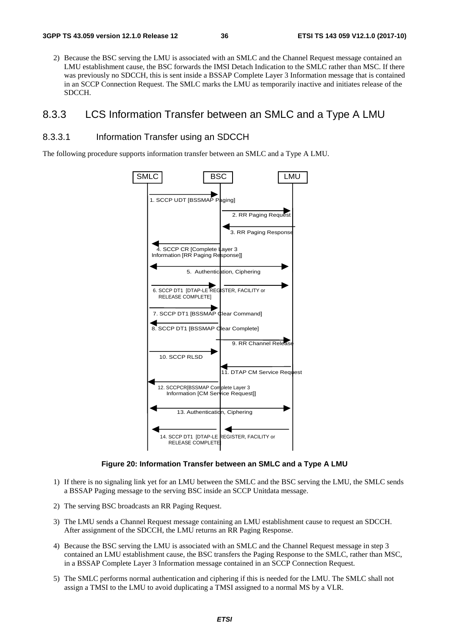2) Because the BSC serving the LMU is associated with an SMLC and the Channel Request message contained an LMU establishment cause, the BSC forwards the IMSI Detach Indication to the SMLC rather than MSC. If there was previously no SDCCH, this is sent inside a BSSAP Complete Layer 3 Information message that is contained in an SCCP Connection Request. The SMLC marks the LMU as temporarily inactive and initiates release of the SDCCH.

## 8.3.3 LCS Information Transfer between an SMLC and a Type A LMU

#### 8.3.3.1 Information Transfer using an SDCCH

The following procedure supports information transfer between an SMLC and a Type A LMU.



#### **Figure 20: Information Transfer between an SMLC and a Type A LMU**

- 1) If there is no signaling link yet for an LMU between the SMLC and the BSC serving the LMU, the SMLC sends a BSSAP Paging message to the serving BSC inside an SCCP Unitdata message.
- 2) The serving BSC broadcasts an RR Paging Request.
- 3) The LMU sends a Channel Request message containing an LMU establishment cause to request an SDCCH. After assignment of the SDCCH, the LMU returns an RR Paging Response.
- 4) Because the BSC serving the LMU is associated with an SMLC and the Channel Request message in step 3 contained an LMU establishment cause, the BSC transfers the Paging Response to the SMLC, rather than MSC, in a BSSAP Complete Layer 3 Information message contained in an SCCP Connection Request.
- 5) The SMLC performs normal authentication and ciphering if this is needed for the LMU. The SMLC shall not assign a TMSI to the LMU to avoid duplicating a TMSI assigned to a normal MS by a VLR.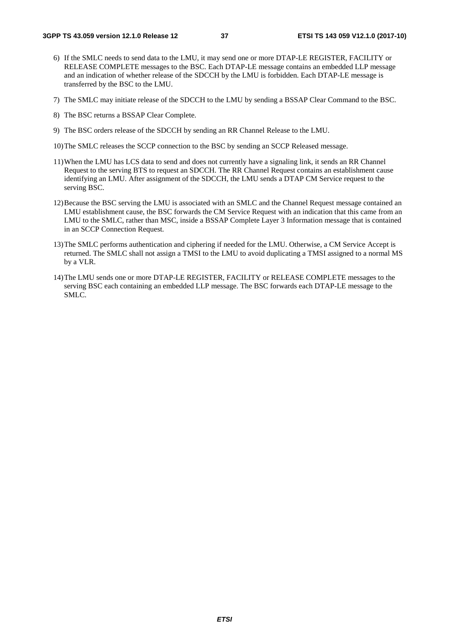- 6) If the SMLC needs to send data to the LMU, it may send one or more DTAP-LE REGISTER, FACILITY or RELEASE COMPLETE messages to the BSC. Each DTAP-LE message contains an embedded LLP message and an indication of whether release of the SDCCH by the LMU is forbidden. Each DTAP-LE message is transferred by the BSC to the LMU.
- 7) The SMLC may initiate release of the SDCCH to the LMU by sending a BSSAP Clear Command to the BSC.
- 8) The BSC returns a BSSAP Clear Complete.
- 9) The BSC orders release of the SDCCH by sending an RR Channel Release to the LMU.
- 10) The SMLC releases the SCCP connection to the BSC by sending an SCCP Released message.
- 11) When the LMU has LCS data to send and does not currently have a signaling link, it sends an RR Channel Request to the serving BTS to request an SDCCH. The RR Channel Request contains an establishment cause identifying an LMU. After assignment of the SDCCH, the LMU sends a DTAP CM Service request to the serving BSC.
- 12) Because the BSC serving the LMU is associated with an SMLC and the Channel Request message contained an LMU establishment cause, the BSC forwards the CM Service Request with an indication that this came from an LMU to the SMLC, rather than MSC, inside a BSSAP Complete Layer 3 Information message that is contained in an SCCP Connection Request.
- 13) The SMLC performs authentication and ciphering if needed for the LMU. Otherwise, a CM Service Accept is returned. The SMLC shall not assign a TMSI to the LMU to avoid duplicating a TMSI assigned to a normal MS by a VLR.
- 14) The LMU sends one or more DTAP-LE REGISTER, FACILITY or RELEASE COMPLETE messages to the serving BSC each containing an embedded LLP message. The BSC forwards each DTAP-LE message to the SMLC.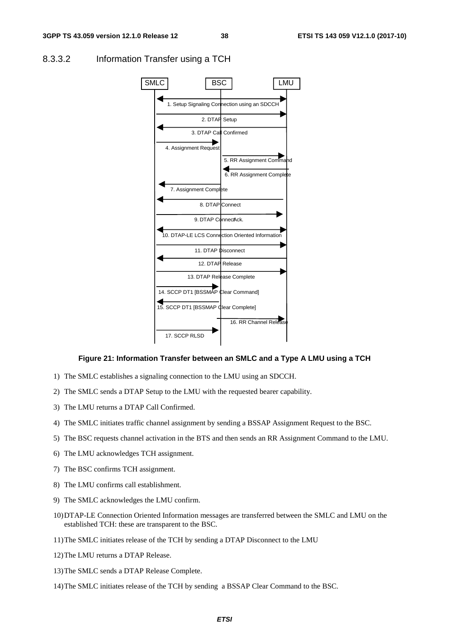

#### 8.3.3.2 Information Transfer using a TCH

#### **Figure 21: Information Transfer between an SMLC and a Type A LMU using a TCH**

- 1) The SMLC establishes a signaling connection to the LMU using an SDCCH.
- 2) The SMLC sends a DTAP Setup to the LMU with the requested bearer capability.
- 3) The LMU returns a DTAP Call Confirmed.
- 4) The SMLC initiates traffic channel assignment by sending a BSSAP Assignment Request to the BSC.
- 5) The BSC requests channel activation in the BTS and then sends an RR Assignment Command to the LMU.
- 6) The LMU acknowledges TCH assignment.
- 7) The BSC confirms TCH assignment.
- 8) The LMU confirms call establishment.
- 9) The SMLC acknowledges the LMU confirm.
- 10) DTAP-LE Connection Oriented Information messages are transferred between the SMLC and LMU on the established TCH: these are transparent to the BSC.
- 11) The SMLC initiates release of the TCH by sending a DTAP Disconnect to the LMU
- 12) The LMU returns a DTAP Release.
- 13) The SMLC sends a DTAP Release Complete.
- 14) The SMLC initiates release of the TCH by sending a BSSAP Clear Command to the BSC.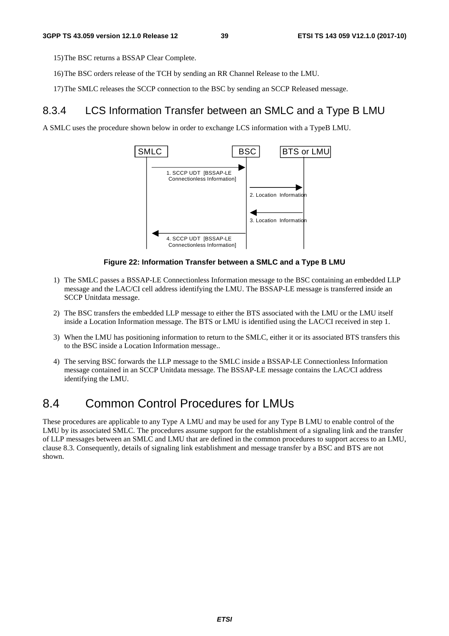15) The BSC returns a BSSAP Clear Complete.

- 16) The BSC orders release of the TCH by sending an RR Channel Release to the LMU.
- 17) The SMLC releases the SCCP connection to the BSC by sending an SCCP Released message.

## 8.3.4 LCS Information Transfer between an SMLC and a Type B LMU

A SMLC uses the procedure shown below in order to exchange LCS information with a TypeB LMU.



#### **Figure 22: Information Transfer between a SMLC and a Type B LMU**

- 1) The SMLC passes a BSSAP-LE Connectionless Information message to the BSC containing an embedded LLP message and the LAC/CI cell address identifying the LMU. The BSSAP-LE message is transferred inside an SCCP Unitdata message.
- 2) The BSC transfers the embedded LLP message to either the BTS associated with the LMU or the LMU itself inside a Location Information message. The BTS or LMU is identified using the LAC/CI received in step 1.
- 3) When the LMU has positioning information to return to the SMLC, either it or its associated BTS transfers this to the BSC inside a Location Information message..
- 4) The serving BSC forwards the LLP message to the SMLC inside a BSSAP-LE Connectionless Information message contained in an SCCP Unitdata message. The BSSAP-LE message contains the LAC/CI address identifying the LMU.

# 8.4 Common Control Procedures for LMUs

These procedures are applicable to any Type A LMU and may be used for any Type B LMU to enable control of the LMU by its associated SMLC. The procedures assume support for the establishment of a signaling link and the transfer of LLP messages between an SMLC and LMU that are defined in the common procedures to support access to an LMU, clause 8.3. Consequently, details of signaling link establishment and message transfer by a BSC and BTS are not shown.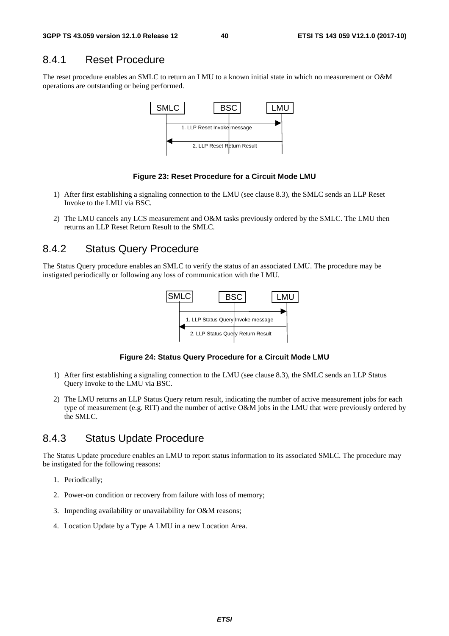## 8.4.1 Reset Procedure

The reset procedure enables an SMLC to return an LMU to a known initial state in which no measurement or O&M operations are outstanding or being performed.



#### **Figure 23: Reset Procedure for a Circuit Mode LMU**

- 1) After first establishing a signaling connection to the LMU (see clause 8.3), the SMLC sends an LLP Reset Invoke to the LMU via BSC.
- 2) The LMU cancels any LCS measurement and O&M tasks previously ordered by the SMLC. The LMU then returns an LLP Reset Return Result to the SMLC.

## 8.4.2 Status Query Procedure

The Status Query procedure enables an SMLC to verify the status of an associated LMU. The procedure may be instigated periodically or following any loss of communication with the LMU.



#### **Figure 24: Status Query Procedure for a Circuit Mode LMU**

- 1) After first establishing a signaling connection to the LMU (see clause 8.3), the SMLC sends an LLP Status Query Invoke to the LMU via BSC.
- 2) The LMU returns an LLP Status Query return result, indicating the number of active measurement jobs for each type of measurement (e.g. RIT) and the number of active O&M jobs in the LMU that were previously ordered by the SMLC.

## 8.4.3 Status Update Procedure

The Status Update procedure enables an LMU to report status information to its associated SMLC. The procedure may be instigated for the following reasons:

- 1. Periodically;
- 2. Power-on condition or recovery from failure with loss of memory;
- 3. Impending availability or unavailability for O&M reasons;
- 4. Location Update by a Type A LMU in a new Location Area.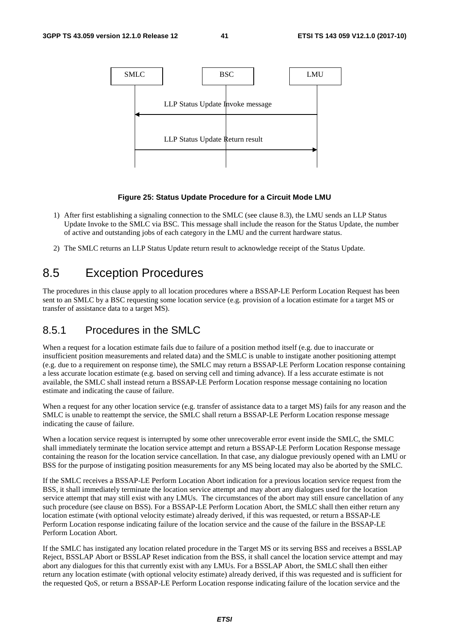

#### **Figure 25: Status Update Procedure for a Circuit Mode LMU**

- 1) After first establishing a signaling connection to the SMLC (see clause 8.3), the LMU sends an LLP Status Update Invoke to the SMLC via BSC. This message shall include the reason for the Status Update, the number of active and outstanding jobs of each category in the LMU and the current hardware status.
- 2) The SMLC returns an LLP Status Update return result to acknowledge receipt of the Status Update.

# 8.5 Exception Procedures

The procedures in this clause apply to all location procedures where a BSSAP-LE Perform Location Request has been sent to an SMLC by a BSC requesting some location service (e.g. provision of a location estimate for a target MS or transfer of assistance data to a target MS).

## 8.5.1 Procedures in the SMLC

When a request for a location estimate fails due to failure of a position method itself (e.g. due to inaccurate or insufficient position measurements and related data) and the SMLC is unable to instigate another positioning attempt (e.g. due to a requirement on response time), the SMLC may return a BSSAP-LE Perform Location response containing a less accurate location estimate (e.g. based on serving cell and timing advance). If a less accurate estimate is not available, the SMLC shall instead return a BSSAP-LE Perform Location response message containing no location estimate and indicating the cause of failure.

When a request for any other location service (e.g. transfer of assistance data to a target MS) fails for any reason and the SMLC is unable to reattempt the service, the SMLC shall return a BSSAP-LE Perform Location response message indicating the cause of failure.

When a location service request is interrupted by some other unrecoverable error event inside the SMLC, the SMLC shall immediately terminate the location service attempt and return a BSSAP-LE Perform Location Response message containing the reason for the location service cancellation. In that case, any dialogue previously opened with an LMU or BSS for the purpose of instigating position measurements for any MS being located may also be aborted by the SMLC.

If the SMLC receives a BSSAP-LE Perform Location Abort indication for a previous location service request from the BSS, it shall immediately terminate the location service attempt and may abort any dialogues used for the location service attempt that may still exist with any LMUs. The circumstances of the abort may still ensure cancellation of any such procedure (see clause on BSS). For a BSSAP-LE Perform Location Abort, the SMLC shall then either return any location estimate (with optional velocity estimate) already derived, if this was requested, or return a BSSAP-LE Perform Location response indicating failure of the location service and the cause of the failure in the BSSAP-LE Perform Location Abort.

If the SMLC has instigated any location related procedure in the Target MS or its serving BSS and receives a BSSLAP Reject, BSSLAP Abort or BSSLAP Reset indication from the BSS, it shall cancel the location service attempt and may abort any dialogues for this that currently exist with any LMUs. For a BSSLAP Abort, the SMLC shall then either return any location estimate (with optional velocity estimate) already derived, if this was requested and is sufficient for the requested QoS, or return a BSSAP-LE Perform Location response indicating failure of the location service and the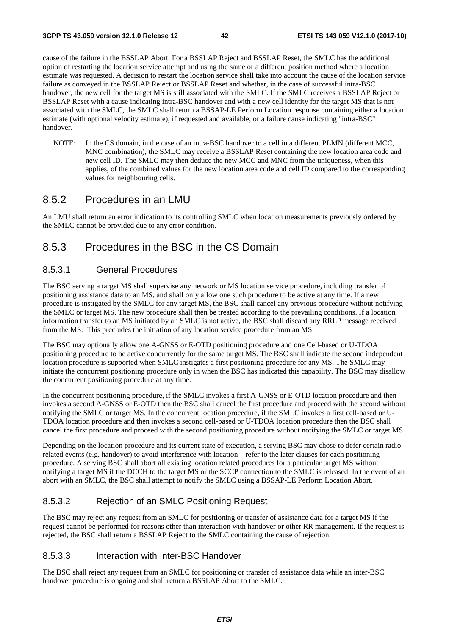cause of the failure in the BSSLAP Abort. For a BSSLAP Reject and BSSLAP Reset, the SMLC has the additional option of restarting the location service attempt and using the same or a different position method where a location estimate was requested. A decision to restart the location service shall take into account the cause of the location service failure as conveyed in the BSSLAP Reject or BSSLAP Reset and whether, in the case of successful intra-BSC handover, the new cell for the target MS is still associated with the SMLC. If the SMLC receives a BSSLAP Reject or BSSLAP Reset with a cause indicating intra-BSC handover and with a new cell identity for the target MS that is not associated with the SMLC, the SMLC shall return a BSSAP-LE Perform Location response containing either a location estimate (with optional velocity estimate), if requested and available, or a failure cause indicating "intra-BSC" handover.

NOTE: In the CS domain, in the case of an intra-BSC handover to a cell in a different PLMN (different MCC, MNC combination), the SMLC may receive a BSSLAP Reset containing the new location area code and new cell ID. The SMLC may then deduce the new MCC and MNC from the uniqueness, when this applies, of the combined values for the new location area code and cell ID compared to the corresponding values for neighbouring cells.

## 8.5.2 Procedures in an LMU

An LMU shall return an error indication to its controlling SMLC when location measurements previously ordered by the SMLC cannot be provided due to any error condition.

## 8.5.3 Procedures in the BSC in the CS Domain

### 8.5.3.1 General Procedures

The BSC serving a target MS shall supervise any network or MS location service procedure, including transfer of positioning assistance data to an MS, and shall only allow one such procedure to be active at any time. If a new procedure is instigated by the SMLC for any target MS, the BSC shall cancel any previous procedure without notifying the SMLC or target MS. The new procedure shall then be treated according to the prevailing conditions. If a location information transfer to an MS initiated by an SMLC is not active, the BSC shall discard any RRLP message received from the MS. This precludes the initiation of any location service procedure from an MS.

The BSC may optionally allow one A-GNSS or E-OTD positioning procedure and one Cell-based or U-TDOA positioning procedure to be active concurrently for the same target MS. The BSC shall indicate the second independent location procedure is supported when SMLC instigates a first positioning procedure for any MS. The SMLC may initiate the concurrent positioning procedure only in when the BSC has indicated this capability. The BSC may disallow the concurrent positioning procedure at any time.

In the concurrent positioning procedure, if the SMLC invokes a first A-GNSS or E-OTD location procedure and then invokes a second A-GNSS or E-OTD then the BSC shall cancel the first procedure and proceed with the second without notifying the SMLC or target MS. In the concurrent location procedure, if the SMLC invokes a first cell-based or U-TDOA location procedure and then invokes a second cell-based or U-TDOA location procedure then the BSC shall cancel the first procedure and proceed with the second positioning procedure without notifying the SMLC or target MS.

Depending on the location procedure and its current state of execution, a serving BSC may chose to defer certain radio related events (e.g. handover) to avoid interference with location – refer to the later clauses for each positioning procedure. A serving BSC shall abort all existing location related procedures for a particular target MS without notifying a target MS if the DCCH to the target MS or the SCCP connection to the SMLC is released. In the event of an abort with an SMLC, the BSC shall attempt to notify the SMLC using a BSSAP-LE Perform Location Abort.

## 8.5.3.2 Rejection of an SMLC Positioning Request

The BSC may reject any request from an SMLC for positioning or transfer of assistance data for a target MS if the request cannot be performed for reasons other than interaction with handover or other RR management. If the request is rejected, the BSC shall return a BSSLAP Reject to the SMLC containing the cause of rejection.

#### 8.5.3.3 Interaction with Inter-BSC Handover

The BSC shall reject any request from an SMLC for positioning or transfer of assistance data while an inter-BSC handover procedure is ongoing and shall return a BSSLAP Abort to the SMLC.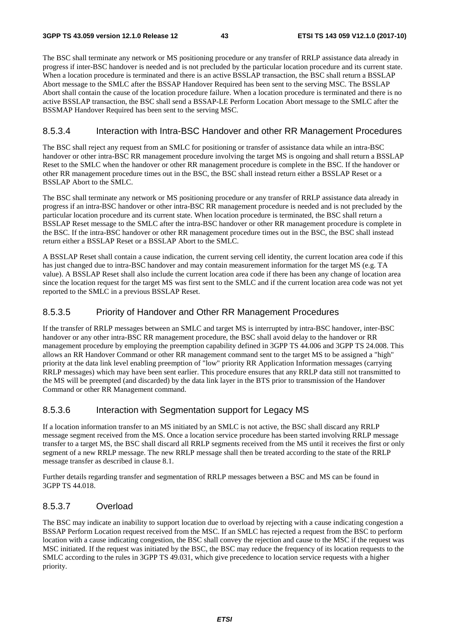The BSC shall terminate any network or MS positioning procedure or any transfer of RRLP assistance data already in progress if inter-BSC handover is needed and is not precluded by the particular location procedure and its current state. When a location procedure is terminated and there is an active BSSLAP transaction, the BSC shall return a BSSLAP Abort message to the SMLC after the BSSAP Handover Required has been sent to the serving MSC. The BSSLAP Abort shall contain the cause of the location procedure failure. When a location procedure is terminated and there is no active BSSLAP transaction, the BSC shall send a BSSAP-LE Perform Location Abort message to the SMLC after the BSSMAP Handover Required has been sent to the serving MSC.

#### 8.5.3.4 Interaction with Intra-BSC Handover and other RR Management Procedures

The BSC shall reject any request from an SMLC for positioning or transfer of assistance data while an intra-BSC handover or other intra-BSC RR management procedure involving the target MS is ongoing and shall return a BSSLAP Reset to the SMLC when the handover or other RR management procedure is complete in the BSC. If the handover or other RR management procedure times out in the BSC, the BSC shall instead return either a BSSLAP Reset or a BSSLAP Abort to the SMLC.

The BSC shall terminate any network or MS positioning procedure or any transfer of RRLP assistance data already in progress if an intra-BSC handover or other intra-BSC RR management procedure is needed and is not precluded by the particular location procedure and its current state. When location procedure is terminated, the BSC shall return a BSSLAP Reset message to the SMLC after the intra-BSC handover or other RR management procedure is complete in the BSC. If the intra-BSC handover or other RR management procedure times out in the BSC, the BSC shall instead return either a BSSLAP Reset or a BSSLAP Abort to the SMLC.

A BSSLAP Reset shall contain a cause indication, the current serving cell identity, the current location area code if this has just changed due to intra-BSC handover and may contain measurement information for the target MS (e.g. TA value). A BSSLAP Reset shall also include the current location area code if there has been any change of location area since the location request for the target MS was first sent to the SMLC and if the current location area code was not yet reported to the SMLC in a previous BSSLAP Reset.

## 8.5.3.5 Priority of Handover and Other RR Management Procedures

If the transfer of RRLP messages between an SMLC and target MS is interrupted by intra-BSC handover, inter-BSC handover or any other intra-BSC RR management procedure, the BSC shall avoid delay to the handover or RR management procedure by employing the preemption capability defined in 3GPP TS 44.006 and 3GPP TS 24.008. This allows an RR Handover Command or other RR management command sent to the target MS to be assigned a "high" priority at the data link level enabling preemption of "low" priority RR Application Information messages (carrying RRLP messages) which may have been sent earlier. This procedure ensures that any RRLP data still not transmitted to the MS will be preempted (and discarded) by the data link layer in the BTS prior to transmission of the Handover Command or other RR Management command.

#### 8.5.3.6 Interaction with Segmentation support for Legacy MS

If a location information transfer to an MS initiated by an SMLC is not active, the BSC shall discard any RRLP message segment received from the MS. Once a location service procedure has been started involving RRLP message transfer to a target MS, the BSC shall discard all RRLP segments received from the MS until it receives the first or only segment of a new RRLP message. The new RRLP message shall then be treated according to the state of the RRLP message transfer as described in clause 8.1.

Further details regarding transfer and segmentation of RRLP messages between a BSC and MS can be found in 3GPP TS 44.018.

#### 8.5.3.7 Overload

The BSC may indicate an inability to support location due to overload by rejecting with a cause indicating congestion a BSSAP Perform Location request received from the MSC. If an SMLC has rejected a request from the BSC to perform location with a cause indicating congestion, the BSC shall convey the rejection and cause to the MSC if the request was MSC initiated. If the request was initiated by the BSC, the BSC may reduce the frequency of its location requests to the SMLC according to the rules in 3GPP TS 49.031, which give precedence to location service requests with a higher priority.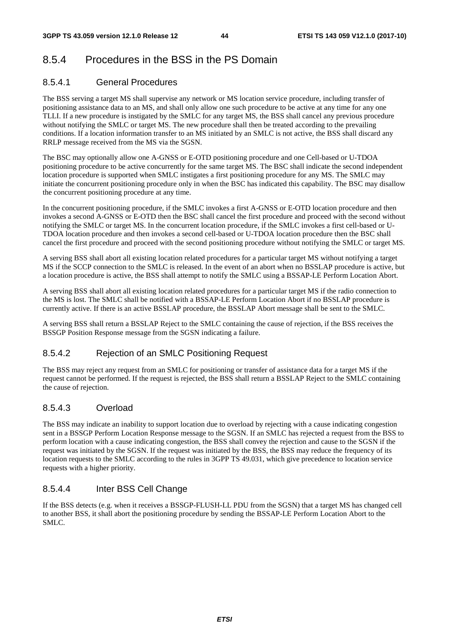# 8.5.4 Procedures in the BSS in the PS Domain

## 8.5.4.1 General Procedures

The BSS serving a target MS shall supervise any network or MS location service procedure, including transfer of positioning assistance data to an MS, and shall only allow one such procedure to be active at any time for any one TLLI. If a new procedure is instigated by the SMLC for any target MS, the BSS shall cancel any previous procedure without notifying the SMLC or target MS. The new procedure shall then be treated according to the prevailing conditions. If a location information transfer to an MS initiated by an SMLC is not active, the BSS shall discard any RRLP message received from the MS via the SGSN.

The BSC may optionally allow one A-GNSS or E-OTD positioning procedure and one Cell-based or U-TDOA positioning procedure to be active concurrently for the same target MS. The BSC shall indicate the second independent location procedure is supported when SMLC instigates a first positioning procedure for any MS. The SMLC may initiate the concurrent positioning procedure only in when the BSC has indicated this capability. The BSC may disallow the concurrent positioning procedure at any time.

In the concurrent positioning procedure, if the SMLC invokes a first A-GNSS or E-OTD location procedure and then invokes a second A-GNSS or E-OTD then the BSC shall cancel the first procedure and proceed with the second without notifying the SMLC or target MS. In the concurrent location procedure, if the SMLC invokes a first cell-based or U-TDOA location procedure and then invokes a second cell-based or U-TDOA location procedure then the BSC shall cancel the first procedure and proceed with the second positioning procedure without notifying the SMLC or target MS.

A serving BSS shall abort all existing location related procedures for a particular target MS without notifying a target MS if the SCCP connection to the SMLC is released. In the event of an abort when no BSSLAP procedure is active, but a location procedure is active, the BSS shall attempt to notify the SMLC using a BSSAP-LE Perform Location Abort.

A serving BSS shall abort all existing location related procedures for a particular target MS if the radio connection to the MS is lost. The SMLC shall be notified with a BSSAP-LE Perform Location Abort if no BSSLAP procedure is currently active. If there is an active BSSLAP procedure, the BSSLAP Abort message shall be sent to the SMLC.

A serving BSS shall return a BSSLAP Reject to the SMLC containing the cause of rejection, if the BSS receives the BSSGP Position Response message from the SGSN indicating a failure.

## 8.5.4.2 Rejection of an SMLC Positioning Request

The BSS may reject any request from an SMLC for positioning or transfer of assistance data for a target MS if the request cannot be performed. If the request is rejected, the BSS shall return a BSSLAP Reject to the SMLC containing the cause of rejection.

## 8.5.4.3 Overload

The BSS may indicate an inability to support location due to overload by rejecting with a cause indicating congestion sent in a BSSGP Perform Location Response message to the SGSN. If an SMLC has rejected a request from the BSS to perform location with a cause indicating congestion, the BSS shall convey the rejection and cause to the SGSN if the request was initiated by the SGSN. If the request was initiated by the BSS, the BSS may reduce the frequency of its location requests to the SMLC according to the rules in 3GPP TS 49.031, which give precedence to location service requests with a higher priority.

## 8.5.4.4 Inter BSS Cell Change

If the BSS detects (e.g. when it receives a BSSGP-FLUSH-LL PDU from the SGSN) that a target MS has changed cell to another BSS, it shall abort the positioning procedure by sending the BSSAP-LE Perform Location Abort to the SMLC.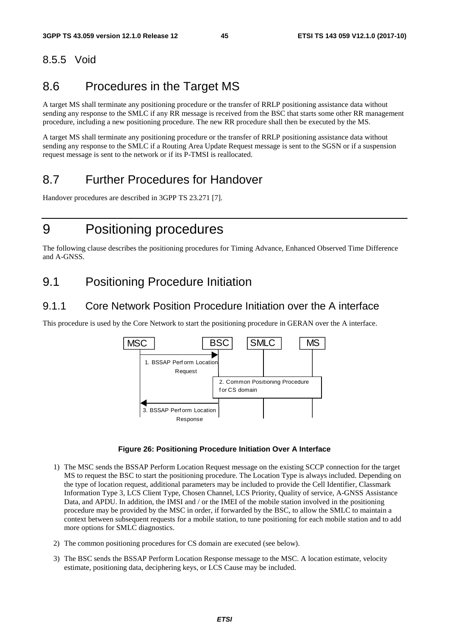# 8.5.5 Void

# 8.6 Procedures in the Target MS

A target MS shall terminate any positioning procedure or the transfer of RRLP positioning assistance data without sending any response to the SMLC if any RR message is received from the BSC that starts some other RR management procedure, including a new positioning procedure. The new RR procedure shall then be executed by the MS.

A target MS shall terminate any positioning procedure or the transfer of RRLP positioning assistance data without sending any response to the SMLC if a Routing Area Update Request message is sent to the SGSN or if a suspension request message is sent to the network or if its P-TMSI is reallocated.

# 8.7 Further Procedures for Handover

Handover procedures are described in 3GPP TS 23.271 [7].

# 9 Positioning procedures

The following clause describes the positioning procedures for Timing Advance, Enhanced Observed Time Difference and A-GNSS.

# 9.1 Positioning Procedure Initiation

## 9.1.1 Core Network Position Procedure Initiation over the A interface

This procedure is used by the Core Network to start the positioning procedure in GERAN over the A interface.



#### **Figure 26: Positioning Procedure Initiation Over A Interface**

- 1) The MSC sends the BSSAP Perform Location Request message on the existing SCCP connection for the target MS to request the BSC to start the positioning procedure. The Location Type is always included. Depending on the type of location request, additional parameters may be included to provide the Cell Identifier, Classmark Information Type 3, LCS Client Type, Chosen Channel, LCS Priority, Quality of service, A-GNSS Assistance Data, and APDU. In addition, the IMSI and / or the IMEI of the mobile station involved in the positioning procedure may be provided by the MSC in order, if forwarded by the BSC, to allow the SMLC to maintain a context between subsequent requests for a mobile station, to tune positioning for each mobile station and to add more options for SMLC diagnostics.
- 2) The common positioning procedures for CS domain are executed (see below).
- 3) The BSC sends the BSSAP Perform Location Response message to the MSC. A location estimate, velocity estimate, positioning data, deciphering keys, or LCS Cause may be included.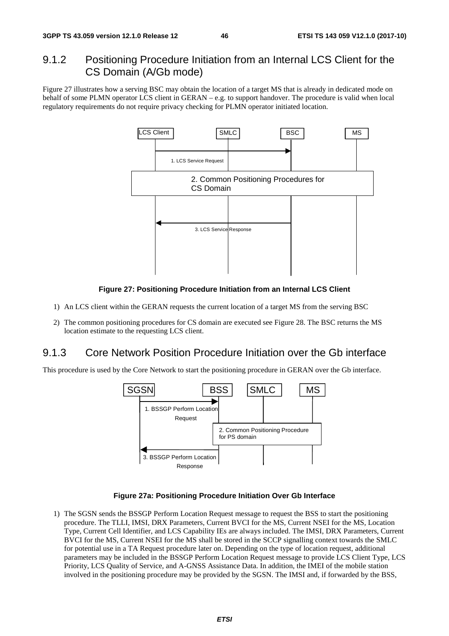# 9.1.2 Positioning Procedure Initiation from an Internal LCS Client for the CS Domain (A/Gb mode)

Figure 27 illustrates how a serving BSC may obtain the location of a target MS that is already in dedicated mode on behalf of some PLMN operator LCS client in GERAN – e.g. to support handover. The procedure is valid when local regulatory requirements do not require privacy checking for PLMN operator initiated location.



#### **Figure 27: Positioning Procedure Initiation from an Internal LCS Client**

- 1) An LCS client within the GERAN requests the current location of a target MS from the serving BSC
- 2) The common positioning procedures for CS domain are executed see Figure 28. The BSC returns the MS location estimate to the requesting LCS client.

## 9.1.3 Core Network Position Procedure Initiation over the Gb interface

This procedure is used by the Core Network to start the positioning procedure in GERAN over the Gb interface.



#### **Figure 27a: Positioning Procedure Initiation Over Gb Interface**

1) The SGSN sends the BSSGP Perform Location Request message to request the BSS to start the positioning procedure. The TLLI, IMSI, DRX Parameters, Current BVCI for the MS, Current NSEI for the MS, Location Type, Current Cell Identifier, and LCS Capability IEs are always included. The IMSI, DRX Parameters, Current BVCI for the MS, Current NSEI for the MS shall be stored in the SCCP signalling context towards the SMLC for potential use in a TA Request procedure later on. Depending on the type of location request, additional parameters may be included in the BSSGP Perform Location Request message to provide LCS Client Type, LCS Priority, LCS Quality of Service, and A-GNSS Assistance Data. In addition, the IMEI of the mobile station involved in the positioning procedure may be provided by the SGSN. The IMSI and, if forwarded by the BSS,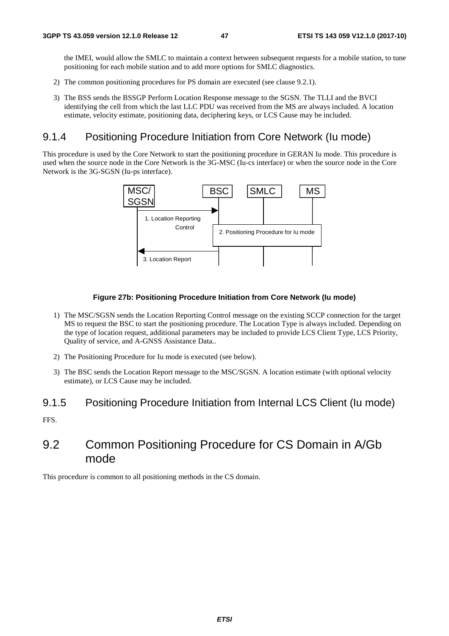the IMEI, would allow the SMLC to maintain a context between subsequent requests for a mobile station, to tune positioning for each mobile station and to add more options for SMLC diagnostics.

- 2) The common positioning procedures for PS domain are executed (see clause 9.2.1).
- 3) The BSS sends the BSSGP Perform Location Response message to the SGSN. The TLLI and the BVCI identifying the cell from which the last LLC PDU was received from the MS are always included. A location estimate, velocity estimate, positioning data, deciphering keys, or LCS Cause may be included.

## 9.1.4 Positioning Procedure Initiation from Core Network (Iu mode)

This procedure is used by the Core Network to start the positioning procedure in GERAN Iu mode. This procedure is used when the source node in the Core Network is the 3G-MSC (Iu-cs interface) or when the source node in the Core Network is the 3G-SGSN (Iu-ps interface).



#### **Figure 27b: Positioning Procedure Initiation from Core Network (Iu mode)**

- 1) The MSC/SGSN sends the Location Reporting Control message on the existing SCCP connection for the target MS to request the BSC to start the positioning procedure. The Location Type is always included. Depending on the type of location request, additional parameters may be included to provide LCS Client Type, LCS Priority, Quality of service, and A-GNSS Assistance Data..
- 2) The Positioning Procedure for Iu mode is executed (see below).
- 3) The BSC sends the Location Report message to the MSC/SGSN. A location estimate (with optional velocity estimate), or LCS Cause may be included.

## 9.1.5 Positioning Procedure Initiation from Internal LCS Client (Iu mode)

FFS.

# 9.2 Common Positioning Procedure for CS Domain in A/Gb mode

This procedure is common to all positioning methods in the CS domain.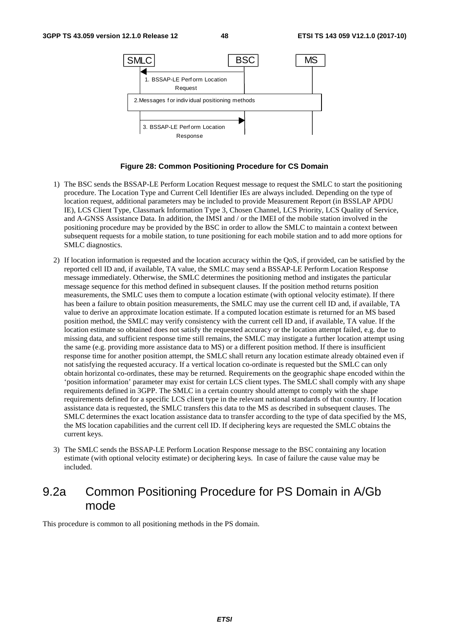

#### **Figure 28: Common Positioning Procedure for CS Domain**

- 1) The BSC sends the BSSAP-LE Perform Location Request message to request the SMLC to start the positioning procedure. The Location Type and Current Cell Identifier IEs are always included. Depending on the type of location request, additional parameters may be included to provide Measurement Report (in BSSLAP APDU IE), LCS Client Type, Classmark Information Type 3, Chosen Channel, LCS Priority, LCS Quality of Service, and A-GNSS Assistance Data. In addition, the IMSI and / or the IMEI of the mobile station involved in the positioning procedure may be provided by the BSC in order to allow the SMLC to maintain a context between subsequent requests for a mobile station, to tune positioning for each mobile station and to add more options for SMLC diagnostics.
- 2) If location information is requested and the location accuracy within the QoS, if provided, can be satisfied by the reported cell ID and, if available, TA value, the SMLC may send a BSSAP-LE Perform Location Response message immediately. Otherwise, the SMLC determines the positioning method and instigates the particular message sequence for this method defined in subsequent clauses. If the position method returns position measurements, the SMLC uses them to compute a location estimate (with optional velocity estimate). If there has been a failure to obtain position measurements, the SMLC may use the current cell ID and, if available, TA value to derive an approximate location estimate. If a computed location estimate is returned for an MS based position method, the SMLC may verify consistency with the current cell ID and, if available, TA value. If the location estimate so obtained does not satisfy the requested accuracy or the location attempt failed, e.g. due to missing data, and sufficient response time still remains, the SMLC may instigate a further location attempt using the same (e.g. providing more assistance data to MS) or a different position method. If there is insufficient response time for another position attempt, the SMLC shall return any location estimate already obtained even if not satisfying the requested accuracy. If a vertical location co-ordinate is requested but the SMLC can only obtain horizontal co-ordinates, these may be returned. Requirements on the geographic shape encoded within the 'position information' parameter may exist for certain LCS client types. The SMLC shall comply with any shape requirements defined in 3GPP. The SMLC in a certain country should attempt to comply with the shape requirements defined for a specific LCS client type in the relevant national standards of that country. If location assistance data is requested, the SMLC transfers this data to the MS as described in subsequent clauses. The SMLC determines the exact location assistance data to transfer according to the type of data specified by the MS, the MS location capabilities and the current cell ID. If deciphering keys are requested the SMLC obtains the current keys.
- 3) The SMLC sends the BSSAP-LE Perform Location Response message to the BSC containing any location estimate (with optional velocity estimate) or deciphering keys. In case of failure the cause value may be included.

# 9.2a Common Positioning Procedure for PS Domain in A/Gb mode

This procedure is common to all positioning methods in the PS domain.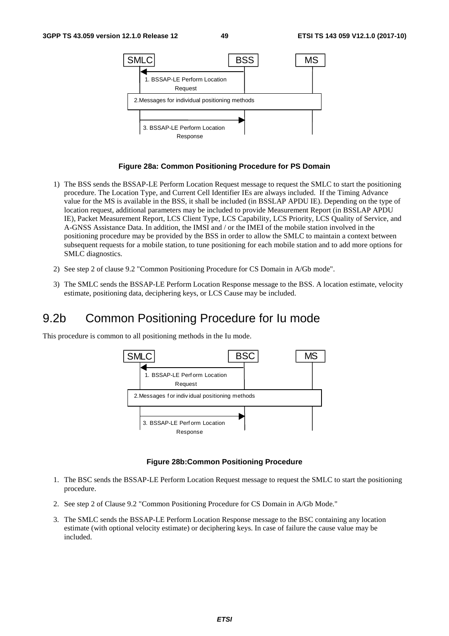

#### **Figure 28a: Common Positioning Procedure for PS Domain**

- 1) The BSS sends the BSSAP-LE Perform Location Request message to request the SMLC to start the positioning procedure. The Location Type, and Current Cell Identifier IEs are always included. If the Timing Advance value for the MS is available in the BSS, it shall be included (in BSSLAP APDU IE). Depending on the type of location request, additional parameters may be included to provide Measurement Report (in BSSLAP APDU IE), Packet Measurement Report, LCS Client Type, LCS Capability, LCS Priority, LCS Quality of Service, and A-GNSS Assistance Data. In addition, the IMSI and / or the IMEI of the mobile station involved in the positioning procedure may be provided by the BSS in order to allow the SMLC to maintain a context between subsequent requests for a mobile station, to tune positioning for each mobile station and to add more options for SMLC diagnostics.
- 2) See step 2 of clause 9.2 "Common Positioning Procedure for CS Domain in A/Gb mode".
- 3) The SMLC sends the BSSAP-LE Perform Location Response message to the BSS. A location estimate, velocity estimate, positioning data, deciphering keys, or LCS Cause may be included.

# 9.2b Common Positioning Procedure for Iu mode

This procedure is common to all positioning methods in the Iu mode.



#### **Figure 28b:Common Positioning Procedure**

- 1. The BSC sends the BSSAP-LE Perform Location Request message to request the SMLC to start the positioning procedure.
- 2. See step 2 of Clause 9.2 "Common Positioning Procedure for CS Domain in A/Gb Mode."
- 3. The SMLC sends the BSSAP-LE Perform Location Response message to the BSC containing any location estimate (with optional velocity estimate) or deciphering keys. In case of failure the cause value may be included.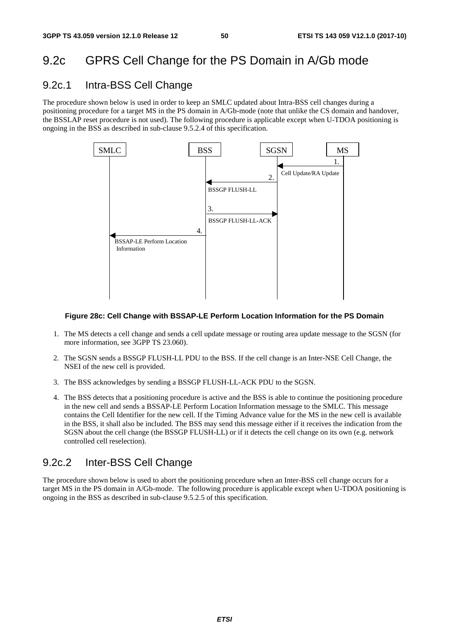# 9.2c GPRS Cell Change for the PS Domain in A/Gb mode

# 9.2c.1 Intra-BSS Cell Change

The procedure shown below is used in order to keep an SMLC updated about Intra-BSS cell changes during a positioning procedure for a target MS in the PS domain in A/Gb-mode (note that unlike the CS domain and handover, the BSSLAP reset procedure is not used). The following procedure is applicable except when U-TDOA positioning is ongoing in the BSS as described in sub-clause 9.5.2.4 of this specification.



#### **Figure 28c: Cell Change with BSSAP-LE Perform Location Information for the PS Domain**

- 1. The MS detects a cell change and sends a cell update message or routing area update message to the SGSN (for more information, see 3GPP TS 23.060).
- 2. The SGSN sends a BSSGP FLUSH-LL PDU to the BSS. If the cell change is an Inter-NSE Cell Change, the NSEI of the new cell is provided.
- 3. The BSS acknowledges by sending a BSSGP FLUSH-LL-ACK PDU to the SGSN.
- 4. The BSS detects that a positioning procedure is active and the BSS is able to continue the positioning procedure in the new cell and sends a BSSAP-LE Perform Location Information message to the SMLC. This message contains the Cell Identifier for the new cell. If the Timing Advance value for the MS in the new cell is available in the BSS, it shall also be included. The BSS may send this message either if it receives the indication from the SGSN about the cell change (the BSSGP FLUSH-LL) or if it detects the cell change on its own (e.g. network controlled cell reselection).

# 9.2c.2 Inter-BSS Cell Change

The procedure shown below is used to abort the positioning procedure when an Inter-BSS cell change occurs for a target MS in the PS domain in A/Gb-mode. The following procedure is applicable except when U-TDOA positioning is ongoing in the BSS as described in sub-clause 9.5.2.5 of this specification.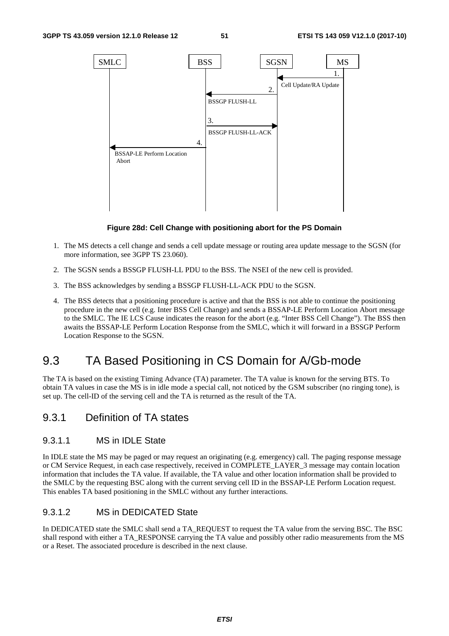

#### **Figure 28d: Cell Change with positioning abort for the PS Domain**

- 1. The MS detects a cell change and sends a cell update message or routing area update message to the SGSN (for more information, see 3GPP TS 23.060).
- 2. The SGSN sends a BSSGP FLUSH-LL PDU to the BSS. The NSEI of the new cell is provided.
- 3. The BSS acknowledges by sending a BSSGP FLUSH-LL-ACK PDU to the SGSN.
- 4. The BSS detects that a positioning procedure is active and that the BSS is not able to continue the positioning procedure in the new cell (e.g. Inter BSS Cell Change) and sends a BSSAP-LE Perform Location Abort message to the SMLC. The IE LCS Cause indicates the reason for the abort (e.g. "Inter BSS Cell Change"). The BSS then awaits the BSSAP-LE Perform Location Response from the SMLC, which it will forward in a BSSGP Perform Location Response to the SGSN.

# 9.3 TA Based Positioning in CS Domain for A/Gb-mode

The TA is based on the existing Timing Advance (TA) parameter. The TA value is known for the serving BTS. To obtain TA values in case the MS is in idle mode a special call, not noticed by the GSM subscriber (no ringing tone), is set up. The cell-ID of the serving cell and the TA is returned as the result of the TA.

## 9.3.1 Definition of TA states

### 9.3.1.1 MS in IDLE State

In IDLE state the MS may be paged or may request an originating (e.g. emergency) call. The paging response message or CM Service Request, in each case respectively, received in COMPLETE\_LAYER\_3 message may contain location information that includes the TA value. If available, the TA value and other location information shall be provided to the SMLC by the requesting BSC along with the current serving cell ID in the BSSAP-LE Perform Location request. This enables TA based positioning in the SMLC without any further interactions.

## 9.3.1.2 MS in DEDICATED State

In DEDICATED state the SMLC shall send a TA\_REQUEST to request the TA value from the serving BSC. The BSC shall respond with either a TA\_RESPONSE carrying the TA value and possibly other radio measurements from the MS or a Reset. The associated procedure is described in the next clause.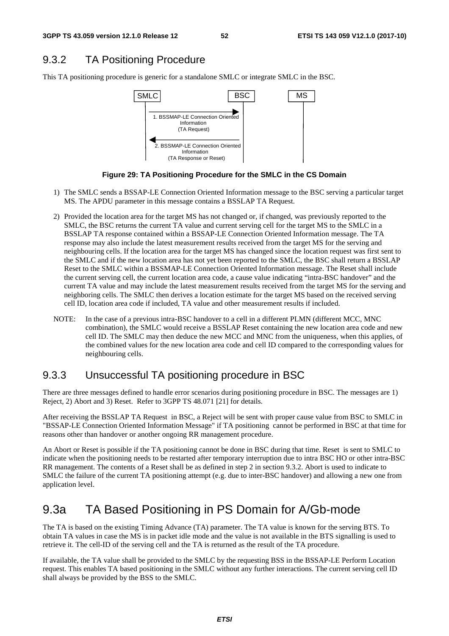# 9.3.2 TA Positioning Procedure

This TA positioning procedure is generic for a standalone SMLC or integrate SMLC in the BSC.



**Figure 29: TA Positioning Procedure for the SMLC in the CS Domain** 

- 1) The SMLC sends a BSSAP-LE Connection Oriented Information message to the BSC serving a particular target MS. The APDU parameter in this message contains a BSSLAP TA Request.
- 2) Provided the location area for the target MS has not changed or, if changed, was previously reported to the SMLC, the BSC returns the current TA value and current serving cell for the target MS to the SMLC in a BSSLAP TA response contained within a BSSAP-LE Connection Oriented Information message. The TA response may also include the latest measurement results received from the target MS for the serving and neighbouring cells. If the location area for the target MS has changed since the location request was first sent to the SMLC and if the new location area has not yet been reported to the SMLC, the BSC shall return a BSSLAP Reset to the SMLC within a BSSMAP-LE Connection Oriented Information message. The Reset shall include the current serving cell, the current location area code, a cause value indicating "intra-BSC handover" and the current TA value and may include the latest measurement results received from the target MS for the serving and neighboring cells. The SMLC then derives a location estimate for the target MS based on the received serving cell ID, location area code if included, TA value and other measurement results if included.
- NOTE: In the case of a previous intra-BSC handover to a cell in a different PLMN (different MCC, MNC combination), the SMLC would receive a BSSLAP Reset containing the new location area code and new cell ID. The SMLC may then deduce the new MCC and MNC from the uniqueness, when this applies, of the combined values for the new location area code and cell ID compared to the corresponding values for neighbouring cells.

# 9.3.3 Unsuccessful TA positioning procedure in BSC

There are three messages defined to handle error scenarios during positioning procedure in BSC. The messages are 1) Reject, 2) Abort and 3) Reset. Refer to 3GPP TS 48.071 [21] for details.

After receiving the BSSLAP TA Request in BSC, a Reject will be sent with proper cause value from BSC to SMLC in "BSSAP-LE Connection Oriented Information Message" if TA positioning cannot be performed in BSC at that time for reasons other than handover or another ongoing RR management procedure.

An Abort or Reset is possible if the TA positioning cannot be done in BSC during that time. Reset is sent to SMLC to indicate when the positioning needs to be restarted after temporary interruption due to intra BSC HO or other intra-BSC RR management. The contents of a Reset shall be as defined in step 2 in section 9.3.2. Abort is used to indicate to SMLC the failure of the current TA positioning attempt (e.g. due to inter-BSC handover) and allowing a new one from application level.

# 9.3a TA Based Positioning in PS Domain for A/Gb-mode

The TA is based on the existing Timing Advance (TA) parameter. The TA value is known for the serving BTS. To obtain TA values in case the MS is in packet idle mode and the value is not available in the BTS signalling is used to retrieve it. The cell-ID of the serving cell and the TA is returned as the result of the TA procedure.

If available, the TA value shall be provided to the SMLC by the requesting BSS in the BSSAP-LE Perform Location request. This enables TA based positioning in the SMLC without any further interactions. The current serving cell ID shall always be provided by the BSS to the SMLC.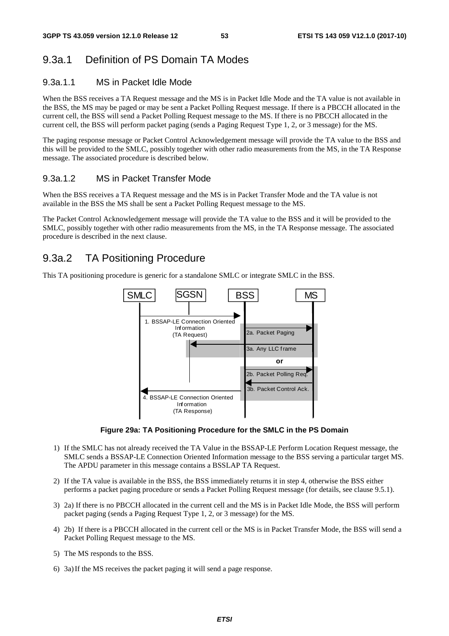## 9.3a.1 Definition of PS Domain TA Modes

## 9.3a.1.1 MS in Packet Idle Mode

When the BSS receives a TA Request message and the MS is in Packet Idle Mode and the TA value is not available in the BSS, the MS may be paged or may be sent a Packet Polling Request message. If there is a PBCCH allocated in the current cell, the BSS will send a Packet Polling Request message to the MS. If there is no PBCCH allocated in the current cell, the BSS will perform packet paging (sends a Paging Request Type 1, 2, or 3 message) for the MS.

The paging response message or Packet Control Acknowledgement message will provide the TA value to the BSS and this will be provided to the SMLC, possibly together with other radio measurements from the MS, in the TA Response message. The associated procedure is described below.

## 9.3a.1.2 MS in Packet Transfer Mode

When the BSS receives a TA Request message and the MS is in Packet Transfer Mode and the TA value is not available in the BSS the MS shall be sent a Packet Polling Request message to the MS.

The Packet Control Acknowledgement message will provide the TA value to the BSS and it will be provided to the SMLC, possibly together with other radio measurements from the MS, in the TA Response message. The associated procedure is described in the next clause.

## 9.3a.2 TA Positioning Procedure

This TA positioning procedure is generic for a standalone SMLC or integrate SMLC in the BSS.



**Figure 29a: TA Positioning Procedure for the SMLC in the PS Domain** 

- 1) If the SMLC has not already received the TA Value in the BSSAP-LE Perform Location Request message, the SMLC sends a BSSAP-LE Connection Oriented Information message to the BSS serving a particular target MS. The APDU parameter in this message contains a BSSLAP TA Request.
- 2) If the TA value is available in the BSS, the BSS immediately returns it in step 4, otherwise the BSS either performs a packet paging procedure or sends a Packet Polling Request message (for details, see clause 9.5.1).
- 3) 2a) If there is no PBCCH allocated in the current cell and the MS is in Packet Idle Mode, the BSS will perform packet paging (sends a Paging Request Type 1, 2, or 3 message) for the MS.
- 4) 2b) If there is a PBCCH allocated in the current cell or the MS is in Packet Transfer Mode, the BSS will send a Packet Polling Request message to the MS.
- 5) The MS responds to the BSS.
- 6) 3a) If the MS receives the packet paging it will send a page response.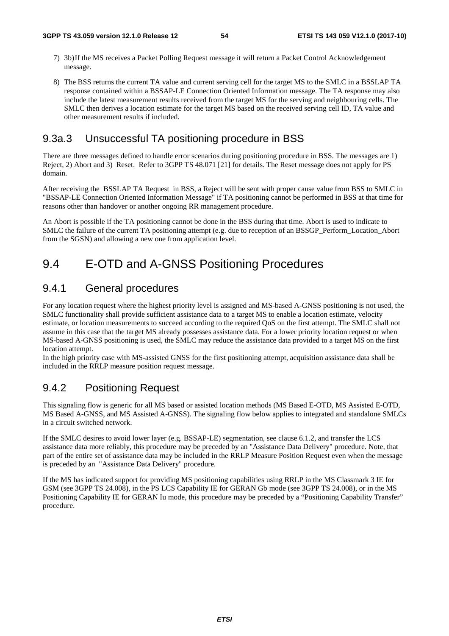- 7) 3b) If the MS receives a Packet Polling Request message it will return a Packet Control Acknowledgement message.
- 8) The BSS returns the current TA value and current serving cell for the target MS to the SMLC in a BSSLAP TA response contained within a BSSAP-LE Connection Oriented Information message. The TA response may also include the latest measurement results received from the target MS for the serving and neighbouring cells. The SMLC then derives a location estimate for the target MS based on the received serving cell ID, TA value and other measurement results if included.

## 9.3a.3 Unsuccessful TA positioning procedure in BSS

There are three messages defined to handle error scenarios during positioning procedure in BSS. The messages are 1) Reject, 2) Abort and 3) Reset. Refer to 3GPP TS 48.071 [21] for details. The Reset message does not apply for PS domain.

After receiving the BSSLAP TA Request in BSS, a Reject will be sent with proper cause value from BSS to SMLC in "BSSAP-LE Connection Oriented Information Message" if TA positioning cannot be performed in BSS at that time for reasons other than handover or another ongoing RR management procedure.

An Abort is possible if the TA positioning cannot be done in the BSS during that time. Abort is used to indicate to SMLC the failure of the current TA positioning attempt (e.g. due to reception of an BSSGP\_Perform\_Location\_Abort from the SGSN) and allowing a new one from application level.

# 9.4 E-OTD and A-GNSS Positioning Procedures

## 9.4.1 General procedures

For any location request where the highest priority level is assigned and MS-based A-GNSS positioning is not used, the SMLC functionality shall provide sufficient assistance data to a target MS to enable a location estimate, velocity estimate, or location measurements to succeed according to the required QoS on the first attempt. The SMLC shall not assume in this case that the target MS already possesses assistance data. For a lower priority location request or when MS-based A-GNSS positioning is used, the SMLC may reduce the assistance data provided to a target MS on the first location attempt.

In the high priority case with MS-assisted GNSS for the first positioning attempt, acquisition assistance data shall be included in the RRLP measure position request message.

## 9.4.2 Positioning Request

This signaling flow is generic for all MS based or assisted location methods (MS Based E-OTD, MS Assisted E-OTD, MS Based A-GNSS, and MS Assisted A-GNSS). The signaling flow below applies to integrated and standalone SMLCs in a circuit switched network.

If the SMLC desires to avoid lower layer (e.g. BSSAP-LE) segmentation, see clause 6.1.2, and transfer the LCS assistance data more reliably, this procedure may be preceded by an "Assistance Data Delivery" procedure. Note, that part of the entire set of assistance data may be included in the RRLP Measure Position Request even when the message is preceded by an "Assistance Data Delivery" procedure.

If the MS has indicated support for providing MS positioning capabilities using RRLP in the MS Classmark 3 IE for GSM (see 3GPP TS 24.008), in the PS LCS Capability IE for GERAN Gb mode (see 3GPP TS 24.008), or in the MS Positioning Capability IE for GERAN Iu mode, this procedure may be preceded by a "Positioning Capability Transfer" procedure.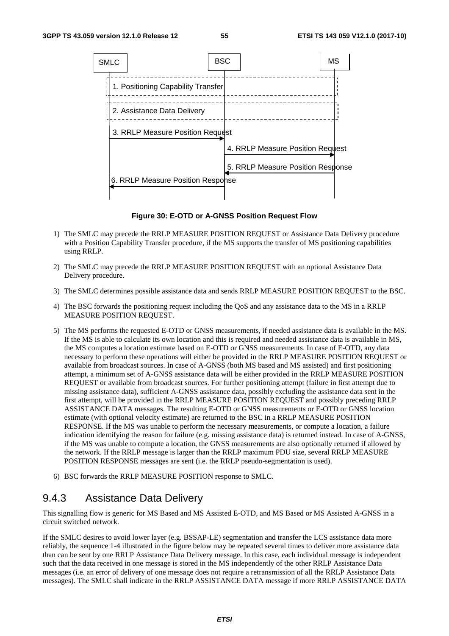

**Figure 30: E-OTD or A-GNSS Position Request Flow** 

- 1) The SMLC may precede the RRLP MEASURE POSITION REQUEST or Assistance Data Delivery procedure with a Position Capability Transfer procedure, if the MS supports the transfer of MS positioning capabilities using RRLP.
- 2) The SMLC may precede the RRLP MEASURE POSITION REQUEST with an optional Assistance Data Delivery procedure.
- 3) The SMLC determines possible assistance data and sends RRLP MEASURE POSITION REQUEST to the BSC.
- 4) The BSC forwards the positioning request including the QoS and any assistance data to the MS in a RRLP MEASURE POSITION REQUEST.
- 5) The MS performs the requested E-OTD or GNSS measurements, if needed assistance data is available in the MS. If the MS is able to calculate its own location and this is required and needed assistance data is available in MS, the MS computes a location estimate based on E-OTD or GNSS measurements. In case of E-OTD, any data necessary to perform these operations will either be provided in the RRLP MEASURE POSITION REQUEST or available from broadcast sources. In case of A-GNSS (both MS based and MS assisted) and first positioning attempt, a minimum set of A-GNSS assistance data will be either provided in the RRLP MEASURE POSITION REQUEST or available from broadcast sources. For further positioning attempt (failure in first attempt due to missing assistance data), sufficient A-GNSS assistance data, possibly excluding the assistance data sent in the first attempt, will be provided in the RRLP MEASURE POSITION REQUEST and possibly preceding RRLP ASSISTANCE DATA messages. The resulting E-OTD or GNSS measurements or E-OTD or GNSS location estimate (with optional velocity estimate) are returned to the BSC in a RRLP MEASURE POSITION RESPONSE. If the MS was unable to perform the necessary measurements, or compute a location, a failure indication identifying the reason for failure (e.g. missing assistance data) is returned instead. In case of A-GNSS, if the MS was unable to compute a location, the GNSS measurements are also optionally returned if allowed by the network. If the RRLP message is larger than the RRLP maximum PDU size, several RRLP MEASURE POSITION RESPONSE messages are sent (i.e. the RRLP pseudo-segmentation is used).
- 6) BSC forwards the RRLP MEASURE POSITION response to SMLC.

# 9.4.3 Assistance Data Delivery

This signalling flow is generic for MS Based and MS Assisted E-OTD, and MS Based or MS Assisted A-GNSS in a circuit switched network.

If the SMLC desires to avoid lower layer (e.g. BSSAP-LE) segmentation and transfer the LCS assistance data more reliably, the sequence 1-4 illustrated in the figure below may be repeated several times to deliver more assistance data than can be sent by one RRLP Assistance Data Delivery message. In this case, each individual message is independent such that the data received in one message is stored in the MS independently of the other RRLP Assistance Data messages (i.e. an error of delivery of one message does not require a retransmission of all the RRLP Assistance Data messages). The SMLC shall indicate in the RRLP ASSISTANCE DATA message if more RRLP ASSISTANCE DATA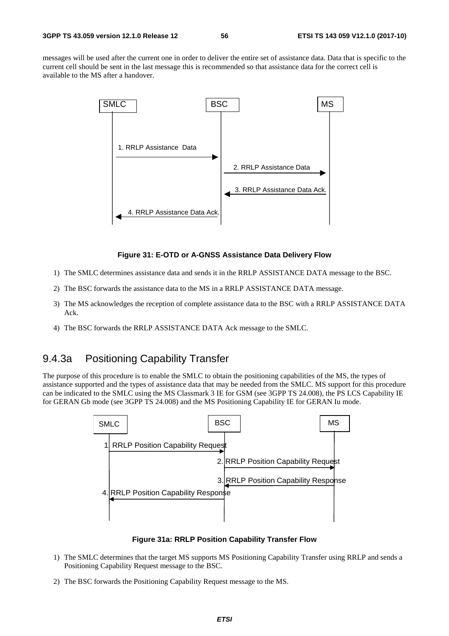messages will be used after the current one in order to deliver the entire set of assistance data. Data that is specific to the current cell should be sent in the last message this is recommended so that assistance data for the correct cell is available to the MS after a handover.



#### **Figure 31: E-OTD or A-GNSS Assistance Data Delivery Flow**

- 1) The SMLC determines assistance data and sends it in the RRLP ASSISTANCE DATA message to the BSC.
- 2) The BSC forwards the assistance data to the MS in a RRLP ASSISTANCE DATA message.
- 3) The MS acknowledges the reception of complete assistance data to the BSC with a RRLP ASSISTANCE DATA Ack.
- 4) The BSC forwards the RRLP ASSISTANCE DATA Ack message to the SMLC.

## 9.4.3a Positioning Capability Transfer

The purpose of this procedure is to enable the SMLC to obtain the positioning capabilities of the MS, the types of assistance supported and the types of assistance data that may be needed from the SMLC. MS support for this procedure can be indicated to the SMLC using the MS Classmark 3 IE for GSM (see 3GPP TS 24.008), the PS LCS Capability IE for GERAN Gb mode (see 3GPP TS 24.008) and the MS Positioning Capability IE for GERAN Iu mode.



#### **Figure 31a: RRLP Position Capability Transfer Flow**

- 1) The SMLC determines that the target MS supports MS Positioning Capability Transfer using RRLP and sends a Positioning Capability Request message to the BSC.
- 2) The BSC forwards the Positioning Capability Request message to the MS.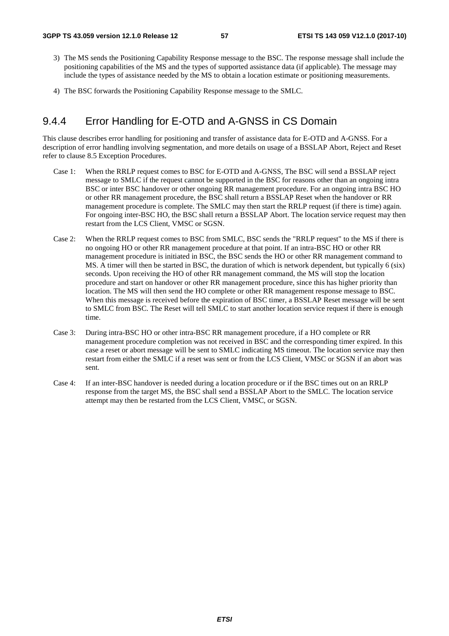- 3) The MS sends the Positioning Capability Response message to the BSC. The response message shall include the positioning capabilities of the MS and the types of supported assistance data (if applicable). The message may include the types of assistance needed by the MS to obtain a location estimate or positioning measurements.
- 4) The BSC forwards the Positioning Capability Response message to the SMLC.

# 9.4.4 Error Handling for E-OTD and A-GNSS in CS Domain

This clause describes error handling for positioning and transfer of assistance data for E-OTD and A-GNSS. For a description of error handling involving segmentation, and more details on usage of a BSSLAP Abort, Reject and Reset refer to clause 8.5 Exception Procedures.

- Case 1: When the RRLP request comes to BSC for E-OTD and A-GNSS, The BSC will send a BSSLAP reject message to SMLC if the request cannot be supported in the BSC for reasons other than an ongoing intra BSC or inter BSC handover or other ongoing RR management procedure. For an ongoing intra BSC HO or other RR management procedure, the BSC shall return a BSSLAP Reset when the handover or RR management procedure is complete. The SMLC may then start the RRLP request (if there is time) again. For ongoing inter-BSC HO, the BSC shall return a BSSLAP Abort. The location service request may then restart from the LCS Client, VMSC or SGSN.
- Case 2: When the RRLP request comes to BSC from SMLC, BSC sends the "RRLP request" to the MS if there is no ongoing HO or other RR management procedure at that point. If an intra-BSC HO or other RR management procedure is initiated in BSC, the BSC sends the HO or other RR management command to MS. A timer will then be started in BSC, the duration of which is network dependent, but typically 6 (six) seconds. Upon receiving the HO of other RR management command, the MS will stop the location procedure and start on handover or other RR management procedure, since this has higher priority than location. The MS will then send the HO complete or other RR management response message to BSC. When this message is received before the expiration of BSC timer, a BSSLAP Reset message will be sent to SMLC from BSC. The Reset will tell SMLC to start another location service request if there is enough time.
- Case 3: During intra-BSC HO or other intra-BSC RR management procedure, if a HO complete or RR management procedure completion was not received in BSC and the corresponding timer expired. In this case a reset or abort message will be sent to SMLC indicating MS timeout. The location service may then restart from either the SMLC if a reset was sent or from the LCS Client, VMSC or SGSN if an abort was sent.
- Case 4: If an inter-BSC handover is needed during a location procedure or if the BSC times out on an RRLP response from the target MS, the BSC shall send a BSSLAP Abort to the SMLC. The location service attempt may then be restarted from the LCS Client, VMSC, or SGSN.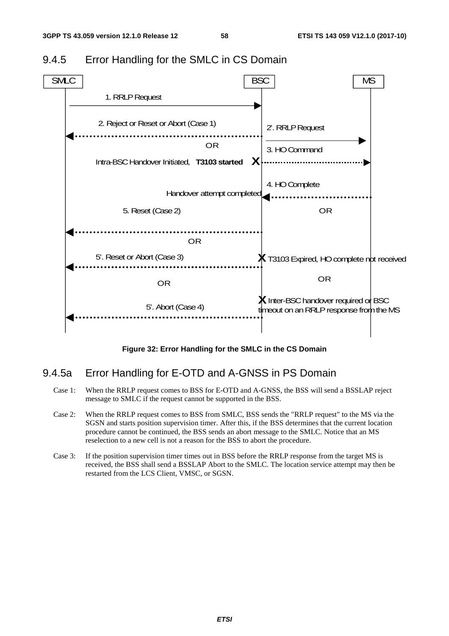

## 9.4.5 Error Handling for the SMLC in CS Domain

**Figure 32: Error Handling for the SMLC in the CS Domain** 

## 9.4.5a Error Handling for E-OTD and A-GNSS in PS Domain

- Case 1: When the RRLP request comes to BSS for E-OTD and A-GNSS, the BSS will send a BSSLAP reject message to SMLC if the request cannot be supported in the BSS.
- Case 2: When the RRLP request comes to BSS from SMLC, BSS sends the "RRLP request" to the MS via the SGSN and starts position supervision timer. After this, if the BSS determines that the current location procedure cannot be continued, the BSS sends an abort message to the SMLC. Notice that an MS reselection to a new cell is not a reason for the BSS to abort the procedure.
- Case 3: If the position supervision timer times out in BSS before the RRLP response from the target MS is received, the BSS shall send a BSSLAP Abort to the SMLC. The location service attempt may then be restarted from the LCS Client, VMSC, or SGSN.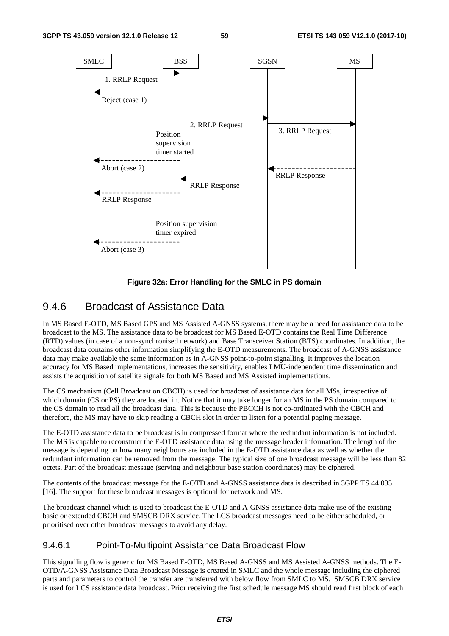

**Figure 32a: Error Handling for the SMLC in PS domain** 

## 9.4.6 Broadcast of Assistance Data

In MS Based E-OTD, MS Based GPS and MS Assisted A-GNSS systems, there may be a need for assistance data to be broadcast to the MS. The assistance data to be broadcast for MS Based E-OTD contains the Real Time Difference (RTD) values (in case of a non-synchronised network) and Base Transceiver Station (BTS) coordinates. In addition, the broadcast data contains other information simplifying the E-OTD measurements. The broadcast of A-GNSS assistance data may make available the same information as in A-GNSS point-to-point signalling. It improves the location accuracy for MS Based implementations, increases the sensitivity, enables LMU-independent time dissemination and assists the acquisition of satellite signals for both MS Based and MS Assisted implementations.

The CS mechanism (Cell Broadcast on CBCH) is used for broadcast of assistance data for all MSs, irrespective of which domain (CS or PS) they are located in. Notice that it may take longer for an MS in the PS domain compared to the CS domain to read all the broadcast data. This is because the PBCCH is not co-ordinated with the CBCH and therefore, the MS may have to skip reading a CBCH slot in order to listen for a potential paging message.

The E-OTD assistance data to be broadcast is in compressed format where the redundant information is not included. The MS is capable to reconstruct the E-OTD assistance data using the message header information. The length of the message is depending on how many neighbours are included in the E-OTD assistance data as well as whether the redundant information can be removed from the message. The typical size of one broadcast message will be less than 82 octets. Part of the broadcast message (serving and neighbour base station coordinates) may be ciphered.

The contents of the broadcast message for the E-OTD and A-GNSS assistance data is described in 3GPP TS 44.035 [16]. The support for these broadcast messages is optional for network and MS.

The broadcast channel which is used to broadcast the E-OTD and A-GNSS assistance data make use of the existing basic or extended CBCH and SMSCB DRX service. The LCS broadcast messages need to be either scheduled, or prioritised over other broadcast messages to avoid any delay.

## 9.4.6.1 Point-To-Multipoint Assistance Data Broadcast Flow

This signalling flow is generic for MS Based E-OTD, MS Based A-GNSS and MS Assisted A-GNSS methods. The E-OTD/A-GNSS Assistance Data Broadcast Message is created in SMLC and the whole message including the ciphered parts and parameters to control the transfer are transferred with below flow from SMLC to MS. SMSCB DRX service is used for LCS assistance data broadcast. Prior receiving the first schedule message MS should read first block of each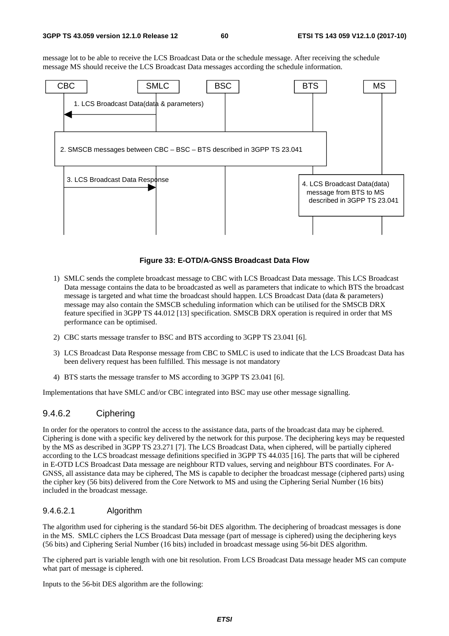message lot to be able to receive the LCS Broadcast Data or the schedule message. After receiving the schedule message MS should receive the LCS Broadcast Data messages according the schedule information.



#### **Figure 33: E-OTD/A-GNSS Broadcast Data Flow**

- 1) SMLC sends the complete broadcast message to CBC with LCS Broadcast Data message. This LCS Broadcast Data message contains the data to be broadcasted as well as parameters that indicate to which BTS the broadcast message is targeted and what time the broadcast should happen. LCS Broadcast Data (data & parameters) message may also contain the SMSCB scheduling information which can be utilised for the SMSCB DRX feature specified in 3GPP TS 44.012 [13] specification. SMSCB DRX operation is required in order that MS performance can be optimised.
- 2) CBC starts message transfer to BSC and BTS according to 3GPP TS 23.041 [6].
- 3) LCS Broadcast Data Response message from CBC to SMLC is used to indicate that the LCS Broadcast Data has been delivery request has been fulfilled. This message is not mandatory
- 4) BTS starts the message transfer to MS according to 3GPP TS 23.041 [6].

Implementations that have SMLC and/or CBC integrated into BSC may use other message signalling.

## 9.4.6.2 Ciphering

In order for the operators to control the access to the assistance data, parts of the broadcast data may be ciphered. Ciphering is done with a specific key delivered by the network for this purpose. The deciphering keys may be requested by the MS as described in 3GPP TS 23.271 [7]. The LCS Broadcast Data, when ciphered, will be partially ciphered according to the LCS broadcast message definitions specified in 3GPP TS 44.035 [16]. The parts that will be ciphered in E-OTD LCS Broadcast Data message are neighbour RTD values, serving and neighbour BTS coordinates. For A-GNSS, all assistance data may be ciphered, The MS is capable to decipher the broadcast message (ciphered parts) using the cipher key (56 bits) delivered from the Core Network to MS and using the Ciphering Serial Number (16 bits) included in the broadcast message.

#### 9.4.6.2.1 Algorithm

The algorithm used for ciphering is the standard 56-bit DES algorithm. The deciphering of broadcast messages is done in the MS. SMLC ciphers the LCS Broadcast Data message (part of message is ciphered) using the deciphering keys (56 bits) and Ciphering Serial Number (16 bits) included in broadcast message using 56-bit DES algorithm.

The ciphered part is variable length with one bit resolution. From LCS Broadcast Data message header MS can compute what part of message is ciphered.

Inputs to the 56-bit DES algorithm are the following: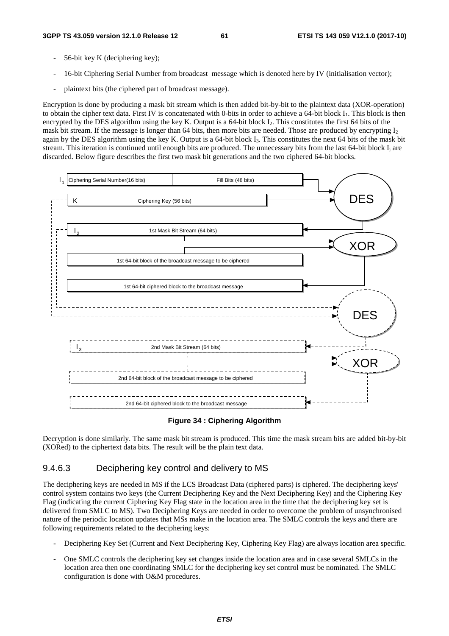- 56-bit key K (deciphering key);
- 16-bit Ciphering Serial Number from broadcast message which is denoted here by IV (initialisation vector);
- plaintext bits (the ciphered part of broadcast message).

Encryption is done by producing a mask bit stream which is then added bit-by-bit to the plaintext data (XOR-operation) to obtain the cipher text data. First IV is concatenated with 0-bits in order to achieve a 64-bit block I1. This block is then encrypted by the DES algorithm using the key K. Output is a 64-bit block  $I_2$ . This constitutes the first 64 bits of the mask bit stream. If the message is longer than 64 bits, then more bits are needed. Those are produced by encrypting I<sub>2</sub> again by the DES algorithm using the key K. Output is a 64-bit block  $I_3$ . This constitutes the next 64 bits of the mask bit stream. This iteration is continued until enough bits are produced. The unnecessary bits from the last 64-bit block  $I_i$  are discarded. Below figure describes the first two mask bit generations and the two ciphered 64-bit blocks.



#### **Figure 34 : Ciphering Algorithm**

Decryption is done similarly. The same mask bit stream is produced. This time the mask stream bits are added bit-by-bit (XORed) to the ciphertext data bits. The result will be the plain text data.

#### 9.4.6.3 Deciphering key control and delivery to MS

The deciphering keys are needed in MS if the LCS Broadcast Data (ciphered parts) is ciphered. The deciphering keys' control system contains two keys (the Current Deciphering Key and the Next Deciphering Key) and the Ciphering Key Flag (indicating the current Ciphering Key Flag state in the location area in the time that the deciphering key set is delivered from SMLC to MS). Two Deciphering Keys are needed in order to overcome the problem of unsynchronised nature of the periodic location updates that MSs make in the location area. The SMLC controls the keys and there are following requirements related to the deciphering keys:

- Deciphering Key Set (Current and Next Deciphering Key, Ciphering Key Flag) are always location area specific.
- One SMLC controls the deciphering key set changes inside the location area and in case several SMLCs in the location area then one coordinating SMLC for the deciphering key set control must be nominated. The SMLC configuration is done with O&M procedures.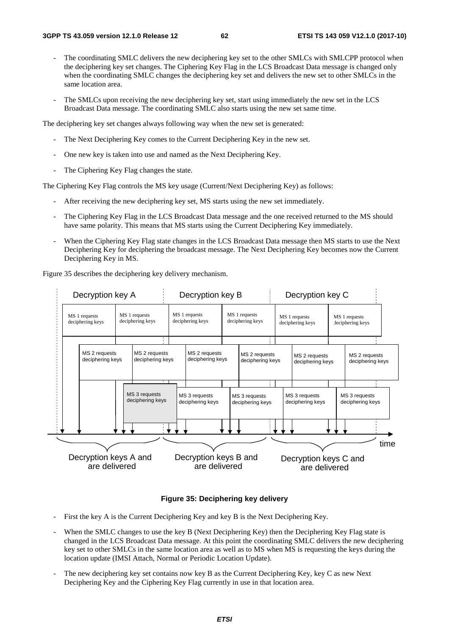- The coordinating SMLC delivers the new deciphering key set to the other SMLCs with SMLCPP protocol when the deciphering key set changes. The Ciphering Key Flag in the LCS Broadcast Data message is changed only when the coordinating SMLC changes the deciphering key set and delivers the new set to other SMLCs in the same location area.
- The SMLCs upon receiving the new deciphering key set, start using immediately the new set in the LCS Broadcast Data message. The coordinating SMLC also starts using the new set same time.

The deciphering key set changes always following way when the new set is generated:

- The Next Deciphering Key comes to the Current Deciphering Key in the new set.
- One new key is taken into use and named as the Next Deciphering Key.
- The Ciphering Key Flag changes the state.

The Ciphering Key Flag controls the MS key usage (Current/Next Deciphering Key) as follows:

- After receiving the new deciphering key set, MS starts using the new set immediately.
- The Ciphering Key Flag in the LCS Broadcast Data message and the one received returned to the MS should have same polarity. This means that MS starts using the Current Deciphering Key immediately.
- When the Ciphering Key Flag state changes in the LCS Broadcast Data message then MS starts to use the Next Deciphering Key for deciphering the broadcast message. The Next Deciphering Key becomes now the Current Deciphering Key in MS.

Figure 35 describes the deciphering key delivery mechanism.

| Decryption key A                                                            |  |                                   | Decryption key B                                                       |                                        |                                   |                                   | Decryption key C |                                        |  |  |      |
|-----------------------------------------------------------------------------|--|-----------------------------------|------------------------------------------------------------------------|----------------------------------------|-----------------------------------|-----------------------------------|------------------|----------------------------------------|--|--|------|
| MS 1 requests<br>MS 1 requests<br>deciphering keys<br>deciphering keys<br>٠ |  |                                   | MS 1 requests<br>MS 1 requests<br>deciphering keys<br>deciphering keys |                                        |                                   | MS 1 requests<br>deciphering keys |                  | MS 1 requests<br>deciphering keys      |  |  |      |
| MS 2 requests<br>deciphering keys                                           |  | MS 2 requests<br>deciphering keys | MS 2 requests<br>deciphering keys                                      |                                        | MS 2 requests<br>deciphering keys | MS 2 requests<br>deciphering keys |                  | MS 2 requests<br>deciphering keys      |  |  |      |
| MS 3 requests<br>deciphering keys                                           |  |                                   | MS 3 requests<br>MS 3 requests<br>deciphering keys<br>deciphering keys |                                        | MS 3 requests<br>deciphering keys |                                   |                  | MS 3 requests<br>deciphering keys      |  |  |      |
| Decryption keys A and<br>are delivered                                      |  |                                   |                                                                        | Decryption keys B and<br>are delivered |                                   |                                   |                  | Decryption keys C and<br>are delivered |  |  | time |

#### **Figure 35: Deciphering key delivery**

- First the key A is the Current Deciphering Key and key B is the Next Deciphering Key.
- When the SMLC changes to use the key B (Next Deciphering Key) then the Deciphering Key Flag state is changed in the LCS Broadcast Data message. At this point the coordinating SMLC delivers the new deciphering key set to other SMLCs in the same location area as well as to MS when MS is requesting the keys during the location update (IMSI Attach, Normal or Periodic Location Update).
- The new deciphering key set contains now key B as the Current Deciphering Key, key C as new Next Deciphering Key and the Ciphering Key Flag currently in use in that location area.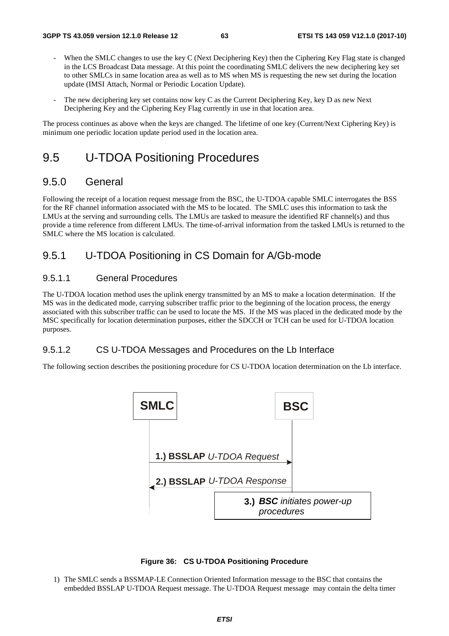- When the SMLC changes to use the key C (Next Deciphering Key) then the Ciphering Key Flag state is changed in the LCS Broadcast Data message. At this point the coordinating SMLC delivers the new deciphering key set to other SMLCs in same location area as well as to MS when MS is requesting the new set during the location update (IMSI Attach, Normal or Periodic Location Update).
- The new deciphering key set contains now key C as the Current Deciphering Key, key D as new Next Deciphering Key and the Ciphering Key Flag currently in use in that location area.

The process continues as above when the keys are changed. The lifetime of one key (Current/Next Ciphering Key) is minimum one periodic location update period used in the location area.

# 9.5 U-TDOA Positioning Procedures

## 9.5.0 General

Following the receipt of a location request message from the BSC, the U-TDOA capable SMLC interrogates the BSS for the RF channel information associated with the MS to be located. The SMLC uses this information to task the LMUs at the serving and surrounding cells. The LMUs are tasked to measure the identified RF channel(s) and thus provide a time reference from different LMUs. The time-of-arrival information from the tasked LMUs is returned to the SMLC where the MS location is calculated.

# 9.5.1 U-TDOA Positioning in CS Domain for A/Gb-mode

### 9.5.1.1 General Procedures

The U-TDOA location method uses the uplink energy transmitted by an MS to make a location determination. If the MS was in the dedicated mode, carrying subscriber traffic prior to the beginning of the location process, the energy associated with this subscriber traffic can be used to locate the MS. If the MS was placed in the dedicated mode by the MSC specifically for location determination purposes, either the SDCCH or TCH can be used for U-TDOA location purposes.

## 9.5.1.2 CS U-TDOA Messages and Procedures on the Lb Interface

The following section describes the positioning procedure for CS U-TDOA location determination on the Lb interface.





1) The SMLC sends a BSSMAP-LE Connection Oriented Information message to the BSC that contains the embedded BSSLAP U-TDOA Request message. The U-TDOA Request message may contain the delta timer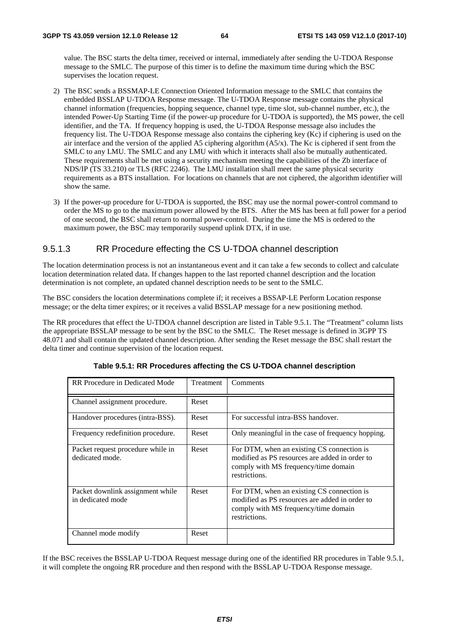value. The BSC starts the delta timer, received or internal, immediately after sending the U-TDOA Response message to the SMLC. The purpose of this timer is to define the maximum time during which the BSC supervises the location request.

- 2) The BSC sends a BSSMAP-LE Connection Oriented Information message to the SMLC that contains the embedded BSSLAP U-TDOA Response message. The U-TDOA Response message contains the physical channel information (frequencies, hopping sequence, channel type, time slot, sub-channel number, etc.), the intended Power-Up Starting Time (if the power-up procedure for U-TDOA is supported), the MS power, the cell identifier, and the TA. If frequency hopping is used, the U-TDOA Response message also includes the frequency list. The U-TDOA Response message also contains the ciphering key (Kc) if ciphering is used on the air interface and the version of the applied A5 ciphering algorithm (A5/x). The Kc is ciphered if sent from the SMLC to any LMU. The SMLC and any LMU with which it interacts shall also be mutually authenticated. These requirements shall be met using a security mechanism meeting the capabilities of the Zb interface of NDS/IP (TS 33.210) or TLS (RFC 2246). The LMU installation shall meet the same physical security requirements as a BTS installation. For locations on channels that are not ciphered, the algorithm identifier will show the same.
- 3) If the power-up procedure for U-TDOA is supported, the BSC may use the normal power-control command to order the MS to go to the maximum power allowed by the BTS. After the MS has been at full power for a period of one second, the BSC shall return to normal power-control. During the time the MS is ordered to the maximum power, the BSC may temporarily suspend uplink DTX, if in use.

## 9.5.1.3 RR Procedure effecting the CS U-TDOA channel description

The location determination process is not an instantaneous event and it can take a few seconds to collect and calculate location determination related data. If changes happen to the last reported channel description and the location determination is not complete, an updated channel description needs to be sent to the SMLC.

The BSC considers the location determinations complete if; it receives a BSSAP-LE Perform Location response message; or the delta timer expires; or it receives a valid BSSLAP message for a new positioning method.

The RR procedures that effect the U-TDOA channel description are listed in Table 9.5.1. The "Treatment" column lists the appropriate BSSLAP message to be sent by the BSC to the SMLC. The Reset message is defined in 3GPP TS 48.071 and shall contain the updated channel description. After sending the Reset message the BSC shall restart the delta timer and continue supervision of the location request.

| RR Procedure in Dedicated Mode                        | Treatment | Comments                                                                                                                                              |
|-------------------------------------------------------|-----------|-------------------------------------------------------------------------------------------------------------------------------------------------------|
| Channel assignment procedure.                         | Reset     |                                                                                                                                                       |
| Handover procedures (intra-BSS).                      | Reset     | For successful intra-BSS handover.                                                                                                                    |
| Frequency redefinition procedure.                     | Reset     | Only meaningful in the case of frequency hopping.                                                                                                     |
| Packet request procedure while in<br>dedicated mode.  | Reset     | For DTM, when an existing CS connection is<br>modified as PS resources are added in order to<br>comply with MS frequency/time domain<br>restrictions. |
| Packet downlink assignment while<br>in dedicated mode | Reset     | For DTM, when an existing CS connection is<br>modified as PS resources are added in order to<br>comply with MS frequency/time domain<br>restrictions. |
| Channel mode modify                                   | Reset     |                                                                                                                                                       |

**Table 9.5.1: RR Procedures affecting the CS U-TDOA channel description** 

If the BSC receives the BSSLAP U-TDOA Request message during one of the identified RR procedures in Table 9.5.1, it will complete the ongoing RR procedure and then respond with the BSSLAP U-TDOA Response message.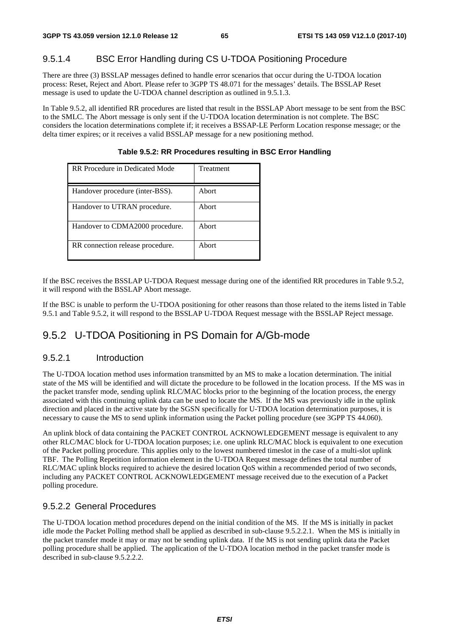## 9.5.1.4 BSC Error Handling during CS U-TDOA Positioning Procedure

There are three (3) BSSLAP messages defined to handle error scenarios that occur during the U-TDOA location process: Reset, Reject and Abort. Please refer to 3GPP TS 48.071 for the messages' details. The BSSLAP Reset message is used to update the U-TDOA channel description as outlined in 9.5.1.3.

In Table 9.5.2, all identified RR procedures are listed that result in the BSSLAP Abort message to be sent from the BSC to the SMLC. The Abort message is only sent if the U-TDOA location determination is not complete. The BSC considers the location determinations complete if; it receives a BSSAP-LE Perform Location response message; or the delta timer expires; or it receives a valid BSSLAP message for a new positioning method.

| RR Procedure in Dedicated Mode   | Treatment |
|----------------------------------|-----------|
| Handover procedure (inter-BSS).  | Abort     |
| Handover to UTRAN procedure.     | Abort     |
| Handover to CDMA2000 procedure.  | Abort     |
| RR connection release procedure. | Abort     |

**Table 9.5.2: RR Procedures resulting in BSC Error Handling** 

If the BSC receives the BSSLAP U-TDOA Request message during one of the identified RR procedures in Table 9.5.2, it will respond with the BSSLAP Abort message.

If the BSC is unable to perform the U-TDOA positioning for other reasons than those related to the items listed in Table 9.5.1 and Table 9.5.2, it will respond to the BSSLAP U-TDOA Request message with the BSSLAP Reject message.

# 9.5.2 U-TDOA Positioning in PS Domain for A/Gb-mode

#### 9.5.2.1 Introduction

The U-TDOA location method uses information transmitted by an MS to make a location determination. The initial state of the MS will be identified and will dictate the procedure to be followed in the location process. If the MS was in the packet transfer mode, sending uplink RLC/MAC blocks prior to the beginning of the location process, the energy associated with this continuing uplink data can be used to locate the MS. If the MS was previously idle in the uplink direction and placed in the active state by the SGSN specifically for U-TDOA location determination purposes, it is necessary to cause the MS to send uplink information using the Packet polling procedure (see 3GPP TS 44.060).

An uplink block of data containing the PACKET CONTROL ACKNOWLEDGEMENT message is equivalent to any other RLC/MAC block for U-TDOA location purposes; i.e. one uplink RLC/MAC block is equivalent to one execution of the Packet polling procedure. This applies only to the lowest numbered timeslot in the case of a multi-slot uplink TBF. The Polling Repetition information element in the U-TDOA Request message defines the total number of RLC/MAC uplink blocks required to achieve the desired location QoS within a recommended period of two seconds, including any PACKET CONTROL ACKNOWLEDGEMENT message received due to the execution of a Packet polling procedure.

## 9.5.2.2 General Procedures

The U-TDOA location method procedures depend on the initial condition of the MS. If the MS is initially in packet idle mode the Packet Polling method shall be applied as described in sub-clause 9.5.2.2.1. When the MS is initially in the packet transfer mode it may or may not be sending uplink data. If the MS is not sending uplink data the Packet polling procedure shall be applied. The application of the U-TDOA location method in the packet transfer mode is described in sub-clause 9.5.2.2.2.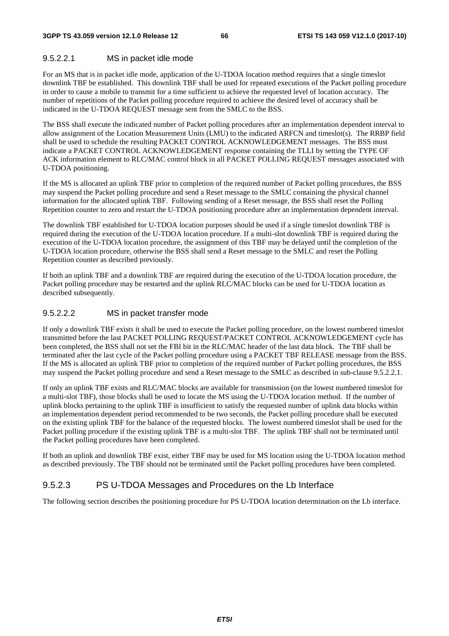#### 9.5.2.2.1 MS in packet idle mode

For an MS that is in packet idle mode, application of the U-TDOA location method requires that a single timeslot downlink TBF be established. This downlink TBF shall be used for repeated executions of the Packet polling procedure in order to cause a mobile to transmit for a time sufficient to achieve the requested level of location accuracy. The number of repetitions of the Packet polling procedure required to achieve the desired level of accuracy shall be indicated in the U-TDOA REQUEST message sent from the SMLC to the BSS.

The BSS shall execute the indicated number of Packet polling procedures after an implementation dependent interval to allow assignment of the Location Measurement Units (LMU) to the indicated ARFCN and timeslot(s). The RRBP field shall be used to schedule the resulting PACKET CONTROL ACKNOWLEDGEMENT messages. The BSS must indicate a PACKET CONTROL ACKNOWLEDGEMENT response containing the TLLI by setting the TYPE OF ACK information element to RLC/MAC control block in all PACKET POLLING REQUEST messages associated with U-TDOA positioning.

If the MS is allocated an uplink TBF prior to completion of the required number of Packet polling procedures, the BSS may suspend the Packet polling procedure and send a Reset message to the SMLC containing the physical channel information for the allocated uplink TBF. Following sending of a Reset message, the BSS shall reset the Polling Repetition counter to zero and restart the U-TDOA positioning procedure after an implementation dependent interval.

The downlink TBF established for U-TDOA location purposes should be used if a single timeslot downlink TBF is required during the execution of the U-TDOA location procedure. If a multi-slot downlink TBF is required during the execution of the U-TDOA location procedure, the assignment of this TBF may be delayed until the completion of the U-TDOA location procedure, otherwise the BSS shall send a Reset message to the SMLC and reset the Polling Repetition counter as described previously.

If both an uplink TBF and a downlink TBF are required during the execution of the U-TDOA location procedure, the Packet polling procedure may be restarted and the uplink RLC/MAC blocks can be used for U-TDOA location as described subsequently.

#### 9.5.2.2.2 MS in packet transfer mode

If only a downlink TBF exists it shall be used to execute the Packet polling procedure, on the lowest numbered timeslot transmitted before the last PACKET POLLING REQUEST/PACKET CONTROL ACKNOWLEDGEMENT cycle has been completed, the BSS shall not set the FBI bit in the RLC/MAC header of the last data block. The TBF shall be terminated after the last cycle of the Packet polling procedure using a PACKET TBF RELEASE message from the BSS. If the MS is allocated an uplink TBF prior to completion of the required number of Packet polling procedures, the BSS may suspend the Packet polling procedure and send a Reset message to the SMLC as described in sub-clause 9.5.2.2.1.

If only an uplink TBF exists and RLC/MAC blocks are available for transmission (on the lowest numbered timeslot for a multi-slot TBF), those blocks shall be used to locate the MS using the U-TDOA location method. If the number of uplink blocks pertaining to the uplink TBF is insufficient to satisfy the requested number of uplink data blocks within an implementation dependent period recommended to be two seconds, the Packet polling procedure shall be executed on the existing uplink TBF for the balance of the requested blocks. The lowest numbered timeslot shall be used for the Packet polling procedure if the existing uplink TBF is a multi-slot TBF. The uplink TBF shall not be terminated until the Packet polling procedures have been completed.

If both an uplink and downlink TBF exist, either TBF may be used for MS location using the U-TDOA location method as described previously. The TBF should not be terminated until the Packet polling procedures have been completed.

## 9.5.2.3 PS U-TDOA Messages and Procedures on the Lb Interface

The following section describes the positioning procedure for PS U-TDOA location determination on the Lb interface.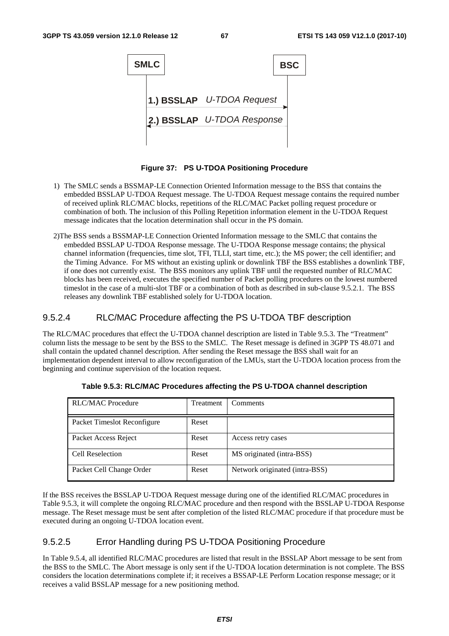

**Figure 37: PS U-TDOA Positioning Procedure** 

- 1) The SMLC sends a BSSMAP-LE Connection Oriented Information message to the BSS that contains the embedded BSSLAP U-TDOA Request message. The U-TDOA Request message contains the required number of received uplink RLC/MAC blocks, repetitions of the RLC/MAC Packet polling request procedure or combination of both. The inclusion of this Polling Repetition information element in the U-TDOA Request message indicates that the location determination shall occur in the PS domain.
- 2)The BSS sends a BSSMAP-LE Connection Oriented Information message to the SMLC that contains the embedded BSSLAP U-TDOA Response message. The U-TDOA Response message contains; the physical channel information (frequencies, time slot, TFI, TLLI, start time, etc.); the MS power; the cell identifier; and the Timing Advance. For MS without an existing uplink or downlink TBF the BSS establishes a downlink TBF, if one does not currently exist. The BSS monitors any uplink TBF until the requested number of RLC/MAC blocks has been received, executes the specified number of Packet polling procedures on the lowest numbered timeslot in the case of a multi-slot TBF or a combination of both as described in sub-clause 9.5.2.1. The BSS releases any downlink TBF established solely for U-TDOA location.

### 9.5.2.4 RLC/MAC Procedure affecting the PS U-TDOA TBF description

The RLC/MAC procedures that effect the U-TDOA channel description are listed in Table 9.5.3. The "Treatment" column lists the message to be sent by the BSS to the SMLC. The Reset message is defined in 3GPP TS 48.071 and shall contain the updated channel description. After sending the Reset message the BSS shall wait for an implementation dependent interval to allow reconfiguration of the LMUs, start the U-TDOA location process from the beginning and continue supervision of the location request.

| <b>RLC/MAC</b> Procedure    | Treatment | Comments                       |
|-----------------------------|-----------|--------------------------------|
| Packet Timeslot Reconfigure | Reset     |                                |
| Packet Access Reject        | Reset     | Access retry cases             |
| Cell Reselection            | Reset     | MS originated (intra-BSS)      |
| Packet Cell Change Order    | Reset     | Network originated (intra-BSS) |

**Table 9.5.3: RLC/MAC Procedures affecting the PS U-TDOA channel description** 

If the BSS receives the BSSLAP U-TDOA Request message during one of the identified RLC/MAC procedures in Table 9.5.3, it will complete the ongoing RLC/MAC procedure and then respond with the BSSLAP U-TDOA Response message. The Reset message must be sent after completion of the listed RLC/MAC procedure if that procedure must be executed during an ongoing U-TDOA location event.

## 9.5.2.5 Error Handling during PS U-TDOA Positioning Procedure

In Table 9.5.4, all identified RLC/MAC procedures are listed that result in the BSSLAP Abort message to be sent from the BSS to the SMLC. The Abort message is only sent if the U-TDOA location determination is not complete. The BSS considers the location determinations complete if; it receives a BSSAP-LE Perform Location response message; or it receives a valid BSSLAP message for a new positioning method.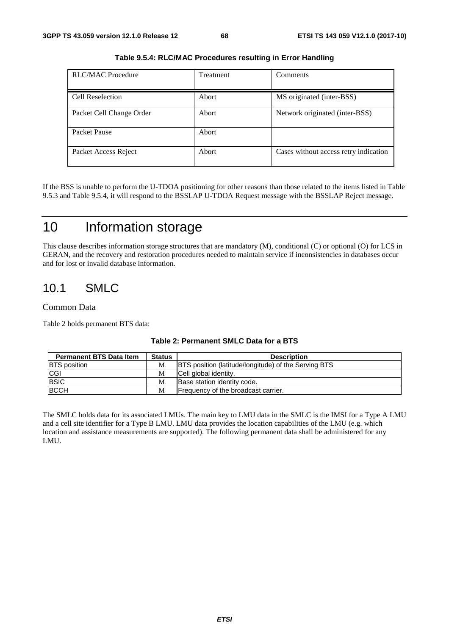| <b>RLC/MAC Procedure</b> | Treatment | Comments                              |
|--------------------------|-----------|---------------------------------------|
| <b>Cell Reselection</b>  | Abort     | MS originated (inter-BSS)             |
| Packet Cell Change Order | Abort     | Network originated (inter-BSS)        |
| Packet Pause             | Abort     |                                       |
| Packet Access Reject     | Abort     | Cases without access retry indication |

**Table 9.5.4: RLC/MAC Procedures resulting in Error Handling** 

If the BSS is unable to perform the U-TDOA positioning for other reasons than those related to the items listed in Table 9.5.3 and Table 9.5.4, it will respond to the BSSLAP U-TDOA Request message with the BSSLAP Reject message.

# 10 Information storage

This clause describes information storage structures that are mandatory (M), conditional (C) or optional (O) for LCS in GERAN, and the recovery and restoration procedures needed to maintain service if inconsistencies in databases occur and for lost or invalid database information.

# 10.1 SMLC

#### Common Data

Table 2 holds permanent BTS data:

| <b>Permanent BTS Data Item</b> | <b>Status</b> | <b>Description</b>                                          |
|--------------------------------|---------------|-------------------------------------------------------------|
| <b>BTS</b> position            | M             | <b>BTS</b> position (latitude/longitude) of the Serving BTS |
| <b>CGI</b>                     | M             | Cell global identity.                                       |
| <b>BSIC</b>                    | M             | Base station identity code.                                 |
| <b>BCCH</b>                    | M             | Frequency of the broadcast carrier.                         |

#### **Table 2: Permanent SMLC Data for a BTS**

The SMLC holds data for its associated LMUs. The main key to LMU data in the SMLC is the IMSI for a Type A LMU and a cell site identifier for a Type B LMU. LMU data provides the location capabilities of the LMU (e.g. which location and assistance measurements are supported). The following permanent data shall be administered for any LMU.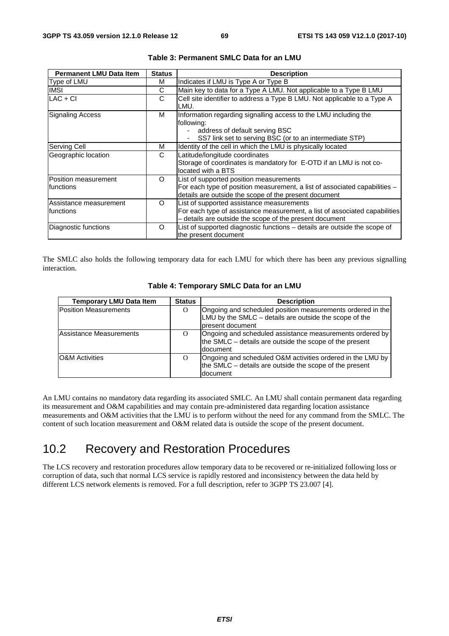| <b>Permanent LMU Data Item</b>       | <b>Status</b> | <b>Description</b>                                                                                                                                                                    |
|--------------------------------------|---------------|---------------------------------------------------------------------------------------------------------------------------------------------------------------------------------------|
| Type of LMU                          | м             | Indicates if LMU is Type A or Type B                                                                                                                                                  |
| <b>IMSI</b>                          | C             | Main key to data for a Type A LMU. Not applicable to a Type B LMU                                                                                                                     |
| LAC + CI                             | C             | Cell site identifier to address a Type B LMU. Not applicable to a Type A<br>LMU.                                                                                                      |
| <b>Signaling Access</b>              | м             | Information regarding signalling access to the LMU including the<br>following:<br>address of default serving BSC<br>$\sim$<br>SS7 link set to serving BSC (or to an intermediate STP) |
| Serving Cell                         | м             | Identity of the cell in which the LMU is physically located                                                                                                                           |
| Geographic location                  | C             | Latitude/longitude coordinates<br>Storage of coordinates is mandatory for E-OTD if an LMU is not co-<br>located with a BTS                                                            |
| Position measurement<br>Ifunctions   | O             | List of supported position measurements<br>For each type of position measurement, a list of associated capabilities -<br>details are outside the scope of the present document        |
| Assistance measurement<br>Ifunctions | $\Omega$      | List of supported assistance measurements<br>For each type of assistance measurement, a list of associated capabilities<br>- details are outside the scope of the present document    |
| Diagnostic functions                 | O             | List of supported diagnostic functions - details are outside the scope of<br>the present document                                                                                     |

| Table 3: Permanent SMLC Data for an LMU |  |  |
|-----------------------------------------|--|--|
|-----------------------------------------|--|--|

The SMLC also holds the following temporary data for each LMU for which there has been any previous signalling interaction.

| <b>Temporary LMU Data Item</b> | <b>Status</b> | <b>Description</b>                                                                                                                          |
|--------------------------------|---------------|---------------------------------------------------------------------------------------------------------------------------------------------|
| <b>Position Measurements</b>   | O             | Ongoing and scheduled position measurements ordered in the<br>LMU by the $SMLC$ – details are outside the scope of the<br>Ipresent document |
| Assistance Measurements        | O             | Ongoing and scheduled assistance measurements ordered by<br>the SMLC – details are outside the scope of the present<br>document             |
| <b>O&amp;M</b> Activities      | $\Omega$      | Ongoing and scheduled O&M activities ordered in the LMU by<br>the SMLC – details are outside the scope of the present<br>ldocument          |

| Table 4: Temporary SMLC Data for an LMU |  |  |  |  |
|-----------------------------------------|--|--|--|--|
|-----------------------------------------|--|--|--|--|

An LMU contains no mandatory data regarding its associated SMLC. An LMU shall contain permanent data regarding its measurement and O&M capabilities and may contain pre-administered data regarding location assistance measurements and O&M activities that the LMU is to perform without the need for any command from the SMLC. The content of such location measurement and O&M related data is outside the scope of the present document.

# 10.2 Recovery and Restoration Procedures

The LCS recovery and restoration procedures allow temporary data to be recovered or re-initialized following loss or corruption of data, such that normal LCS service is rapidly restored and inconsistency between the data held by different LCS network elements is removed. For a full description, refer to 3GPP TS 23.007 [4].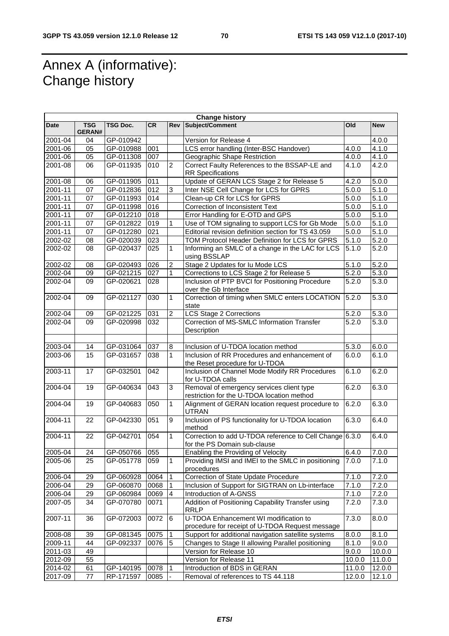# Annex A (informative): Change history

| <b>Change history</b> |                             |                 |                  |                  |                                                                                          |                    |                    |
|-----------------------|-----------------------------|-----------------|------------------|------------------|------------------------------------------------------------------------------------------|--------------------|--------------------|
| <b>Date</b>           | <b>TSG</b><br><b>GERAN#</b> | <b>TSG Doc.</b> | <b>CR</b>        | <b>Rev</b>       | <b>Subject/Comment</b>                                                                   | Old                | <b>New</b>         |
| 2001-04               | 04                          | GP-010942       |                  |                  | Version for Release 4                                                                    |                    | 4.0.0              |
| 2001-06               | 05                          | GP-010988       | 001              |                  | LCS error handling (Inter-BSC Handover)                                                  | 4.0.0              | 4.1.0              |
| 2001-06               | 05                          | GP-011308       | 007              |                  | Geographic Shape Restriction                                                             | 4.0.0              | 4.1.0              |
| 2001-08               | 06                          | GP-011935       | 010              | $\overline{2}$   | Correct Faulty References to the BSSAP-LE and                                            | 4.1.0              | 4.2.0              |
|                       |                             |                 |                  |                  | <b>RR</b> Specifications                                                                 |                    |                    |
| 2001-08               | 06                          | GP-011905       | 011              |                  | Update of GERAN LCS Stage 2 for Release 5                                                | $\overline{4.2.0}$ | 5.0.0              |
| 2001-11               | 07                          | GP-012836       | 012              | $\mathfrak{S}$   | Inter NSE Cell Change for LCS for GPRS                                                   | 5.0.0              | 5.1.0              |
| 2001-11               | 07                          | GP-011993       | 014              |                  | Clean-up CR for LCS for GPRS                                                             | 5.0.0              | 5.1.0              |
| 2001-11               | 07                          | GP-011998       | 016              |                  | Correction of Inconsistent Text                                                          | 5.0.0              | 5.1.0              |
| 2001-11               | 07                          | GP-012210       | 018              |                  | Error Handling for E-OTD and GPS                                                         | 5.0.0              | 5.1.0              |
| 2001-11               | 07                          | GP-012822       | 019              | 1                | Use of TOM signaling to support LCS for Gb Mode                                          | 5.0.0              | 5.1.0              |
| 2001-11               | 07                          | GP-012280       | 021              |                  | Editorial revision definition section for TS 43.059                                      | 5.0.0              | 5.1.0              |
| 2002-02               | 08                          | GP-020039       | 023              |                  | TOM Protocol Header Definition for LCS for GPRS                                          | 5.1.0              | 5.2.0              |
| 2002-02               | 08                          | GP-020437       | 025              | $\mathbf{1}$     | Informing an SMLC of a change in the LAC for LCS<br>using BSSLAP                         | 5.1.0              | 5.2.0              |
| 2002-02               | 08                          | GP-020493       | 026              | $\overline{2}$   | Stage 2 Updates for lu Mode LCS                                                          | 5.1.0              | 5.2.0              |
| 2002-04               | 09                          | GP-021215       | 027              | $\mathbf{1}$     | Corrections to LCS Stage 2 for Release 5                                                 | $\overline{5.2.0}$ | 5.3.0              |
| 2002-04               | 09                          | GP-020621       | 028              |                  | Inclusion of PTP BVCI for Positioning Procedure<br>over the Gb Interface                 | 5.2.0              | $\overline{5.3.0}$ |
| 2002-04               | 09                          | GP-021127       | 030              | 1                | Correction of timing when SMLC enters LOCATION<br>state                                  | 5.2.0              | 5.3.0              |
| 2002-04               | 09                          | GP-021225       | 031              | $\overline{2}$   | <b>LCS Stage 2 Corrections</b>                                                           | 5.2.0              | 5.3.0              |
| 2002-04               | 09                          | GP-020998       | 032              |                  | Correction of MS-SMLC Information Transfer                                               | $\overline{5.2.0}$ | 5.3.0              |
|                       |                             |                 |                  |                  | Description                                                                              |                    |                    |
| 2003-04               | 14                          | GP-031064       | 037              | 8                | Inclusion of U-TDOA location method                                                      | 5.3.0              | 6.0.0              |
| 2003-06               | 15                          | GP-031657       | $\overline{038}$ | $\mathbf{1}$     | Inclusion of RR Procedures and enhancement of<br>the Reset procedure for U-TDOA          | 6.0.0              | 6.1.0              |
| 2003-11               | 17                          | GP-032501       | $\overline{042}$ |                  | Inclusion of Channel Mode Modify RR Procedures<br>for U-TDOA calls                       | 6.1.0              | 6.2.0              |
| 2004-04               | 19                          | GP-040634       | 043              | 3                | Removal of emergency services client type<br>restriction for the U-TDOA location method  | 6.2.0              | 6.3.0              |
| 2004-04               | 19                          | GP-040683       | 050              | $\mathbf{1}$     | Alignment of GERAN location request procedure to<br><b>UTRAN</b>                         | 6.2.0              | 6.3.0              |
| 2004-11               | 22                          | GP-042330       | 051              | $\boldsymbol{9}$ | Inclusion of PS functionality for U-TDOA location<br>method                              | 6.3.0              | 6.4.0              |
| $2004 - 11$           | 22                          | GP-042701       | 054              | $\mathbf{1}$     | Correction to add U-TDOA reference to Cell Change 6.3.0<br>for the PS Domain sub-clause  |                    | 6.4.0              |
| 2005-04               | 24                          | GP-050766       | 055              |                  | Enabling the Providing of Velocity                                                       | 6.4.0              | 7.0.0              |
| 2005-06               | 25                          | GP-051778       | 059              | 1                | Providing IMSI and IMEI to the SMLC in positioning<br>procedures                         | 7.0.0              | 7.1.0              |
| 2006-04               | 29                          | GP-060928       | 0064             | 1                | <b>Correction of State Update Procedure</b>                                              | $\overline{7}.1.0$ | 7.2.0              |
| 2006-04               | 29                          | GP-060870       | 0068             | $\mathbf{1}$     | Inclusion of Support for SIGTRAN on Lb-interface                                         | 7.1.0              | 7.2.0              |
| 2006-04               | 29                          | GP-060984       | 0069             | $\overline{4}$   | Introduction of A-GNSS                                                                   | $\overline{7}.1.0$ | 7.2.0              |
| 2007-05               | 34                          | GP-070780       | 0071             |                  | Addition of Positioning Capability Transfer using<br><b>RRLP</b>                         | 7.2.0              | 7.3.0              |
| 2007-11               | 36                          | GP-072003       | 0072             | 6                | U-TDOA Enhancement WI modification to<br>procedure for receipt of U-TDOA Request message | 7.3.0              | 8.0.0              |
| 2008-08               | 39                          | GP-081345       | 0075             | $\mathbf{1}$     | Support for additional navigation satellite systems                                      | 0.0.8              | 8.1.0              |
| 2009-11               | 44                          | GP-092337       | 0076             | 5                | Changes to Stage II allowing Parallel positioning                                        | 8.1.0              | 9.0.0              |
| 2011-03               | 49                          |                 |                  |                  | Version for Release 10                                                                   | 9.0.0              | 10.0.0             |
| 2012-09               | 55                          |                 |                  |                  | Version for Release 11                                                                   | 10.0.0             | 11.0.0             |
| 2014-02               | 61                          | GP-140195       | 0078             | $\overline{1}$   | Introduction of BDS in GERAN                                                             | 11.0.0             | 12.0.0             |
| 2017-09               | 77                          | RP-171597       | 0085             |                  | Removal of references to TS 44.118                                                       | 12.0.0             | 12.1.0             |